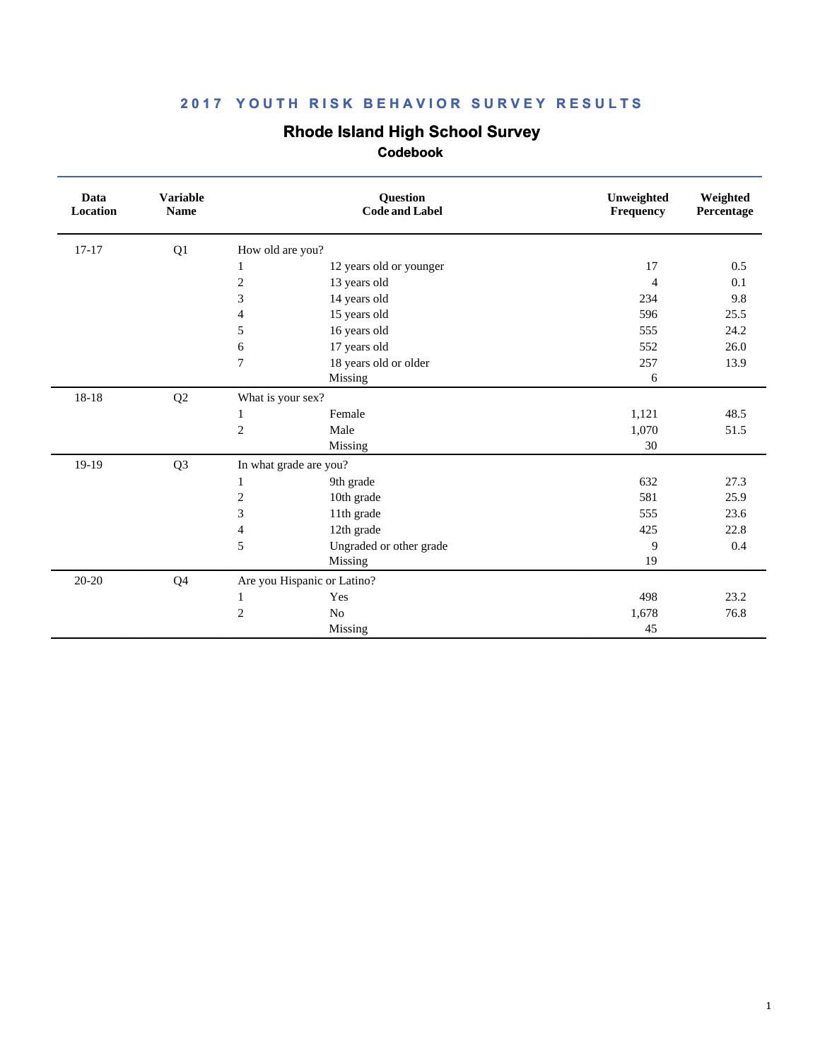# **Rhode Island High School Survey**

| Data<br>Location | <b>Variable</b><br><b>Name</b> |                             | <b>Question</b><br><b>Code and Label</b> | Unweighted<br>Frequency | Weighted<br>Percentage |
|------------------|--------------------------------|-----------------------------|------------------------------------------|-------------------------|------------------------|
| $17 - 17$        | Q1                             | How old are you?            |                                          |                         |                        |
|                  |                                | 1                           | 12 years old or younger                  | 17                      | 0.5                    |
|                  |                                | $\overline{c}$              | 13 years old                             | $\overline{4}$          | 0.1                    |
|                  |                                | 3                           | 14 years old                             | 234                     | 9.8                    |
|                  |                                | 4                           | 15 years old                             | 596                     | 25.5                   |
|                  |                                | 5                           | 16 years old                             | 555                     | 24.2                   |
|                  |                                | 6                           | 17 years old                             | 552                     | 26.0                   |
|                  |                                | 7                           | 18 years old or older                    | 257                     | 13.9                   |
|                  |                                |                             | Missing                                  | 6                       |                        |
| $18 - 18$        | Q2                             | What is your sex?           |                                          |                         |                        |
|                  |                                | 1                           | Female                                   | 1,121                   | 48.5                   |
|                  |                                | $\overline{c}$              | Male                                     | 1,070                   | 51.5                   |
|                  |                                |                             | Missing                                  | 30                      |                        |
| 19-19            | Q <sub>3</sub>                 | In what grade are you?      |                                          |                         |                        |
|                  |                                | 1                           | 9th grade                                | 632                     | 27.3                   |
|                  |                                | $\overline{c}$              | 10th grade                               | 581                     | 25.9                   |
|                  |                                | 3                           | 11th grade                               | 555                     | 23.6                   |
|                  |                                | 4                           | 12th grade                               | 425                     | 22.8                   |
|                  |                                | 5                           | Ungraded or other grade                  | 9                       | 0.4                    |
|                  |                                |                             | Missing                                  | 19                      |                        |
| $20 - 20$        | Q4                             | Are you Hispanic or Latino? |                                          |                         |                        |
|                  |                                | 1                           | Yes                                      | 498                     | 23.2                   |
|                  |                                | $\overline{c}$              | N <sub>o</sub>                           | 1,678                   | 76.8                   |
|                  |                                |                             | Missing                                  | 45                      |                        |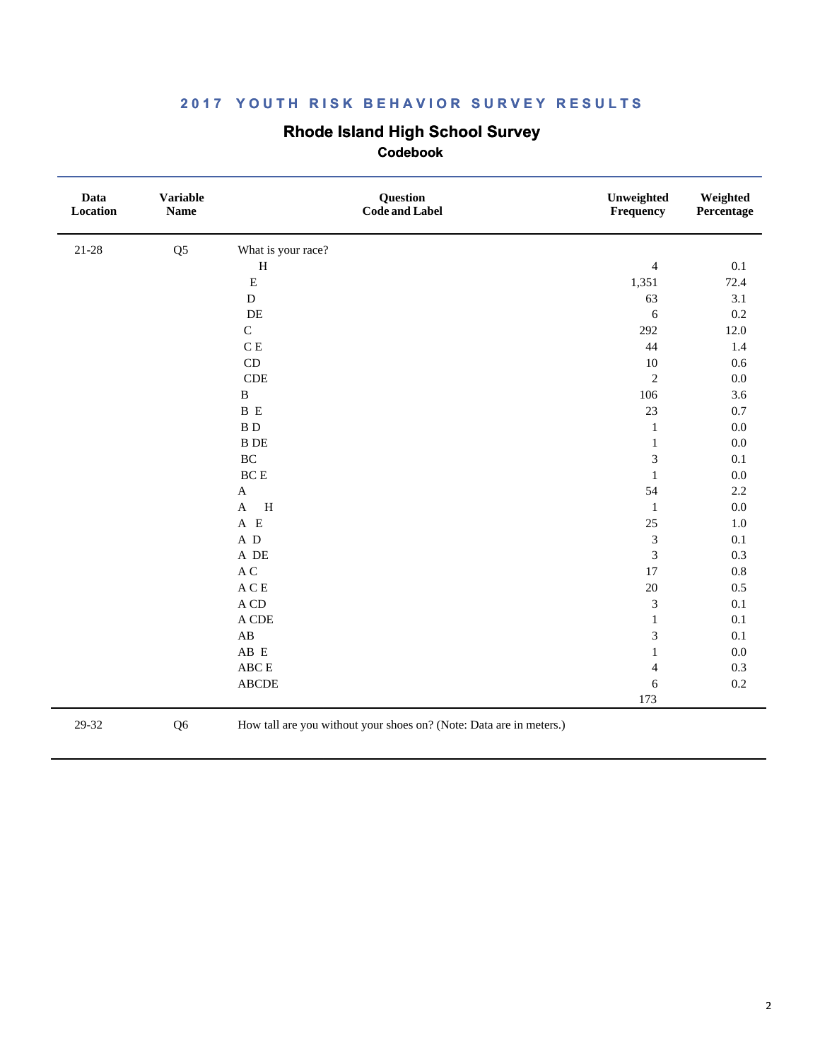### **Rhode Island High School Survey**

 **Codebook**

| Data<br>Location | <b>Variable</b><br><b>Name</b> | Question<br><b>Code and Label</b>    | Unweighted<br>Frequency     | Weighted<br>Percentage |
|------------------|--------------------------------|--------------------------------------|-----------------------------|------------------------|
| $21 - 28$        | Q <sub>5</sub>                 | What is your race?                   |                             |                        |
|                  |                                | $\, {\rm H}$                         | $\overline{4}$              | 0.1                    |
|                  |                                | ${\bf E}$                            | 1,351                       | 72.4                   |
|                  |                                | ${\bf D}$                            | 63                          | 3.1                    |
|                  |                                | $\rm DE$                             | $\sqrt{6}$                  | 0.2                    |
|                  |                                | $\mathbf C$                          | 292                         | 12.0                   |
|                  |                                | C E                                  | 44                          | 1.4                    |
|                  |                                | CD                                   | $10\,$                      | 0.6                    |
|                  |                                | CDE                                  | $\sqrt{2}$                  | $0.0\,$                |
|                  |                                | $\, {\bf B}$                         | 106                         | 3.6                    |
|                  |                                | B E                                  | 23                          | 0.7                    |
|                  |                                | $\, {\bf B} \,$ D                    | $\mathbf{1}$                | $0.0\,$                |
|                  |                                | $\, {\bf B} \,$ DE                   | $\mathbf{1}$                | $0.0\,$                |
|                  |                                | $\rm BC$                             | $\mathfrak{Z}$              | 0.1                    |
|                  |                                | $\operatorname{BC}$ E                | $\mathbf{1}$                | $0.0\,$                |
|                  |                                | $\mathbf{A}$                         | 54                          | 2.2                    |
|                  |                                | $\, {\rm H}$<br>$\mathbf{A}$         | $\mathbf{1}$                | $0.0\,$                |
|                  |                                | $A$ E                                | $25\,$                      | $1.0\,$                |
|                  |                                | $\,$ A $\,$ D                        | $\ensuremath{\mathfrak{Z}}$ | 0.1                    |
|                  |                                | $\,$ A $\,$ DE $\,$                  | $\mathfrak{Z}$              | 0.3                    |
|                  |                                | $\mathbf A$ C                        | 17                          | $0.8\,$                |
|                  |                                | $\mathbf{A}\,\mathbf{C}\,\mathbf{E}$ | 20                          | 0.5                    |
|                  |                                | $\mathbf A$ CD                       | $\mathfrak{Z}$              | 0.1                    |
|                  |                                | $\mathcal A$ CDE                     | $\mathbf{1}$                | 0.1                    |
|                  |                                | $\mathbf{A}\mathbf{B}$               | $\ensuremath{\mathfrak{Z}}$ | 0.1                    |
|                  |                                | AB E                                 | $\mathbf{1}$                | $0.0\,$                |
|                  |                                | ${\rm ABC} \to$                      | 4                           | 0.3                    |
|                  |                                | <b>ABCDE</b>                         | 6                           | $0.2\,$                |
|                  |                                |                                      | 173                         |                        |

29-32 Q6 How tall are you without your shoes on? (Note: Data are in meters.)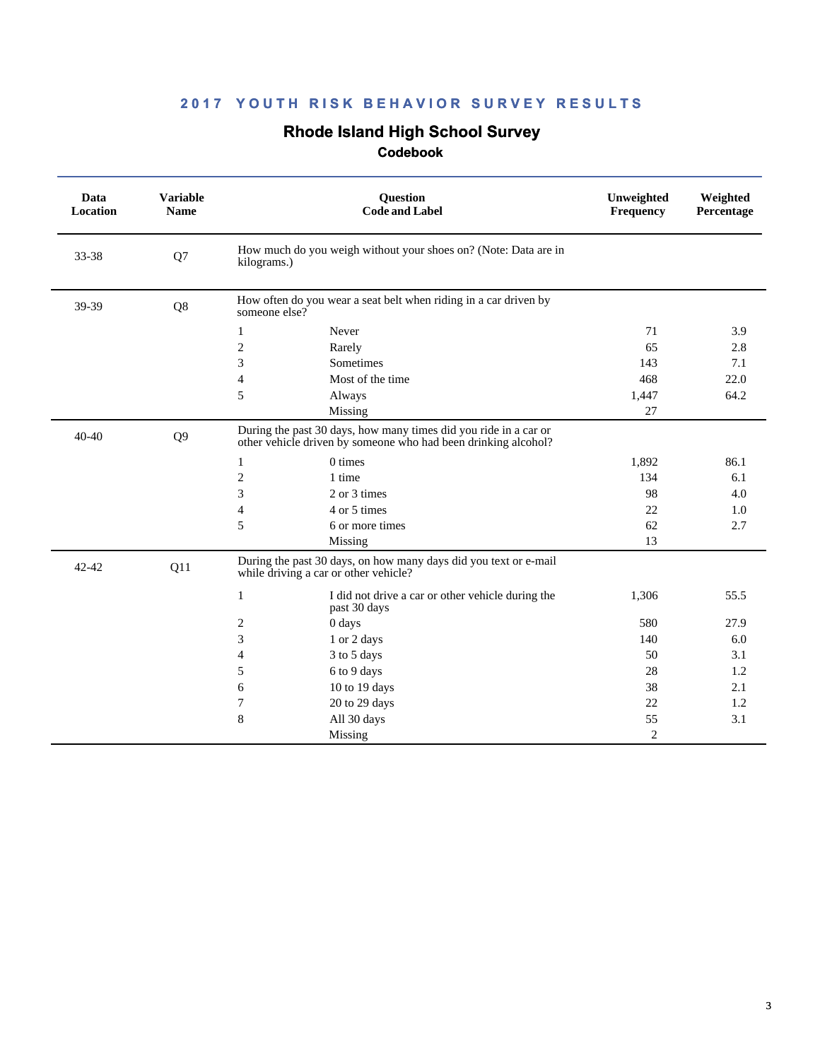# **Rhode Island High School Survey**

| Data<br><b>Location</b> | <b>Variable</b><br><b>Name</b> | Question<br><b>Code and Label</b>                                                                                                  | Unweighted<br>Frequency | Weighted<br>Percentage |
|-------------------------|--------------------------------|------------------------------------------------------------------------------------------------------------------------------------|-------------------------|------------------------|
| 33-38                   | Q7                             | How much do you weigh without your shoes on? (Note: Data are in<br>kilograms.)                                                     |                         |                        |
| 39-39                   | Q8                             | How often do you wear a seat belt when riding in a car driven by<br>someone else?                                                  |                         |                        |
|                         |                                | Never<br>1                                                                                                                         | 71                      | 3.9                    |
|                         |                                | $\overline{c}$<br>Rarely                                                                                                           | 65                      | 2.8                    |
|                         |                                | 3<br>Sometimes                                                                                                                     | 143                     | 7.1                    |
|                         |                                | $\overline{4}$<br>Most of the time                                                                                                 | 468                     | 22.0                   |
|                         |                                | 5<br>Always                                                                                                                        | 1,447                   | 64.2                   |
|                         |                                | Missing                                                                                                                            | 27                      |                        |
| $40 - 40$               | Q <sub>9</sub>                 | During the past 30 days, how many times did you ride in a car or<br>other vehicle driven by someone who had been drinking alcohol? |                         |                        |
|                         |                                | 0 times<br>1                                                                                                                       | 1,892                   | 86.1                   |
|                         |                                | $\overline{2}$<br>1 time                                                                                                           | 134                     | 6.1                    |
|                         |                                | 3<br>2 or 3 times                                                                                                                  | 98                      | 4.0                    |
|                         |                                | 4 or 5 times<br>4                                                                                                                  | 22                      | 1.0                    |
|                         |                                | 5<br>6 or more times                                                                                                               | 62                      | 2.7                    |
|                         |                                | Missing                                                                                                                            | 13                      |                        |
| $42 - 42$               | Q11                            | During the past 30 days, on how many days did you text or e-mail<br>while driving a car or other vehicle?                          |                         |                        |
|                         |                                | $\mathbf{1}$<br>I did not drive a car or other vehicle during the<br>past 30 days                                                  | 1,306                   | 55.5                   |
|                         |                                | $\overline{2}$<br>0 days                                                                                                           | 580                     | 27.9                   |
|                         |                                | 3<br>1 or 2 days                                                                                                                   | 140                     | 6.0                    |
|                         |                                | 3 to 5 days<br>4                                                                                                                   | 50                      | 3.1                    |
|                         |                                | 6 to 9 days<br>5                                                                                                                   | 28                      | 1.2                    |
|                         |                                | 6<br>10 to 19 days                                                                                                                 | 38                      | 2.1                    |
|                         |                                | 7<br>20 to 29 days                                                                                                                 | 22                      | 1.2                    |
|                         |                                | 8<br>All 30 days                                                                                                                   | 55                      | 3.1                    |
|                         |                                | Missing                                                                                                                            | $\overline{2}$          |                        |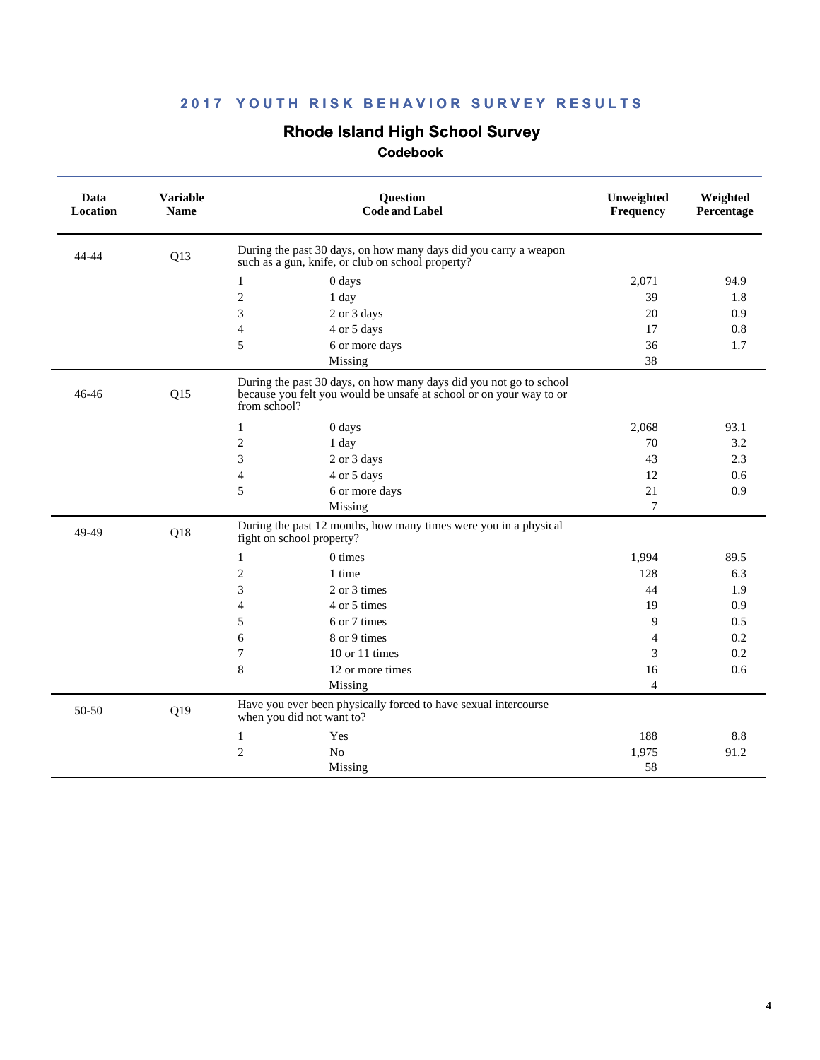# **Rhode Island High School Survey**

| Data<br><b>Location</b> | <b>Variable</b><br><b>Name</b> | <b>Question</b><br><b>Code and Label</b>                                                                                                                  | Unweighted<br>Frequency | Weighted<br>Percentage |
|-------------------------|--------------------------------|-----------------------------------------------------------------------------------------------------------------------------------------------------------|-------------------------|------------------------|
| 44-44                   | Q13                            | During the past 30 days, on how many days did you carry a weapon<br>such as a gun, knife, or club on school property?                                     |                         |                        |
|                         |                                | $\mathbf{1}$<br>0 days                                                                                                                                    | 2,071                   | 94.9                   |
|                         |                                | $\sqrt{2}$<br>1 day                                                                                                                                       | 39                      | 1.8                    |
|                         |                                | 3<br>2 or 3 days                                                                                                                                          | 20                      | 0.9                    |
|                         |                                | 4 or 5 days<br>$\overline{4}$                                                                                                                             | 17                      | 0.8                    |
|                         |                                | 5<br>6 or more days                                                                                                                                       | 36                      | 1.7                    |
|                         |                                | Missing                                                                                                                                                   | 38                      |                        |
| 46-46                   | Q15                            | During the past 30 days, on how many days did you not go to school<br>because you felt you would be unsafe at school or on your way to or<br>from school? |                         |                        |
|                         |                                | 1<br>0 days                                                                                                                                               | 2,068                   | 93.1                   |
|                         |                                | $\mathbf{2}$<br>1 day                                                                                                                                     | 70                      | 3.2                    |
|                         |                                | 3<br>2 or 3 days                                                                                                                                          | 43                      | 2.3                    |
|                         |                                | $\overline{4}$<br>4 or 5 days                                                                                                                             | 12                      | 0.6                    |
|                         |                                | 5<br>6 or more days                                                                                                                                       | 21                      | 0.9                    |
|                         |                                | Missing                                                                                                                                                   | $\overline{7}$          |                        |
| 49-49                   | Q18                            | During the past 12 months, how many times were you in a physical<br>fight on school property?                                                             |                         |                        |
|                         |                                | 0 times<br>1                                                                                                                                              | 1,994                   | 89.5                   |
|                         |                                | $\mathfrak{2}$<br>1 time                                                                                                                                  | 128                     | 6.3                    |
|                         |                                | 3<br>2 or 3 times                                                                                                                                         | 44                      | 1.9                    |
|                         |                                | 4 or 5 times<br>4                                                                                                                                         | 19                      | 0.9                    |
|                         |                                | 5<br>6 or 7 times                                                                                                                                         | 9                       | 0.5                    |
|                         |                                | 8 or 9 times<br>6                                                                                                                                         | 4                       | 0.2                    |
|                         |                                | $\overline{7}$<br>10 or 11 times                                                                                                                          | 3                       | 0.2                    |
|                         |                                | 8<br>12 or more times                                                                                                                                     | 16                      | 0.6                    |
|                         |                                | Missing                                                                                                                                                   | $\overline{4}$          |                        |
| 50-50                   | Q19                            | Have you ever been physically forced to have sexual intercourse<br>when you did not want to?                                                              |                         |                        |
|                         |                                | Yes<br>$\mathbf{1}$                                                                                                                                       | 188                     | 8.8                    |
|                         |                                | $\mathbf{2}$<br>N <sub>o</sub>                                                                                                                            | 1,975                   | 91.2                   |
|                         |                                | Missing                                                                                                                                                   | 58                      |                        |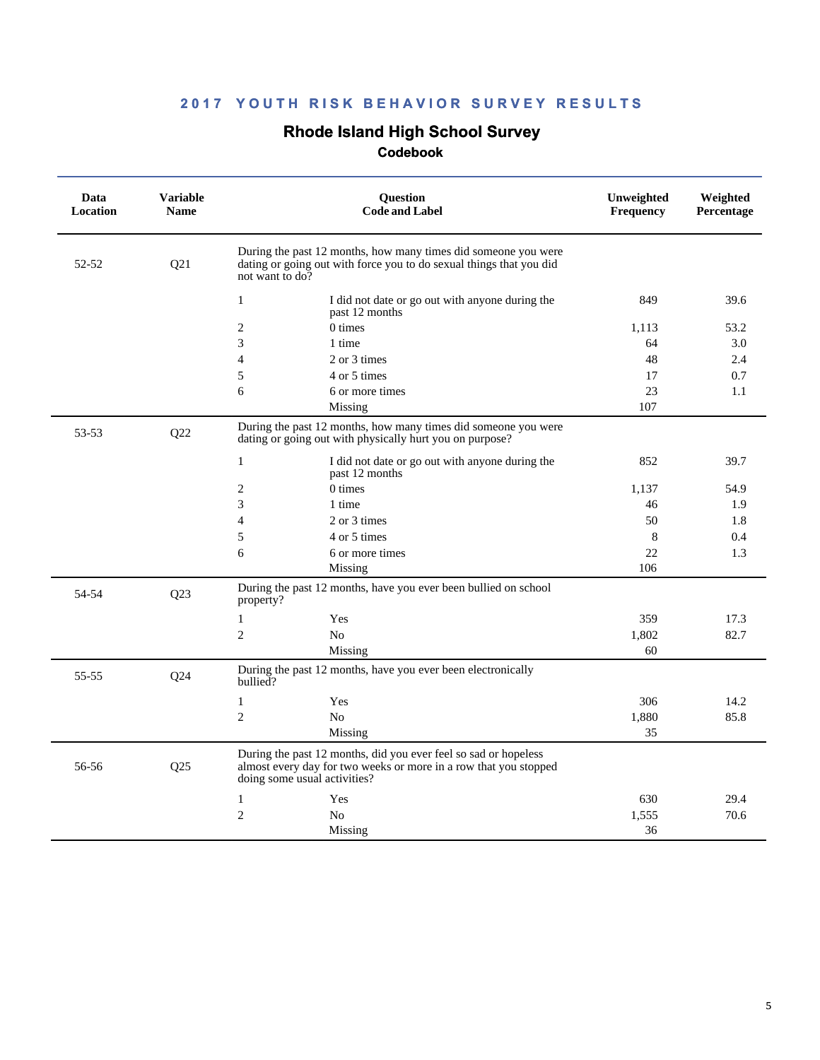# **Rhode Island High School Survey**

| During the past 12 months, how many times did someone you were<br>52-52<br>Q21<br>dating or going out with force you to do sexual things that you did<br>not want to do?<br>1<br>849<br>39.6<br>I did not date or go out with anyone during the<br>past 12 months<br>$\overline{2}$<br>$0 \times$<br>53.2<br>1.113<br>3<br>3.0<br>1 time<br>64<br>2 or 3 times<br>48<br>2.4<br>$\overline{4}$<br>5<br>4 or 5 times<br>0.7<br>17<br>6<br>6 or more times<br>23<br>1.1<br>Missing<br>107<br>During the past 12 months, how many times did someone you were<br>53-53<br>Q22<br>dating or going out with physically hurt you on purpose?<br>$\mathbf{1}$<br>852<br>39.7<br>I did not date or go out with anyone during the<br>past 12 months<br>$\overline{2}$<br>0 times<br>1,137<br>54.9<br>3<br>1 time<br>46<br>1.9<br>2 or 3 times<br>50<br>1.8<br>$\overline{4}$<br>5<br>4 or 5 times<br>8<br>0.4<br>22<br>6<br>6 or more times<br>1.3<br>106<br>Missing<br>During the past 12 months, have you ever been bullied on school<br>54-54<br>Q23<br>property?<br>$\mathbf{1}$<br>Yes<br>359<br>17.3<br>$\overline{2}$<br>N <sub>o</sub><br>82.7<br>1,802<br>Missing<br>60<br>During the past 12 months, have you ever been electronically<br>55-55<br>Q24<br>bullied?<br>$\mathbf{1}$<br>306<br>14.2<br>Yes<br>$\overline{2}$<br>1,880<br>85.8<br>N <sub>0</sub><br>Missing<br>35<br>During the past 12 months, did you ever feel so sad or hopeless<br>56-56<br>Q25<br>almost every day for two weeks or more in a row that you stopped<br>doing some usual activities?<br>1<br>630<br>29.4<br>Yes<br>$\overline{2}$<br>70.6<br>N <sub>0</sub><br>1,555<br>Missing<br>36 | Data<br><b>Location</b> | <b>Variable</b><br><b>Name</b> | <b>Question</b><br><b>Code and Label</b> | Unweighted<br>Frequency | Weighted<br>Percentage |
|-----------------------------------------------------------------------------------------------------------------------------------------------------------------------------------------------------------------------------------------------------------------------------------------------------------------------------------------------------------------------------------------------------------------------------------------------------------------------------------------------------------------------------------------------------------------------------------------------------------------------------------------------------------------------------------------------------------------------------------------------------------------------------------------------------------------------------------------------------------------------------------------------------------------------------------------------------------------------------------------------------------------------------------------------------------------------------------------------------------------------------------------------------------------------------------------------------------------------------------------------------------------------------------------------------------------------------------------------------------------------------------------------------------------------------------------------------------------------------------------------------------------------------------------------------------------------------------------------------------------------------------------------------------------------|-------------------------|--------------------------------|------------------------------------------|-------------------------|------------------------|
|                                                                                                                                                                                                                                                                                                                                                                                                                                                                                                                                                                                                                                                                                                                                                                                                                                                                                                                                                                                                                                                                                                                                                                                                                                                                                                                                                                                                                                                                                                                                                                                                                                                                       |                         |                                |                                          |                         |                        |
|                                                                                                                                                                                                                                                                                                                                                                                                                                                                                                                                                                                                                                                                                                                                                                                                                                                                                                                                                                                                                                                                                                                                                                                                                                                                                                                                                                                                                                                                                                                                                                                                                                                                       |                         |                                |                                          |                         |                        |
|                                                                                                                                                                                                                                                                                                                                                                                                                                                                                                                                                                                                                                                                                                                                                                                                                                                                                                                                                                                                                                                                                                                                                                                                                                                                                                                                                                                                                                                                                                                                                                                                                                                                       |                         |                                |                                          |                         |                        |
|                                                                                                                                                                                                                                                                                                                                                                                                                                                                                                                                                                                                                                                                                                                                                                                                                                                                                                                                                                                                                                                                                                                                                                                                                                                                                                                                                                                                                                                                                                                                                                                                                                                                       |                         |                                |                                          |                         |                        |
|                                                                                                                                                                                                                                                                                                                                                                                                                                                                                                                                                                                                                                                                                                                                                                                                                                                                                                                                                                                                                                                                                                                                                                                                                                                                                                                                                                                                                                                                                                                                                                                                                                                                       |                         |                                |                                          |                         |                        |
|                                                                                                                                                                                                                                                                                                                                                                                                                                                                                                                                                                                                                                                                                                                                                                                                                                                                                                                                                                                                                                                                                                                                                                                                                                                                                                                                                                                                                                                                                                                                                                                                                                                                       |                         |                                |                                          |                         |                        |
|                                                                                                                                                                                                                                                                                                                                                                                                                                                                                                                                                                                                                                                                                                                                                                                                                                                                                                                                                                                                                                                                                                                                                                                                                                                                                                                                                                                                                                                                                                                                                                                                                                                                       |                         |                                |                                          |                         |                        |
|                                                                                                                                                                                                                                                                                                                                                                                                                                                                                                                                                                                                                                                                                                                                                                                                                                                                                                                                                                                                                                                                                                                                                                                                                                                                                                                                                                                                                                                                                                                                                                                                                                                                       |                         |                                |                                          |                         |                        |
|                                                                                                                                                                                                                                                                                                                                                                                                                                                                                                                                                                                                                                                                                                                                                                                                                                                                                                                                                                                                                                                                                                                                                                                                                                                                                                                                                                                                                                                                                                                                                                                                                                                                       |                         |                                |                                          |                         |                        |
|                                                                                                                                                                                                                                                                                                                                                                                                                                                                                                                                                                                                                                                                                                                                                                                                                                                                                                                                                                                                                                                                                                                                                                                                                                                                                                                                                                                                                                                                                                                                                                                                                                                                       |                         |                                |                                          |                         |                        |
|                                                                                                                                                                                                                                                                                                                                                                                                                                                                                                                                                                                                                                                                                                                                                                                                                                                                                                                                                                                                                                                                                                                                                                                                                                                                                                                                                                                                                                                                                                                                                                                                                                                                       |                         |                                |                                          |                         |                        |
|                                                                                                                                                                                                                                                                                                                                                                                                                                                                                                                                                                                                                                                                                                                                                                                                                                                                                                                                                                                                                                                                                                                                                                                                                                                                                                                                                                                                                                                                                                                                                                                                                                                                       |                         |                                |                                          |                         |                        |
|                                                                                                                                                                                                                                                                                                                                                                                                                                                                                                                                                                                                                                                                                                                                                                                                                                                                                                                                                                                                                                                                                                                                                                                                                                                                                                                                                                                                                                                                                                                                                                                                                                                                       |                         |                                |                                          |                         |                        |
|                                                                                                                                                                                                                                                                                                                                                                                                                                                                                                                                                                                                                                                                                                                                                                                                                                                                                                                                                                                                                                                                                                                                                                                                                                                                                                                                                                                                                                                                                                                                                                                                                                                                       |                         |                                |                                          |                         |                        |
|                                                                                                                                                                                                                                                                                                                                                                                                                                                                                                                                                                                                                                                                                                                                                                                                                                                                                                                                                                                                                                                                                                                                                                                                                                                                                                                                                                                                                                                                                                                                                                                                                                                                       |                         |                                |                                          |                         |                        |
|                                                                                                                                                                                                                                                                                                                                                                                                                                                                                                                                                                                                                                                                                                                                                                                                                                                                                                                                                                                                                                                                                                                                                                                                                                                                                                                                                                                                                                                                                                                                                                                                                                                                       |                         |                                |                                          |                         |                        |
|                                                                                                                                                                                                                                                                                                                                                                                                                                                                                                                                                                                                                                                                                                                                                                                                                                                                                                                                                                                                                                                                                                                                                                                                                                                                                                                                                                                                                                                                                                                                                                                                                                                                       |                         |                                |                                          |                         |                        |
|                                                                                                                                                                                                                                                                                                                                                                                                                                                                                                                                                                                                                                                                                                                                                                                                                                                                                                                                                                                                                                                                                                                                                                                                                                                                                                                                                                                                                                                                                                                                                                                                                                                                       |                         |                                |                                          |                         |                        |
|                                                                                                                                                                                                                                                                                                                                                                                                                                                                                                                                                                                                                                                                                                                                                                                                                                                                                                                                                                                                                                                                                                                                                                                                                                                                                                                                                                                                                                                                                                                                                                                                                                                                       |                         |                                |                                          |                         |                        |
|                                                                                                                                                                                                                                                                                                                                                                                                                                                                                                                                                                                                                                                                                                                                                                                                                                                                                                                                                                                                                                                                                                                                                                                                                                                                                                                                                                                                                                                                                                                                                                                                                                                                       |                         |                                |                                          |                         |                        |
|                                                                                                                                                                                                                                                                                                                                                                                                                                                                                                                                                                                                                                                                                                                                                                                                                                                                                                                                                                                                                                                                                                                                                                                                                                                                                                                                                                                                                                                                                                                                                                                                                                                                       |                         |                                |                                          |                         |                        |
|                                                                                                                                                                                                                                                                                                                                                                                                                                                                                                                                                                                                                                                                                                                                                                                                                                                                                                                                                                                                                                                                                                                                                                                                                                                                                                                                                                                                                                                                                                                                                                                                                                                                       |                         |                                |                                          |                         |                        |
|                                                                                                                                                                                                                                                                                                                                                                                                                                                                                                                                                                                                                                                                                                                                                                                                                                                                                                                                                                                                                                                                                                                                                                                                                                                                                                                                                                                                                                                                                                                                                                                                                                                                       |                         |                                |                                          |                         |                        |
|                                                                                                                                                                                                                                                                                                                                                                                                                                                                                                                                                                                                                                                                                                                                                                                                                                                                                                                                                                                                                                                                                                                                                                                                                                                                                                                                                                                                                                                                                                                                                                                                                                                                       |                         |                                |                                          |                         |                        |
|                                                                                                                                                                                                                                                                                                                                                                                                                                                                                                                                                                                                                                                                                                                                                                                                                                                                                                                                                                                                                                                                                                                                                                                                                                                                                                                                                                                                                                                                                                                                                                                                                                                                       |                         |                                |                                          |                         |                        |
|                                                                                                                                                                                                                                                                                                                                                                                                                                                                                                                                                                                                                                                                                                                                                                                                                                                                                                                                                                                                                                                                                                                                                                                                                                                                                                                                                                                                                                                                                                                                                                                                                                                                       |                         |                                |                                          |                         |                        |
|                                                                                                                                                                                                                                                                                                                                                                                                                                                                                                                                                                                                                                                                                                                                                                                                                                                                                                                                                                                                                                                                                                                                                                                                                                                                                                                                                                                                                                                                                                                                                                                                                                                                       |                         |                                |                                          |                         |                        |
|                                                                                                                                                                                                                                                                                                                                                                                                                                                                                                                                                                                                                                                                                                                                                                                                                                                                                                                                                                                                                                                                                                                                                                                                                                                                                                                                                                                                                                                                                                                                                                                                                                                                       |                         |                                |                                          |                         |                        |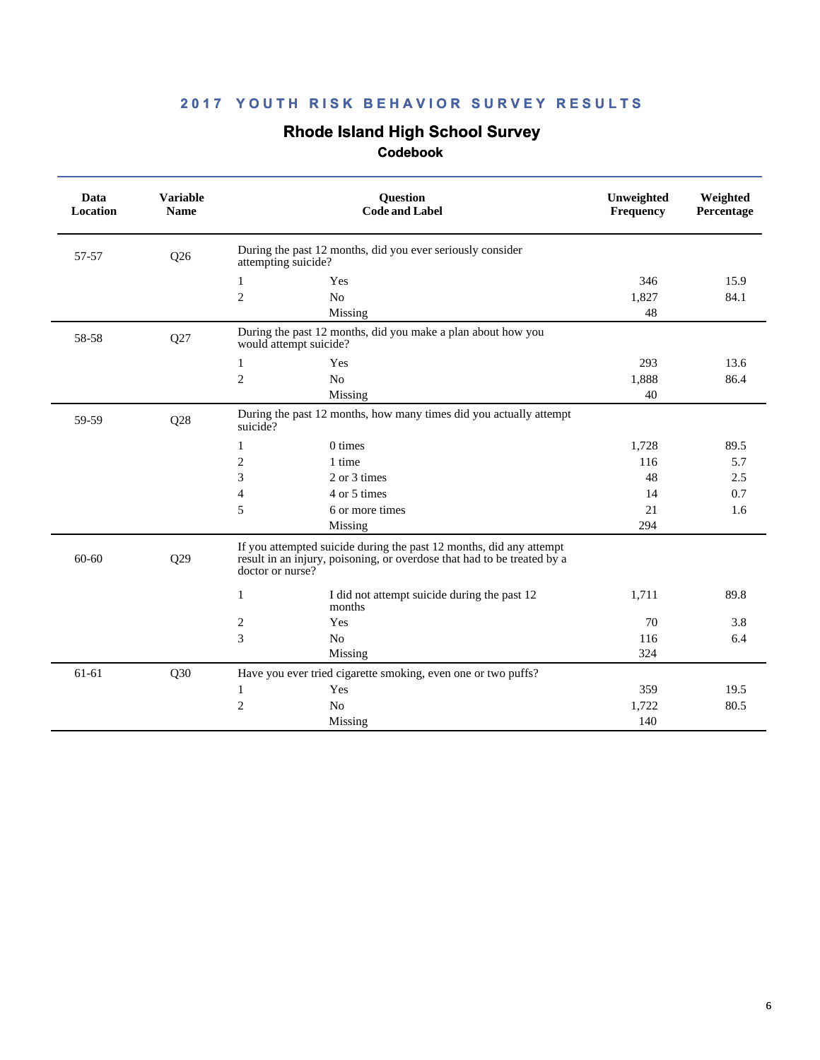# **Rhode Island High School Survey**

| Data<br><b>Location</b> | <b>Variable</b><br><b>Name</b> | <b>Question</b><br><b>Code and Label</b>                                                                                                                           | Unweighted<br>Frequency | Weighted<br>Percentage |
|-------------------------|--------------------------------|--------------------------------------------------------------------------------------------------------------------------------------------------------------------|-------------------------|------------------------|
| 57-57                   | Q26                            | During the past 12 months, did you ever seriously consider<br>attempting suicide?                                                                                  |                         |                        |
|                         |                                | Yes<br>$\mathbf{1}$                                                                                                                                                | 346                     | 15.9                   |
|                         |                                | $\mathfrak{2}$<br>N <sub>o</sub>                                                                                                                                   | 1,827                   | 84.1                   |
|                         |                                | Missing                                                                                                                                                            | 48                      |                        |
| 58-58                   | Q27                            | During the past 12 months, did you make a plan about how you<br>would attempt suicide?                                                                             |                         |                        |
|                         |                                | $\mathbf{1}$<br>Yes                                                                                                                                                | 293                     | 13.6                   |
|                         |                                | 2<br>N <sub>o</sub>                                                                                                                                                | 1,888                   | 86.4                   |
|                         |                                | Missing                                                                                                                                                            | 40                      |                        |
| 59-59                   | Q28                            | During the past 12 months, how many times did you actually attempt<br>suicide?                                                                                     |                         |                        |
|                         |                                | 0 times<br>1                                                                                                                                                       | 1,728                   | 89.5                   |
|                         |                                | 2<br>1 time                                                                                                                                                        | 116                     | 5.7                    |
|                         |                                | 3<br>2 or 3 times                                                                                                                                                  | 48                      | 2.5                    |
|                         |                                | 4 or 5 times<br>$\overline{4}$                                                                                                                                     | 14                      | 0.7                    |
|                         |                                | 5<br>6 or more times                                                                                                                                               | 21                      | 1.6                    |
|                         |                                | Missing                                                                                                                                                            | 294                     |                        |
| $60 - 60$               | Q29                            | If you attempted suicide during the past 12 months, did any attempt<br>result in an injury, poisoning, or overdose that had to be treated by a<br>doctor or nurse? |                         |                        |
|                         |                                | I did not attempt suicide during the past 12<br>1<br>months                                                                                                        | 1,711                   | 89.8                   |
|                         |                                | 2<br>Yes                                                                                                                                                           | 70                      | 3.8                    |
|                         |                                | 3<br>N <sub>o</sub>                                                                                                                                                | 116                     | 6.4                    |
|                         |                                | Missing                                                                                                                                                            | 324                     |                        |
| 61-61                   | Q30                            | Have you ever tried cigarette smoking, even one or two puffs?                                                                                                      |                         |                        |
|                         |                                | Yes<br>1                                                                                                                                                           | 359                     | 19.5                   |
|                         |                                | $\overline{2}$<br>N <sub>o</sub>                                                                                                                                   | 1,722                   | 80.5                   |
|                         |                                | Missing                                                                                                                                                            | 140                     |                        |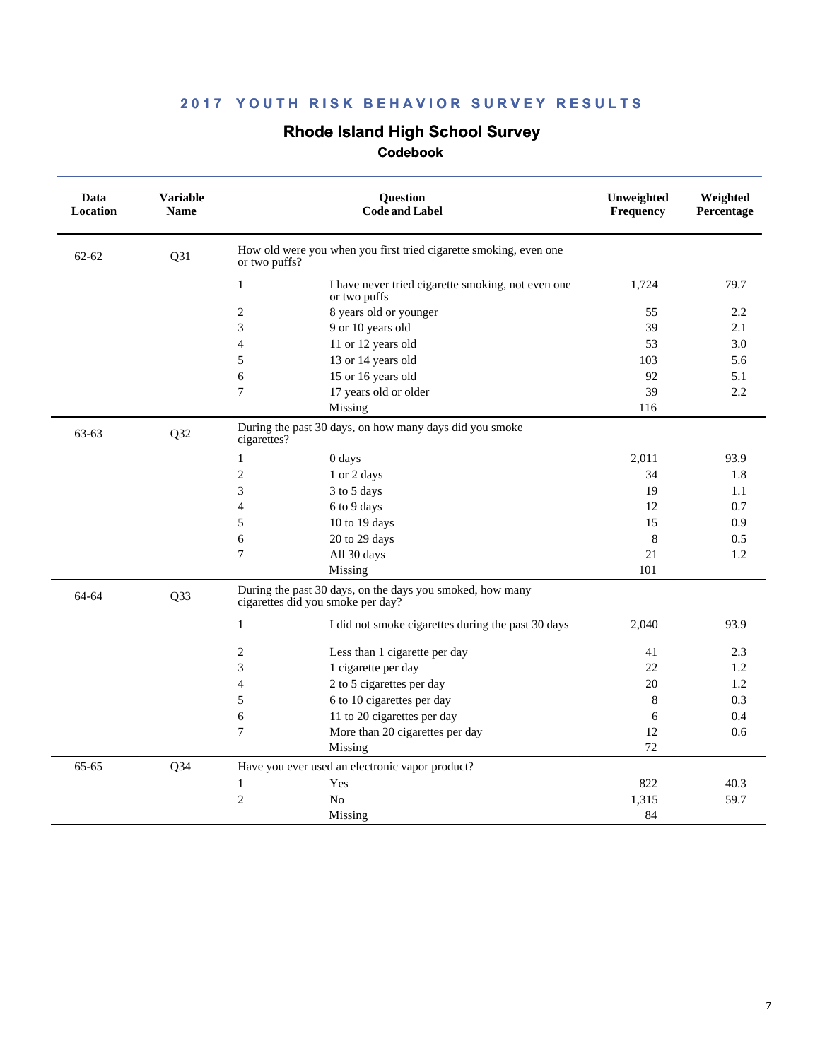# **Rhode Island High School Survey**

| Data<br>Location | <b>Variable</b><br><b>Name</b> | <b>Question</b><br><b>Code and Label</b>                                                       | Unweighted<br>Frequency | Weighted<br>Percentage |
|------------------|--------------------------------|------------------------------------------------------------------------------------------------|-------------------------|------------------------|
| $62 - 62$        | Q31                            | How old were you when you first tried cigarette smoking, even one<br>or two puffs?             |                         |                        |
|                  |                                | $\mathbf{1}$<br>I have never tried cigarette smoking, not even one<br>or two puffs             | 1,724                   | 79.7                   |
|                  |                                | $\overline{2}$<br>8 years old or younger                                                       | 55                      | 2.2                    |
|                  |                                | 9 or 10 years old<br>3                                                                         | 39                      | 2.1                    |
|                  |                                | $\overline{4}$<br>11 or 12 years old                                                           | 53                      | 3.0                    |
|                  |                                | 5<br>13 or 14 years old                                                                        | 103                     | 5.6                    |
|                  |                                | 15 or 16 years old<br>6                                                                        | 92                      | 5.1                    |
|                  |                                | $\overline{7}$<br>17 years old or older                                                        | 39                      | 2.2                    |
|                  |                                | Missing                                                                                        | 116                     |                        |
| 63-63            | Q32                            | During the past 30 days, on how many days did you smoke<br>cigarettes?                         |                         |                        |
|                  |                                | $\mathbf{1}$<br>0 days                                                                         | 2,011                   | 93.9                   |
|                  |                                | $\mathbf{2}$<br>1 or 2 days                                                                    | 34                      | 1.8                    |
|                  |                                | 3<br>3 to 5 days                                                                               | 19                      | 1.1                    |
|                  |                                | $\overline{4}$<br>6 to 9 days                                                                  | 12                      | 0.7                    |
|                  |                                | 5<br>10 to 19 days                                                                             | 15                      | 0.9                    |
|                  |                                | 20 to 29 days<br>6                                                                             | 8                       | 0.5                    |
|                  |                                | $\overline{7}$<br>All 30 days                                                                  | 21                      | 1.2                    |
|                  |                                | Missing                                                                                        | 101                     |                        |
| 64-64            | Q33                            | During the past 30 days, on the days you smoked, how many<br>cigarettes did you smoke per day? |                         |                        |
|                  |                                | $\mathbf{1}$<br>I did not smoke cigarettes during the past 30 days                             | 2,040                   | 93.9                   |
|                  |                                | 2<br>Less than 1 cigarette per day                                                             | 41                      | 2.3                    |
|                  |                                | 3<br>1 cigarette per day                                                                       | 22                      | 1.2                    |
|                  |                                | 2 to 5 cigarettes per day<br>$\overline{4}$                                                    | 20                      | 1.2                    |
|                  |                                | 5<br>6 to 10 cigarettes per day                                                                | 8                       | 0.3                    |
|                  |                                | 6<br>11 to 20 cigarettes per day                                                               | 6                       | 0.4                    |
|                  |                                | $\overline{7}$<br>More than 20 cigarettes per day                                              | 12                      | 0.6                    |
|                  |                                | Missing                                                                                        | 72                      |                        |
| $65 - 65$        | $Q$ 34                         | Have you ever used an electronic vapor product?                                                |                         |                        |
|                  |                                | $\mathbf{1}$<br>Yes                                                                            | 822                     | 40.3                   |
|                  |                                | $\overline{2}$<br>N <sub>o</sub>                                                               | 1,315                   | 59.7                   |
|                  |                                | Missing                                                                                        | 84                      |                        |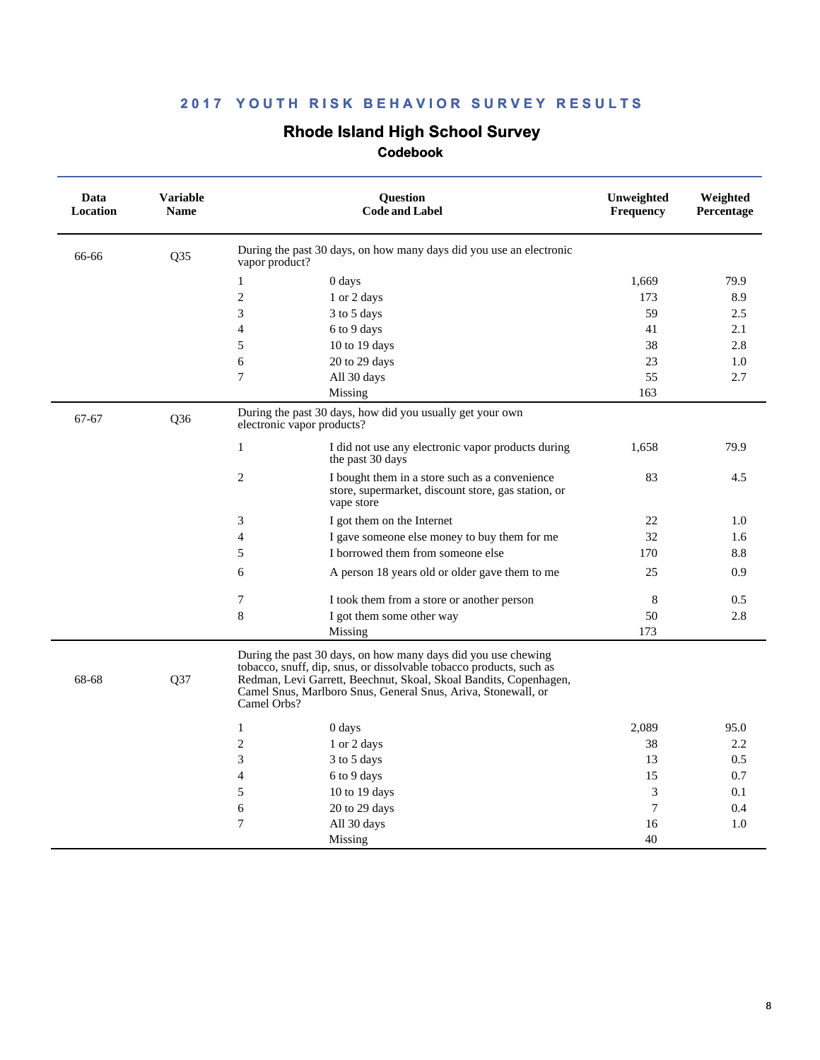# **Rhode Island High School Survey**

| Data<br>Location | <b>Variable</b><br><b>Name</b> | <b>Ouestion</b><br><b>Code and Label</b>                                                                                                                                                                                                                                                  | Unweighted<br>Frequency | Weighted<br>Percentage |
|------------------|--------------------------------|-------------------------------------------------------------------------------------------------------------------------------------------------------------------------------------------------------------------------------------------------------------------------------------------|-------------------------|------------------------|
| 66-66            | Q35                            | During the past 30 days, on how many days did you use an electronic<br>vapor product?                                                                                                                                                                                                     |                         |                        |
|                  |                                | $\mathbf{1}$<br>0 days                                                                                                                                                                                                                                                                    | 1,669                   | 79.9                   |
|                  |                                | $\mathbf{2}$<br>1 or 2 days                                                                                                                                                                                                                                                               | 173                     | 8.9                    |
|                  |                                | 3<br>3 to 5 days                                                                                                                                                                                                                                                                          | 59                      | 2.5                    |
|                  |                                | 4<br>6 to 9 days                                                                                                                                                                                                                                                                          | 41                      | 2.1                    |
|                  |                                | 5<br>$10$ to $19$ days                                                                                                                                                                                                                                                                    | 38                      | 2.8                    |
|                  |                                | 6<br>20 to 29 days                                                                                                                                                                                                                                                                        | 23                      | 1.0                    |
|                  |                                | 7<br>All 30 days                                                                                                                                                                                                                                                                          | 55                      | 2.7                    |
|                  |                                | Missing                                                                                                                                                                                                                                                                                   | 163                     |                        |
| $67 - 67$        | Q36                            | During the past 30 days, how did you usually get your own<br>electronic vapor products?                                                                                                                                                                                                   |                         |                        |
|                  |                                | $\mathbf{1}$<br>I did not use any electronic vapor products during<br>the past 30 days                                                                                                                                                                                                    | 1,658                   | 79.9                   |
|                  |                                | $\overline{2}$<br>I bought them in a store such as a convenience<br>store, supermarket, discount store, gas station, or<br>vape store                                                                                                                                                     | 83                      | 4.5                    |
|                  |                                | 3<br>I got them on the Internet                                                                                                                                                                                                                                                           | 22                      | 1.0                    |
|                  |                                | 4<br>I gave someone else money to buy them for me                                                                                                                                                                                                                                         | 32                      | 1.6                    |
|                  |                                | 5<br>I borrowed them from someone else                                                                                                                                                                                                                                                    | 170                     | 8.8                    |
|                  |                                | 6<br>A person 18 years old or older gave them to me                                                                                                                                                                                                                                       | 25                      | 0.9                    |
|                  |                                | 7<br>I took them from a store or another person                                                                                                                                                                                                                                           | 8                       | 0.5                    |
|                  |                                | 8<br>I got them some other way                                                                                                                                                                                                                                                            | 50                      | 2.8                    |
|                  |                                | Missing                                                                                                                                                                                                                                                                                   | 173                     |                        |
| 68-68            | Q37                            | During the past 30 days, on how many days did you use chewing<br>tobacco, snuff, dip, snus, or dissolvable tobacco products, such as<br>Redman, Levi Garrett, Beechnut, Skoal, Skoal Bandits, Copenhagen,<br>Camel Snus, Marlboro Snus, General Snus, Ariva, Stonewall, or<br>Camel Orbs? |                         |                        |
|                  |                                | 1<br>0 days                                                                                                                                                                                                                                                                               | 2,089                   | 95.0                   |
|                  |                                | $\overline{c}$<br>1 or 2 days                                                                                                                                                                                                                                                             | 38                      | 2.2                    |
|                  |                                | 3<br>3 to 5 days                                                                                                                                                                                                                                                                          | 13                      | 0.5                    |
|                  |                                | $\overline{4}$<br>6 to 9 days                                                                                                                                                                                                                                                             | 15                      | 0.7                    |
|                  |                                | 5<br>10 to 19 days                                                                                                                                                                                                                                                                        | $\mathfrak{Z}$          | 0.1                    |
|                  |                                | 6<br>20 to 29 days                                                                                                                                                                                                                                                                        | 7                       | 0.4                    |
|                  |                                | 7<br>All 30 days                                                                                                                                                                                                                                                                          | 16                      | 1.0                    |
|                  |                                | Missing                                                                                                                                                                                                                                                                                   | 40                      |                        |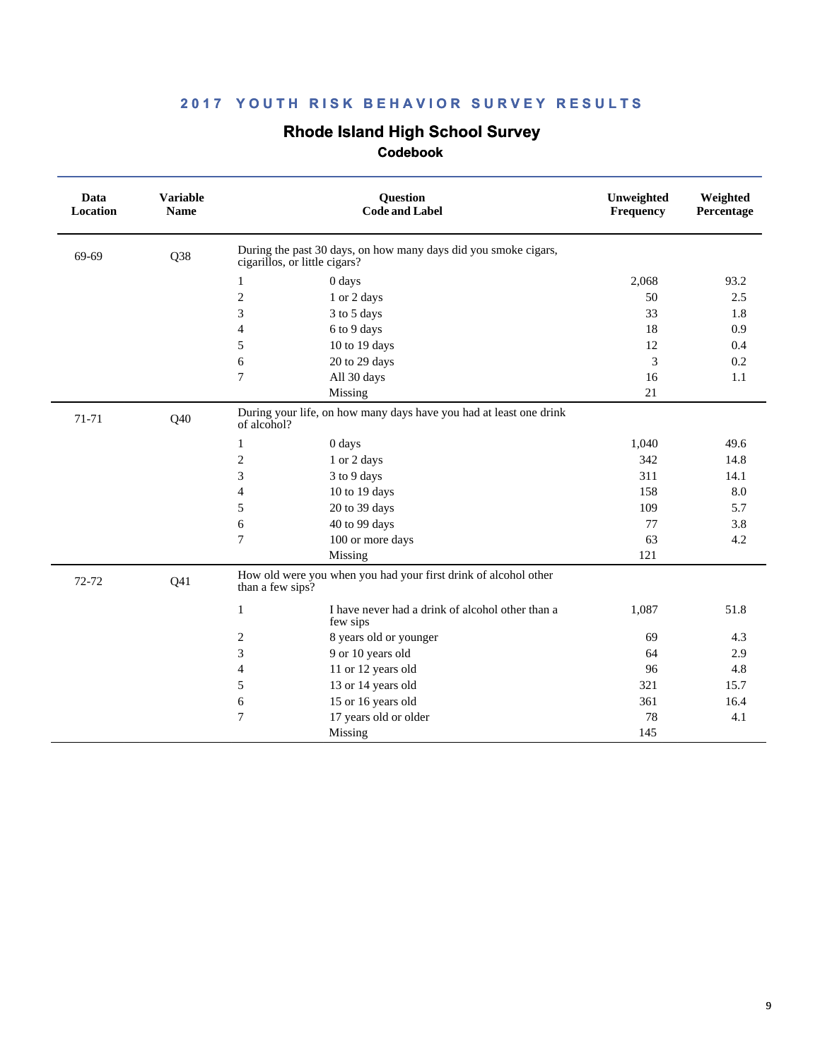# **Rhode Island High School Survey**

| Data<br>Location | <b>Variable</b><br><b>Name</b> |                               | Question<br><b>Code and Label</b>                                  | Unweighted<br>Frequency | Weighted<br>Percentage |
|------------------|--------------------------------|-------------------------------|--------------------------------------------------------------------|-------------------------|------------------------|
| 69-69            | Q38                            | cigarillos, or little cigars? | During the past 30 days, on how many days did you smoke cigars,    |                         |                        |
|                  |                                | 1                             | 0 days                                                             | 2,068                   | 93.2                   |
|                  |                                | $\overline{2}$                | 1 or 2 days                                                        | 50                      | 2.5                    |
|                  |                                | 3                             | 3 to 5 days                                                        | 33                      | 1.8                    |
|                  |                                | $\overline{4}$                | 6 to 9 days                                                        | 18                      | 0.9                    |
|                  |                                | 5                             | 10 to 19 days                                                      | 12                      | 0.4                    |
|                  |                                | 6                             | 20 to 29 days                                                      | 3                       | 0.2                    |
|                  |                                | $\overline{7}$                | All 30 days                                                        | 16                      | 1.1                    |
|                  |                                |                               | Missing                                                            | 21                      |                        |
| 71-71            | Q40                            | of alcohol?                   | During your life, on how many days have you had at least one drink |                         |                        |
|                  |                                | 1                             | 0 days                                                             | 1,040                   | 49.6                   |
|                  |                                | $\overline{2}$                | 1 or 2 days                                                        | 342                     | 14.8                   |
|                  |                                | 3                             | 3 to 9 days                                                        | 311                     | 14.1                   |
|                  |                                | $\overline{4}$                | 10 to 19 days                                                      | 158                     | 8.0                    |
|                  |                                | 5                             | 20 to 39 days                                                      | 109                     | 5.7                    |
|                  |                                | 6                             | 40 to 99 days                                                      | 77                      | 3.8                    |
|                  |                                | $\overline{7}$                | 100 or more days                                                   | 63                      | 4.2                    |
|                  |                                |                               | Missing                                                            | 121                     |                        |
| 72-72            | Q <sub>41</sub>                | than a few sips?              | How old were you when you had your first drink of alcohol other    |                         |                        |
|                  |                                | 1                             | I have never had a drink of alcohol other than a<br>few sips       | 1,087                   | 51.8                   |
|                  |                                | $\overline{c}$                | 8 years old or younger                                             | 69                      | 4.3                    |
|                  |                                | 3                             | 9 or 10 years old                                                  | 64                      | 2.9                    |
|                  |                                | 4                             | 11 or 12 years old                                                 | 96                      | 4.8                    |
|                  |                                | 5                             | 13 or 14 years old                                                 | 321                     | 15.7                   |
|                  |                                | 6                             | 15 or 16 years old                                                 | 361                     | 16.4                   |
|                  |                                | 7                             | 17 years old or older                                              | 78                      | 4.1                    |
|                  |                                |                               | Missing                                                            | 145                     |                        |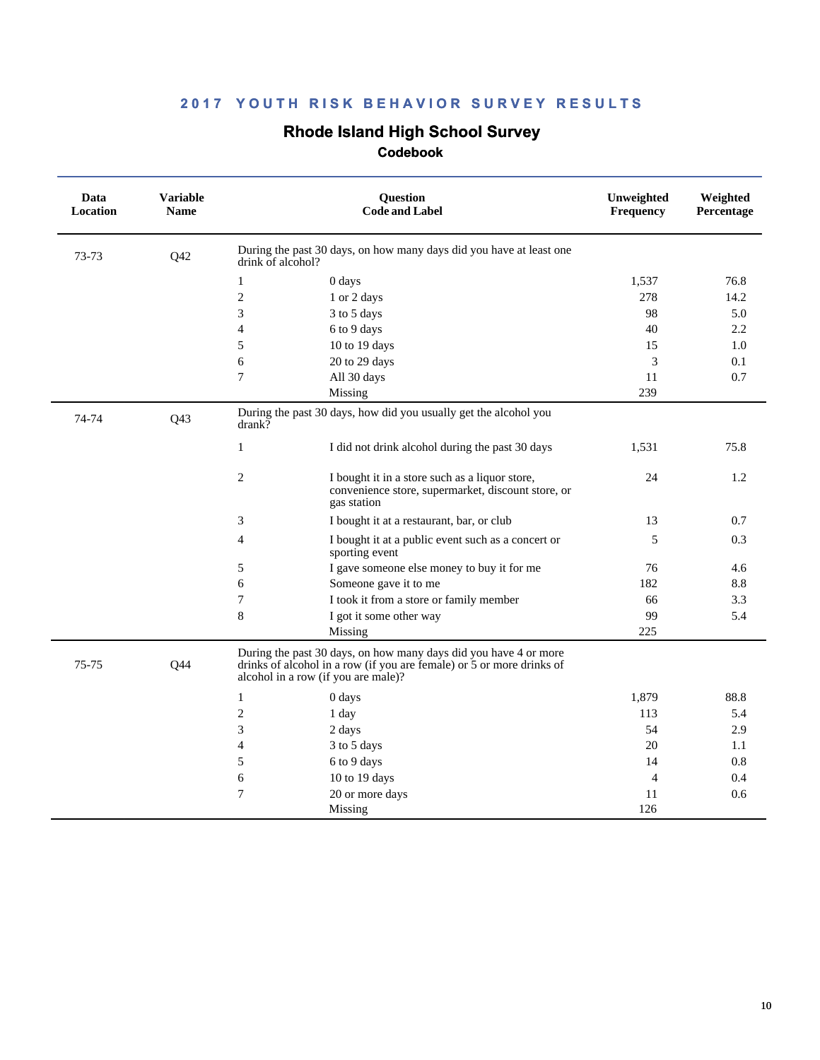# **Rhode Island High School Survey**

| Data<br>Location | <b>Variable</b><br><b>Name</b> |                   | Question<br><b>Code and Label</b>                                                                                                                                                | Unweighted<br>Frequency | Weighted<br>Percentage |
|------------------|--------------------------------|-------------------|----------------------------------------------------------------------------------------------------------------------------------------------------------------------------------|-------------------------|------------------------|
| 73-73            | Q42                            | drink of alcohol? | During the past 30 days, on how many days did you have at least one                                                                                                              |                         |                        |
|                  |                                | $\mathbf{1}$      | 0 days                                                                                                                                                                           | 1,537                   | 76.8                   |
|                  |                                | $\overline{c}$    | 1 or 2 days                                                                                                                                                                      | 278                     | 14.2                   |
|                  |                                | 3                 | 3 to 5 days                                                                                                                                                                      | 98                      | 5.0                    |
|                  |                                | $\overline{4}$    | 6 to 9 days                                                                                                                                                                      | 40                      | 2.2                    |
|                  |                                | 5                 | 10 to 19 days                                                                                                                                                                    | 15                      | 1.0                    |
|                  |                                | 6                 | 20 to 29 days                                                                                                                                                                    | 3                       | 0.1                    |
|                  |                                | 7                 | All 30 days                                                                                                                                                                      | 11                      | 0.7                    |
|                  |                                |                   | Missing                                                                                                                                                                          | 239                     |                        |
| 74-74            | Q43                            | drank?            | During the past 30 days, how did you usually get the alcohol you                                                                                                                 |                         |                        |
|                  |                                | 1                 | I did not drink alcohol during the past 30 days                                                                                                                                  | 1,531                   | 75.8                   |
|                  |                                | 2                 | I bought it in a store such as a liquor store,<br>convenience store, supermarket, discount store, or<br>gas station                                                              | 24                      | 1.2                    |
|                  |                                | 3                 | I bought it at a restaurant, bar, or club                                                                                                                                        | 13                      | 0.7                    |
|                  |                                | $\overline{4}$    | I bought it at a public event such as a concert or<br>sporting event                                                                                                             | 5                       | 0.3                    |
|                  |                                | 5                 | I gave someone else money to buy it for me                                                                                                                                       | 76                      | 4.6                    |
|                  |                                | 6                 | Someone gave it to me                                                                                                                                                            | 182                     | 8.8                    |
|                  |                                | $\overline{7}$    | I took it from a store or family member                                                                                                                                          | 66                      | 3.3                    |
|                  |                                | 8                 | I got it some other way                                                                                                                                                          | 99                      | 5.4                    |
|                  |                                |                   | Missing                                                                                                                                                                          | 225                     |                        |
| 75-75            | Q44                            |                   | During the past 30 days, on how many days did you have 4 or more<br>drinks of alcohol in a row (if you are female) or 5 or more drinks of<br>alcohol in a row (if you are male)? |                         |                        |
|                  |                                | $\mathbf{1}$      | 0 days                                                                                                                                                                           | 1,879                   | 88.8                   |
|                  |                                | $\mathbf{2}$      | 1 day                                                                                                                                                                            | 113                     | 5.4                    |
|                  |                                | 3                 | 2 days                                                                                                                                                                           | 54                      | 2.9                    |
|                  |                                | $\overline{4}$    | 3 to 5 days                                                                                                                                                                      | 20                      | 1.1                    |
|                  |                                | 5                 | 6 to 9 days                                                                                                                                                                      | 14                      | 0.8                    |
|                  |                                | 6                 | 10 to 19 days                                                                                                                                                                    | $\overline{4}$          | 0.4                    |
|                  |                                | 7                 | 20 or more days                                                                                                                                                                  | 11                      | 0.6                    |
|                  |                                |                   | Missing                                                                                                                                                                          | 126                     |                        |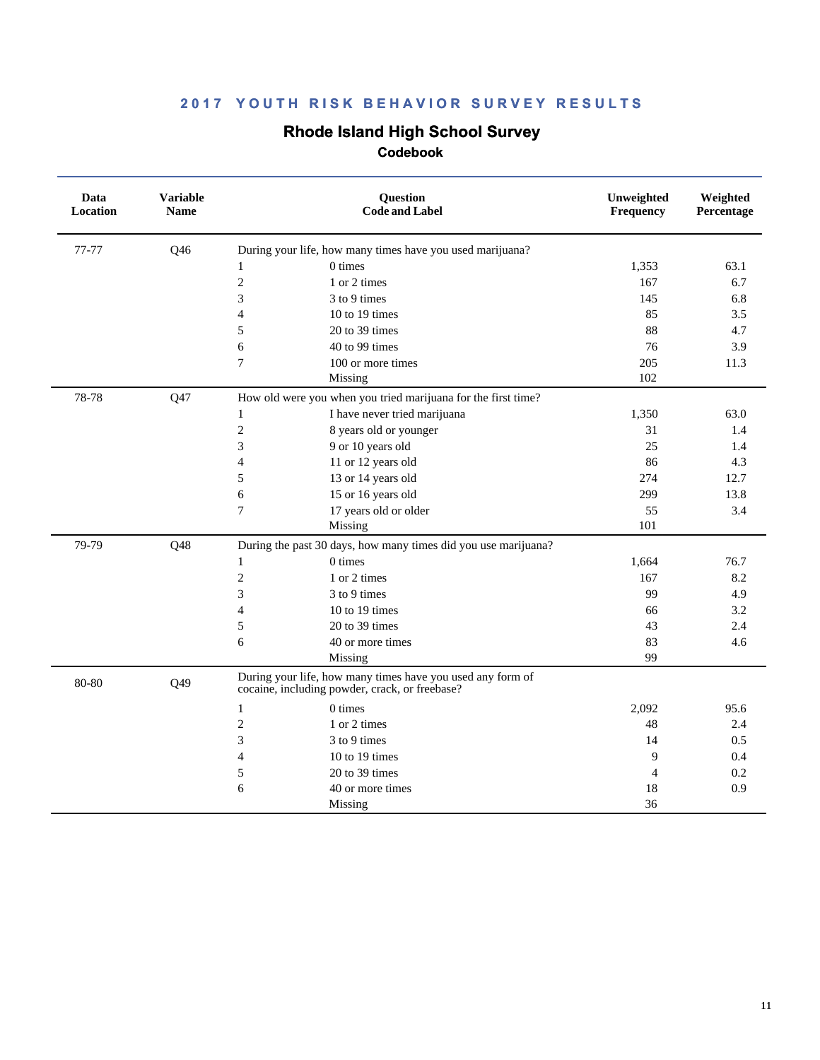### **Rhode Island High School Survey**

| Data<br>Location | <b>Variable</b><br><b>Name</b> | Question<br><b>Code and Label</b>                                                                            | Unweighted<br>Frequency | Weighted<br>Percentage |
|------------------|--------------------------------|--------------------------------------------------------------------------------------------------------------|-------------------------|------------------------|
| 77-77            | Q46                            | During your life, how many times have you used marijuana?                                                    |                         |                        |
|                  |                                | 0 times<br>$\mathbf{1}$                                                                                      | 1,353                   | 63.1                   |
|                  |                                | $\overline{2}$<br>1 or 2 times                                                                               | 167                     | 6.7                    |
|                  |                                | 3<br>3 to 9 times                                                                                            | 145                     | 6.8                    |
|                  |                                | 10 to 19 times<br>$\overline{4}$                                                                             | 85                      | 3.5                    |
|                  |                                | 5<br>20 to 39 times                                                                                          | 88                      | 4.7                    |
|                  |                                | 40 to 99 times<br>6                                                                                          | 76                      | 3.9                    |
|                  |                                | $\overline{7}$<br>100 or more times                                                                          | 205                     | 11.3                   |
|                  |                                | Missing                                                                                                      | 102                     |                        |
| 78-78            | Q47                            | How old were you when you tried marijuana for the first time?                                                |                         |                        |
|                  |                                | I have never tried marijuana<br>$\mathbf{1}$                                                                 | 1,350                   | 63.0                   |
|                  |                                | $\overline{2}$<br>8 years old or younger                                                                     | 31                      | 1.4                    |
|                  |                                | 3<br>9 or 10 years old                                                                                       | 25                      | 1.4                    |
|                  |                                | 11 or 12 years old<br>$\overline{4}$                                                                         | 86                      | 4.3                    |
|                  |                                | 5<br>13 or 14 years old                                                                                      | 274                     | 12.7                   |
|                  |                                | 15 or 16 years old<br>6                                                                                      | 299                     | 13.8                   |
|                  |                                | $\overline{7}$<br>17 years old or older                                                                      | 55                      | 3.4                    |
|                  |                                | Missing                                                                                                      | 101                     |                        |
| 79-79            | Q48                            | During the past 30 days, how many times did you use marijuana?                                               |                         |                        |
|                  |                                | $0 \times$<br>$\mathbf{1}$                                                                                   | 1,664                   | 76.7                   |
|                  |                                | $\overline{2}$<br>1 or 2 times                                                                               | 167                     | 8.2                    |
|                  |                                | 3<br>3 to 9 times                                                                                            | 99                      | 4.9                    |
|                  |                                | $\overline{4}$<br>10 to 19 times                                                                             | 66                      | 3.2                    |
|                  |                                | 5<br>20 to 39 times                                                                                          | 43                      | 2.4                    |
|                  |                                | 6<br>40 or more times                                                                                        | 83                      | 4.6                    |
|                  |                                | Missing                                                                                                      | 99                      |                        |
| 80-80            | Q49                            | During your life, how many times have you used any form of<br>cocaine, including powder, crack, or freebase? |                         |                        |
|                  |                                | $0 \times$<br>$\mathbf{1}$                                                                                   | 2,092                   | 95.6                   |
|                  |                                | $\overline{2}$<br>1 or 2 times                                                                               | 48                      | 2.4                    |
|                  |                                | 3<br>3 to 9 times                                                                                            | 14                      | 0.5                    |
|                  |                                | 10 to 19 times<br>$\overline{4}$                                                                             | 9                       | 0.4                    |
|                  |                                | 20 to 39 times<br>5                                                                                          | 4                       | 0.2                    |
|                  |                                | 6<br>40 or more times                                                                                        | 18                      | 0.9                    |
|                  |                                | Missing                                                                                                      | 36                      |                        |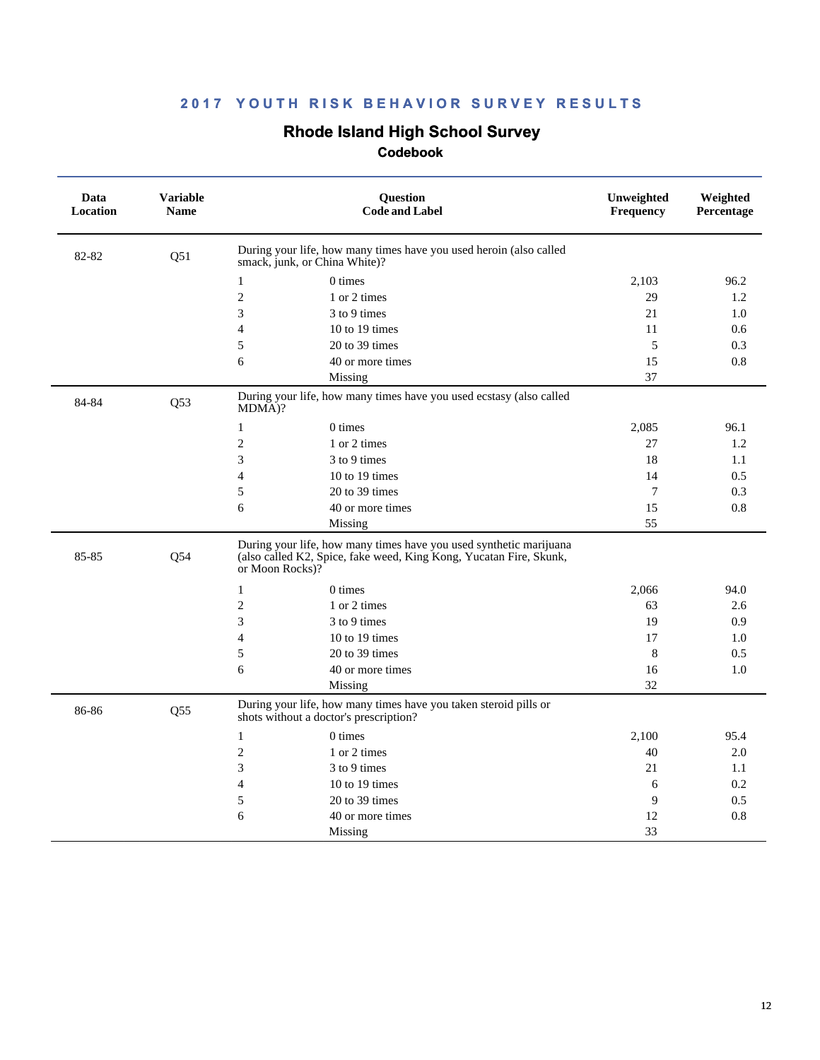### **Rhode Island High School Survey**

| Data<br>Location | <b>Variable</b><br><b>Name</b> | <b>Question</b><br><b>Code and Label</b>                                                                                                                    | Unweighted<br>Frequency | Weighted<br>Percentage |
|------------------|--------------------------------|-------------------------------------------------------------------------------------------------------------------------------------------------------------|-------------------------|------------------------|
| 82-82            | Q51                            | During your life, how many times have you used heroin (also called<br>smack, junk, or China White)?                                                         |                         |                        |
|                  |                                | $0 \times$<br>$\mathbf{1}$                                                                                                                                  | 2,103                   | 96.2                   |
|                  |                                | $\mathbf{2}$<br>1 or 2 times                                                                                                                                | 29                      | 1.2                    |
|                  |                                | 3<br>3 to 9 times                                                                                                                                           | 21                      | 1.0                    |
|                  |                                | $\overline{4}$<br>10 to 19 times                                                                                                                            | 11                      | 0.6                    |
|                  |                                | 5<br>20 to 39 times                                                                                                                                         | 5                       | 0.3                    |
|                  |                                | 6<br>40 or more times                                                                                                                                       | 15                      | 0.8                    |
|                  |                                | Missing                                                                                                                                                     | 37                      |                        |
| 84-84            | Q <sub>53</sub>                | During your life, how many times have you used ecstasy (also called<br>MDMA)?                                                                               |                         |                        |
|                  |                                | $0 \times$<br>$\mathbf{1}$                                                                                                                                  | 2,085                   | 96.1                   |
|                  |                                | $\mathbf{2}$<br>1 or 2 times                                                                                                                                | 27                      | 1.2                    |
|                  |                                | 3<br>3 to 9 times                                                                                                                                           | 18                      | 1.1                    |
|                  |                                | $\overline{4}$<br>10 to 19 times                                                                                                                            | 14                      | 0.5                    |
|                  |                                | 20 to 39 times<br>5                                                                                                                                         | 7                       | 0.3                    |
|                  |                                | 6<br>40 or more times                                                                                                                                       | 15                      | 0.8                    |
|                  |                                | Missing                                                                                                                                                     | 55                      |                        |
| 85-85            | Q54                            | During your life, how many times have you used synthetic marijuana<br>(also called K2, Spice, fake weed, King Kong, Yucatan Fire, Skunk,<br>or Moon Rocks)? |                         |                        |
|                  |                                | $\mathbf{1}$<br>$0 \times$                                                                                                                                  | 2,066                   | 94.0                   |
|                  |                                | $\mathbf{2}$<br>1 or 2 times                                                                                                                                | 63                      | 2.6                    |
|                  |                                | 3<br>3 to 9 times                                                                                                                                           | 19                      | 0.9                    |
|                  |                                | $\overline{4}$<br>10 to 19 times                                                                                                                            | 17                      | 1.0                    |
|                  |                                | 20 to 39 times<br>5                                                                                                                                         | 8                       | 0.5                    |
|                  |                                | 6<br>40 or more times                                                                                                                                       | 16                      | 1.0                    |
|                  |                                | Missing                                                                                                                                                     | 32                      |                        |
| 86-86            | Q55                            | During your life, how many times have you taken steroid pills or<br>shots without a doctor's prescription?                                                  |                         |                        |
|                  |                                | $\mathbf{1}$<br>0 times                                                                                                                                     | 2,100                   | 95.4                   |
|                  |                                | $\overline{2}$<br>1 or 2 times                                                                                                                              | 40                      | 2.0                    |
|                  |                                | 3<br>3 to 9 times                                                                                                                                           | 21                      | 1.1                    |
|                  |                                | $\overline{4}$<br>10 to 19 times                                                                                                                            | 6                       | 0.2                    |
|                  |                                | 20 to 39 times<br>5                                                                                                                                         | 9                       | 0.5                    |
|                  |                                | 6<br>40 or more times                                                                                                                                       | 12                      | 0.8                    |
|                  |                                | Missing                                                                                                                                                     | 33                      |                        |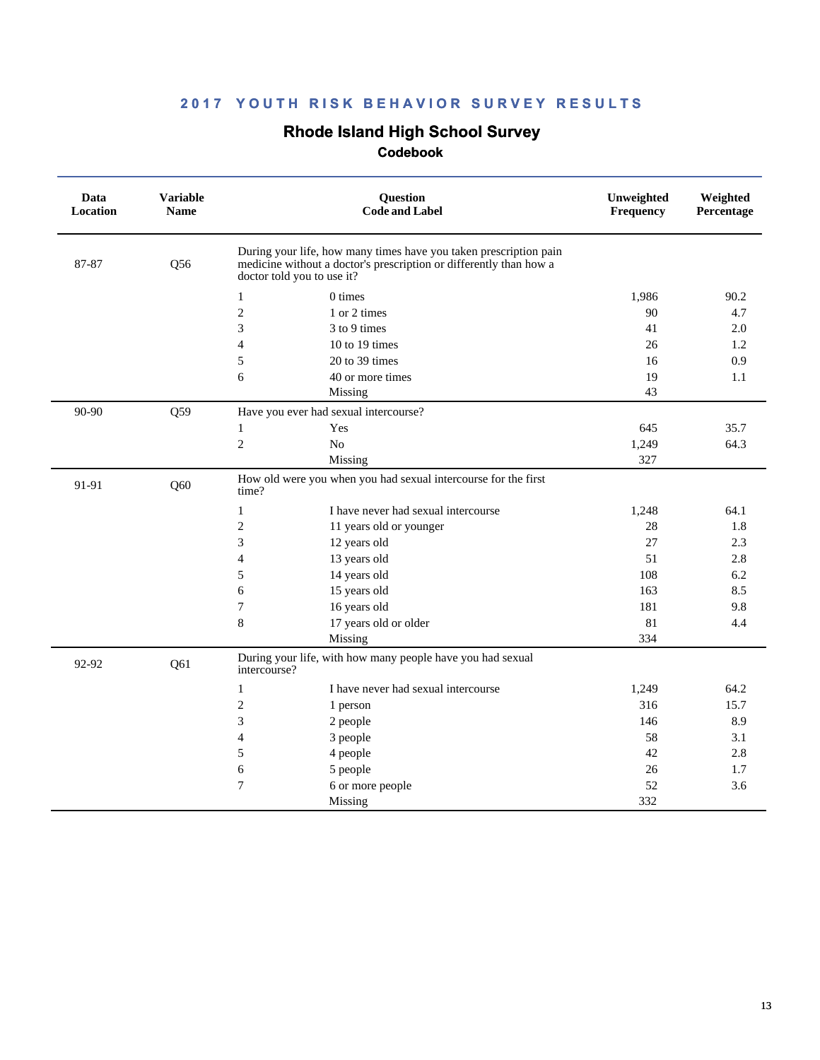### **Rhode Island High School Survey**

| Data<br>Location | <b>Variable</b><br><b>Name</b> | Question<br><b>Code and Label</b>                                                                                                                                     | Unweighted<br>Frequency | Weighted<br>Percentage |
|------------------|--------------------------------|-----------------------------------------------------------------------------------------------------------------------------------------------------------------------|-------------------------|------------------------|
| 87-87            | Q56                            | During your life, how many times have you taken prescription pain<br>medicine without a doctor's prescription or differently than how a<br>doctor told you to use it? |                         |                        |
|                  |                                | 0 times<br>1                                                                                                                                                          | 1,986                   | 90.2                   |
|                  |                                | $\mathfrak{2}$<br>1 or 2 times                                                                                                                                        | 90                      | 4.7                    |
|                  |                                | 3<br>3 to 9 times                                                                                                                                                     | 41                      | 2.0                    |
|                  |                                | 10 to 19 times<br>$\overline{4}$                                                                                                                                      | 26                      | 1.2                    |
|                  |                                | 5<br>20 to 39 times                                                                                                                                                   | 16                      | 0.9                    |
|                  |                                | 6<br>40 or more times                                                                                                                                                 | 19                      | 1.1                    |
|                  |                                | Missing                                                                                                                                                               | 43                      |                        |
| 90-90            | Q59                            | Have you ever had sexual intercourse?                                                                                                                                 |                         |                        |
|                  |                                | Yes<br>$\mathbf{1}$                                                                                                                                                   | 645                     | 35.7                   |
|                  |                                | $\mathfrak{2}$<br>No                                                                                                                                                  | 1,249                   | 64.3                   |
|                  |                                | Missing                                                                                                                                                               | 327                     |                        |
| 91-91            | Q60                            | How old were you when you had sexual intercourse for the first<br>time?                                                                                               |                         |                        |
|                  |                                | I have never had sexual intercourse<br>1                                                                                                                              | 1,248                   | 64.1                   |
|                  |                                | $\mathfrak{2}$<br>11 years old or younger                                                                                                                             | 28                      | 1.8                    |
|                  |                                | 3<br>12 years old                                                                                                                                                     | 27                      | 2.3                    |
|                  |                                | $\overline{4}$<br>13 years old                                                                                                                                        | 51                      | 2.8                    |
|                  |                                | 5<br>14 years old                                                                                                                                                     | 108                     | 6.2                    |
|                  |                                | 15 years old<br>6                                                                                                                                                     | 163                     | 8.5                    |
|                  |                                | 7<br>16 years old                                                                                                                                                     | 181                     | 9.8                    |
|                  |                                | 8<br>17 years old or older                                                                                                                                            | 81                      | 4.4                    |
|                  |                                | Missing                                                                                                                                                               | 334                     |                        |
| 92-92            | Q61                            | During your life, with how many people have you had sexual<br>intercourse?                                                                                            |                         |                        |
|                  |                                | I have never had sexual intercourse<br>$\mathbf{1}$                                                                                                                   | 1,249                   | 64.2                   |
|                  |                                | $\mathfrak{2}$<br>1 person                                                                                                                                            | 316                     | 15.7                   |
|                  |                                | 3<br>2 people                                                                                                                                                         | 146                     | 8.9                    |
|                  |                                | $\overline{4}$<br>3 people                                                                                                                                            | 58                      | 3.1                    |
|                  |                                | 5<br>4 people                                                                                                                                                         | 42                      | 2.8                    |
|                  |                                | 6<br>5 people                                                                                                                                                         | 26                      | 1.7                    |
|                  |                                | $\overline{7}$<br>6 or more people                                                                                                                                    | 52                      | 3.6                    |
|                  |                                | Missing                                                                                                                                                               | 332                     |                        |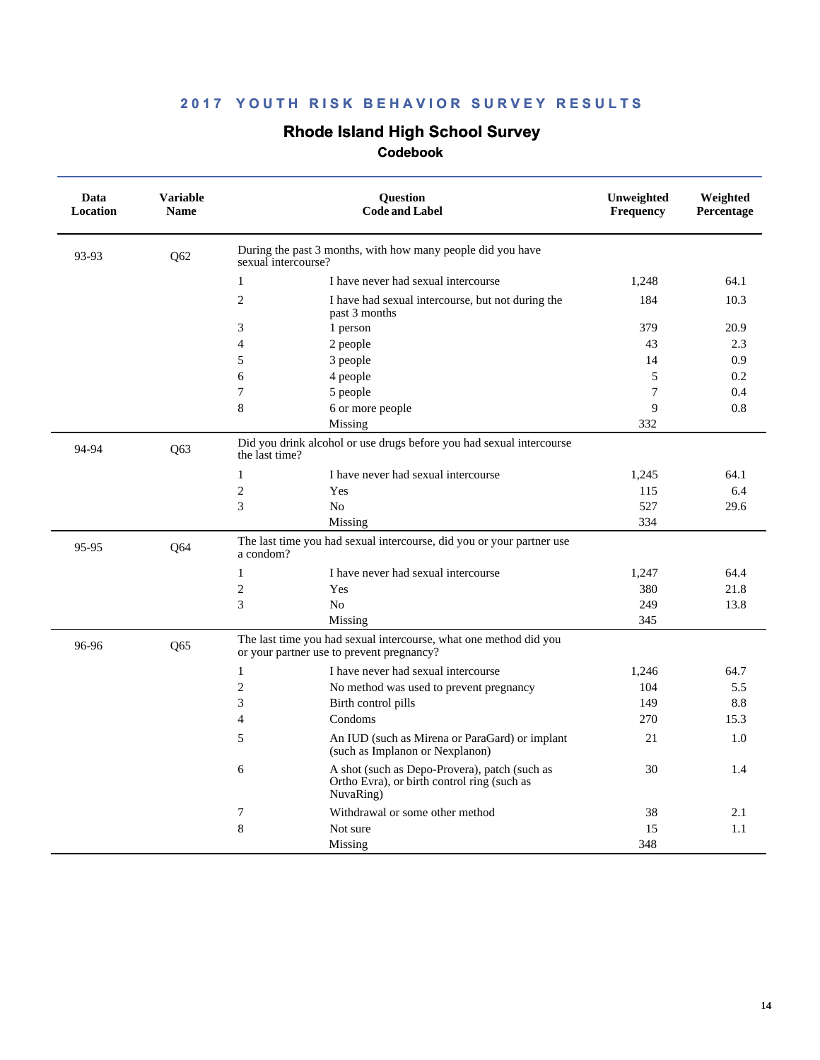### **Rhode Island High School Survey**

| Data<br><b>Location</b> | <b>Variable</b><br><b>Name</b> |                                           | <b>Ouestion</b><br><b>Code and Label</b>                                                     | Unweighted<br>Frequency | Weighted<br>Percentage |
|-------------------------|--------------------------------|-------------------------------------------|----------------------------------------------------------------------------------------------|-------------------------|------------------------|
| 93-93                   | Q62                            | sexual intercourse?                       | During the past 3 months, with how many people did you have                                  |                         |                        |
|                         |                                | $\mathbf{1}$                              | I have never had sexual intercourse                                                          | 1,248                   | 64.1                   |
|                         |                                | $\overline{2}$<br>past 3 months           | I have had sexual intercourse, but not during the                                            | 184                     | 10.3                   |
|                         |                                | 3<br>1 person                             |                                                                                              | 379                     | 20.9                   |
|                         |                                | $\overline{\mathcal{A}}$<br>2 people      |                                                                                              | 43                      | 2.3                    |
|                         |                                | 5<br>3 people                             |                                                                                              | 14                      | 0.9                    |
|                         |                                | 6<br>4 people                             |                                                                                              | 5                       | 0.2                    |
|                         |                                | $\overline{7}$<br>5 people                |                                                                                              | $\overline{7}$          | 0.4                    |
|                         |                                | 8<br>6 or more people                     |                                                                                              | 9                       | 0.8                    |
|                         |                                | Missing                                   |                                                                                              | 332                     |                        |
| 94-94                   | Q63                            | the last time?                            | Did you drink alcohol or use drugs before you had sexual intercourse                         |                         |                        |
|                         |                                | 1                                         | I have never had sexual intercourse                                                          | 1,245                   | 64.1                   |
|                         |                                | $\overline{2}$<br>Yes                     |                                                                                              | 115                     | 6.4                    |
|                         |                                | 3<br>N <sub>o</sub>                       |                                                                                              | 527                     | 29.6                   |
|                         |                                | Missing                                   |                                                                                              | 334                     |                        |
| 95-95                   | Q64                            | a condom?                                 | The last time you had sexual intercourse, did you or your partner use                        |                         |                        |
|                         |                                | $\mathbf{1}$                              | I have never had sexual intercourse                                                          | 1.247                   | 64.4                   |
|                         |                                | $\mathbf{2}$<br>Yes                       |                                                                                              | 380                     | 21.8                   |
|                         |                                | 3<br>No                                   |                                                                                              | 249                     | 13.8                   |
|                         |                                | Missing                                   |                                                                                              | 345                     |                        |
| 96-96                   | Q65                            | or your partner use to prevent pregnancy? | The last time you had sexual intercourse, what one method did you                            |                         |                        |
|                         |                                | $\mathbf{1}$                              | I have never had sexual intercourse                                                          | 1,246                   | 64.7                   |
|                         |                                | $\overline{2}$                            | No method was used to prevent pregnancy                                                      | 104                     | 5.5                    |
|                         |                                | 3<br>Birth control pills                  |                                                                                              | 149                     | 8.8                    |
|                         |                                | Condoms<br>$\overline{4}$                 |                                                                                              | 270                     | 15.3                   |
|                         |                                | 5                                         | An IUD (such as Mirena or ParaGard) or implant<br>(such as Implanon or Nexplanon)            | 21                      | 1.0                    |
|                         |                                | 6<br>NuvaRing)                            | A shot (such as Depo-Provera), patch (such as<br>Ortho Evra), or birth control ring (such as | 30                      | 1.4                    |
|                         |                                | 7                                         | Withdrawal or some other method                                                              | 38                      | 2.1                    |
|                         |                                | 8<br>Not sure                             |                                                                                              | 15                      | 1.1                    |
|                         |                                | Missing                                   |                                                                                              | 348                     |                        |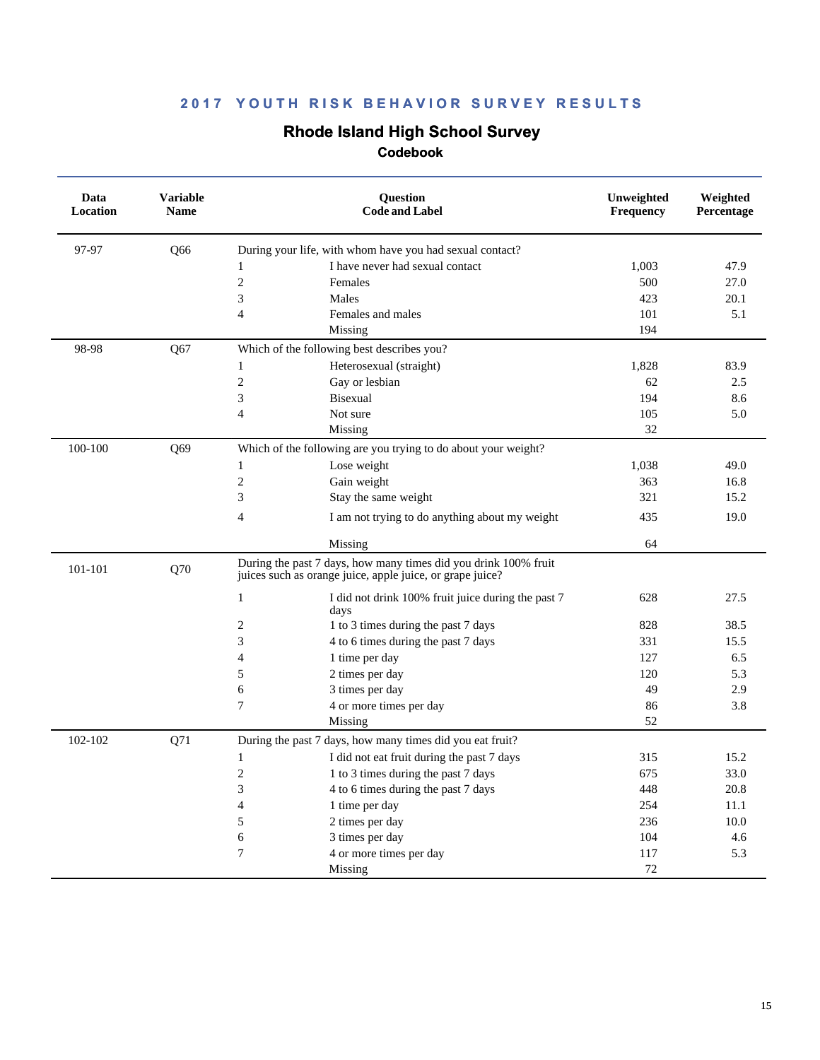### **Rhode Island High School Survey**

| Data<br>Location | <b>Variable</b><br><b>Name</b> |                                            | Question<br><b>Code and Label</b>                                                                                            | Unweighted<br><b>Frequency</b> | Weighted<br>Percentage |
|------------------|--------------------------------|--------------------------------------------|------------------------------------------------------------------------------------------------------------------------------|--------------------------------|------------------------|
| 97-97            | O66                            |                                            | During your life, with whom have you had sexual contact?                                                                     |                                |                        |
|                  |                                | 1                                          | I have never had sexual contact                                                                                              | 1,003                          | 47.9                   |
|                  |                                | $\sqrt{2}$                                 | Females                                                                                                                      | 500                            | 27.0                   |
|                  |                                | 3<br>Males                                 |                                                                                                                              | 423                            | 20.1                   |
|                  |                                | $\overline{4}$                             | Females and males                                                                                                            | 101                            | 5.1                    |
|                  |                                |                                            | Missing                                                                                                                      | 194                            |                        |
| 98-98            | Q67                            | Which of the following best describes you? |                                                                                                                              |                                |                        |
|                  |                                | 1                                          | Heterosexual (straight)                                                                                                      | 1,828                          | 83.9                   |
|                  |                                | $\sqrt{2}$                                 | Gay or lesbian                                                                                                               | 62                             | 2.5                    |
|                  |                                | 3                                          | <b>Bisexual</b>                                                                                                              | 194                            | 8.6                    |
|                  |                                | $\overline{4}$                             | Not sure                                                                                                                     | 105                            | 5.0                    |
|                  |                                |                                            | Missing                                                                                                                      | 32                             |                        |
| 100-100          | Q69                            |                                            | Which of the following are you trying to do about your weight?                                                               |                                |                        |
|                  |                                | 1                                          | Lose weight                                                                                                                  | 1,038                          | 49.0                   |
|                  |                                | $\mathbf{2}$                               | Gain weight                                                                                                                  | 363                            | 16.8                   |
|                  |                                | 3                                          | Stay the same weight                                                                                                         | 321                            | 15.2                   |
|                  |                                | $\overline{4}$                             | I am not trying to do anything about my weight                                                                               | 435                            | 19.0                   |
|                  |                                |                                            | Missing                                                                                                                      | 64                             |                        |
| 101-101          | Q70                            |                                            | During the past 7 days, how many times did you drink 100% fruit<br>juices such as orange juice, apple juice, or grape juice? |                                |                        |
|                  |                                | $\mathbf{1}$<br>days                       | I did not drink 100% fruit juice during the past 7                                                                           | 628                            | 27.5                   |
|                  |                                | $\overline{c}$                             | 1 to 3 times during the past 7 days                                                                                          | 828                            | 38.5                   |
|                  |                                | 3                                          | 4 to 6 times during the past 7 days                                                                                          | 331                            | 15.5                   |
|                  |                                | $\overline{4}$                             | 1 time per day                                                                                                               | 127                            | 6.5                    |
|                  |                                | 5                                          | 2 times per day                                                                                                              | 120                            | 5.3                    |
|                  |                                | 6                                          | 3 times per day                                                                                                              | 49                             | 2.9                    |
|                  |                                | 7                                          | 4 or more times per day                                                                                                      | 86                             | 3.8                    |
|                  |                                |                                            | Missing                                                                                                                      | 52                             |                        |
| 102-102          | Q71                            |                                            | During the past 7 days, how many times did you eat fruit?                                                                    |                                |                        |
|                  |                                | $\mathbf{1}$                               | I did not eat fruit during the past 7 days                                                                                   | 315                            | 15.2                   |
|                  |                                | $\overline{c}$                             | 1 to 3 times during the past 7 days                                                                                          | 675                            | 33.0                   |
|                  |                                | 3                                          | 4 to 6 times during the past 7 days                                                                                          | 448                            | 20.8                   |
|                  |                                | $\overline{4}$                             | 1 time per day                                                                                                               | 254                            | 11.1                   |
|                  |                                | 5                                          | 2 times per day                                                                                                              | 236                            | 10.0                   |
|                  |                                | 6                                          | 3 times per day                                                                                                              | 104                            | 4.6                    |
|                  |                                | 7                                          | 4 or more times per day                                                                                                      | 117                            | 5.3                    |
|                  |                                |                                            | Missing                                                                                                                      | 72                             |                        |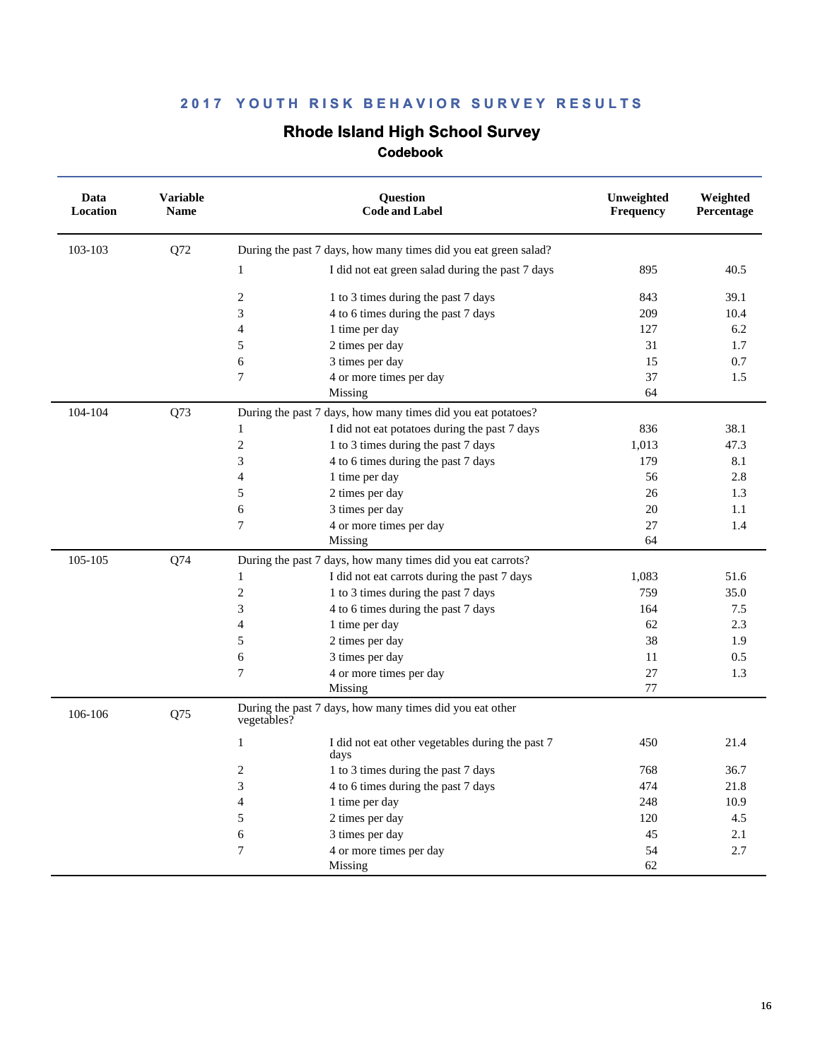# **Rhode Island High School Survey**

| Data<br>Location | <b>Variable</b><br><b>Name</b> |                | <b>Ouestion</b><br><b>Code and Label</b>                        | Unweighted<br><b>Frequency</b> | Weighted<br>Percentage |
|------------------|--------------------------------|----------------|-----------------------------------------------------------------|--------------------------------|------------------------|
| 103-103          | Q72                            |                | During the past 7 days, how many times did you eat green salad? |                                |                        |
|                  |                                | $\mathbf{1}$   | I did not eat green salad during the past 7 days                | 895                            | 40.5                   |
|                  |                                | $\overline{2}$ | 1 to 3 times during the past 7 days                             | 843                            | 39.1                   |
|                  |                                | 3              | 4 to 6 times during the past 7 days                             | 209                            | 10.4                   |
|                  |                                | $\overline{4}$ | 1 time per day                                                  | 127                            | 6.2                    |
|                  |                                | $\sqrt{5}$     | 2 times per day                                                 | 31                             | 1.7                    |
|                  |                                | 6              | 3 times per day                                                 | 15                             | 0.7                    |
|                  |                                | $\overline{7}$ | 4 or more times per day                                         | 37                             | 1.5                    |
|                  |                                |                | Missing                                                         | 64                             |                        |
| 104-104          | Q73                            |                | During the past 7 days, how many times did you eat potatoes?    |                                |                        |
|                  |                                | $\mathbf{1}$   | I did not eat potatoes during the past 7 days                   | 836                            | 38.1                   |
|                  |                                | $\overline{c}$ | 1 to 3 times during the past 7 days                             | 1,013                          | 47.3                   |
|                  |                                | 3              | 4 to 6 times during the past 7 days                             | 179                            | 8.1                    |
|                  |                                | $\overline{4}$ | 1 time per day                                                  | 56                             | 2.8                    |
|                  |                                | 5              | 2 times per day                                                 | 26                             | 1.3                    |
|                  |                                | 6              | 3 times per day                                                 | 20                             | 1.1                    |
|                  |                                | $\overline{7}$ | 4 or more times per day                                         | 27                             | 1.4                    |
|                  |                                |                | Missing                                                         | 64                             |                        |
| 105-105          | Q74                            |                | During the past 7 days, how many times did you eat carrots?     |                                |                        |
|                  |                                | 1              | I did not eat carrots during the past 7 days                    | 1,083                          | 51.6                   |
|                  |                                | $\overline{2}$ | 1 to 3 times during the past 7 days                             | 759                            | 35.0                   |
|                  |                                | $\mathfrak{Z}$ | 4 to 6 times during the past 7 days                             | 164                            | 7.5                    |
|                  |                                | $\overline{4}$ | 1 time per day                                                  | 62                             | 2.3                    |
|                  |                                | 5              | 2 times per day                                                 | 38                             | 1.9                    |
|                  |                                | 6              | 3 times per day                                                 | 11                             | 0.5                    |
|                  |                                | $\tau$         | 4 or more times per day                                         | 27                             | 1.3                    |
|                  |                                |                | Missing                                                         | 77                             |                        |
| 106-106          | Q75                            | vegetables?    | During the past 7 days, how many times did you eat other        |                                |                        |
|                  |                                | $\mathbf{1}$   | I did not eat other vegetables during the past 7<br>days        | 450                            | 21.4                   |
|                  |                                | 2              | 1 to 3 times during the past 7 days                             | 768                            | 36.7                   |
|                  |                                | 3              | 4 to 6 times during the past 7 days                             | 474                            | 21.8                   |
|                  |                                | $\overline{4}$ | 1 time per day                                                  | 248                            | 10.9                   |
|                  |                                | 5              | 2 times per day                                                 | 120                            | 4.5                    |
|                  |                                | 6              | 3 times per day                                                 | 45                             | 2.1                    |
|                  |                                | $\tau$         | 4 or more times per day                                         | 54                             | 2.7                    |
|                  |                                |                | Missing                                                         | 62                             |                        |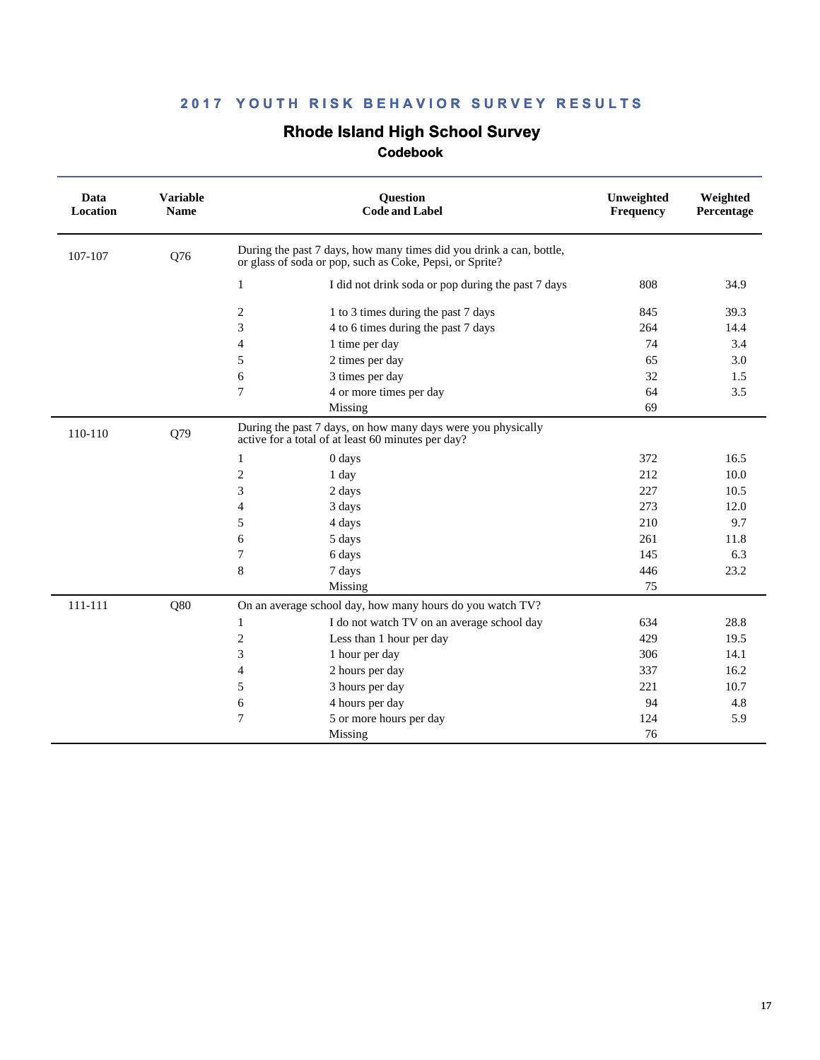# **Rhode Island High School Survey**

| Data<br>Location | <b>Variable</b><br><b>Name</b> |                                                                                                                                 | <b>Ouestion</b><br><b>Code and Label</b>                                                                           | Unweighted<br>Frequency | Weighted<br>Percentage |
|------------------|--------------------------------|---------------------------------------------------------------------------------------------------------------------------------|--------------------------------------------------------------------------------------------------------------------|-------------------------|------------------------|
| 107-107          | Q76                            | During the past 7 days, how many times did you drink a can, bottle,<br>or glass of soda or pop, such as Coke, Pepsi, or Sprite? |                                                                                                                    |                         |                        |
|                  |                                | $\mathbf{1}$                                                                                                                    | I did not drink soda or pop during the past 7 days                                                                 | 808                     | 34.9                   |
|                  |                                | 2                                                                                                                               | 1 to 3 times during the past 7 days                                                                                | 845                     | 39.3                   |
|                  |                                | 3                                                                                                                               | 4 to 6 times during the past 7 days                                                                                | 264                     | 14.4                   |
|                  |                                | 4                                                                                                                               | 1 time per day                                                                                                     | 74                      | 3.4                    |
|                  |                                | 5                                                                                                                               | 2 times per day                                                                                                    | 65                      | 3.0                    |
|                  |                                | 6                                                                                                                               | 3 times per day                                                                                                    | 32                      | 1.5                    |
|                  |                                | 7                                                                                                                               | 4 or more times per day                                                                                            | 64                      | 3.5                    |
|                  |                                |                                                                                                                                 | Missing                                                                                                            | 69                      |                        |
| 110-110          | Q79                            |                                                                                                                                 | During the past 7 days, on how many days were you physically<br>active for a total of at least 60 minutes per day? |                         |                        |
|                  |                                | 1                                                                                                                               | 0 days                                                                                                             | 372                     | 16.5                   |
|                  |                                | $\overline{c}$                                                                                                                  | 1 day                                                                                                              | 212                     | 10.0                   |
|                  |                                | 3                                                                                                                               | 2 days                                                                                                             | 227                     | 10.5                   |
|                  |                                | $\overline{4}$                                                                                                                  | 3 days                                                                                                             | 273                     | 12.0                   |
|                  |                                | 5                                                                                                                               | 4 days                                                                                                             | 210                     | 9.7                    |
|                  |                                | 6                                                                                                                               | 5 days                                                                                                             | 261                     | 11.8                   |
|                  |                                | $\sqrt{ }$                                                                                                                      | 6 days                                                                                                             | 145                     | 6.3                    |
|                  |                                | 8                                                                                                                               | 7 days                                                                                                             | 446                     | 23.2                   |
|                  |                                |                                                                                                                                 | Missing                                                                                                            | 75                      |                        |
| 111-111          | Q80                            |                                                                                                                                 | On an average school day, how many hours do you watch TV?                                                          |                         |                        |
|                  |                                | 1                                                                                                                               | I do not watch TV on an average school day                                                                         | 634                     | 28.8                   |
|                  |                                | $\overline{c}$                                                                                                                  | Less than 1 hour per day                                                                                           | 429                     | 19.5                   |
|                  |                                | 3                                                                                                                               | 1 hour per day                                                                                                     | 306                     | 14.1                   |
|                  |                                | $\overline{4}$                                                                                                                  | 2 hours per day                                                                                                    | 337                     | 16.2                   |
|                  |                                | 5                                                                                                                               | 3 hours per day                                                                                                    | 221                     | 10.7                   |
|                  |                                | 6                                                                                                                               | 4 hours per day                                                                                                    | 94                      | 4.8                    |
|                  |                                | 7                                                                                                                               | 5 or more hours per day                                                                                            | 124                     | 5.9                    |
|                  |                                |                                                                                                                                 | Missing                                                                                                            | 76                      |                        |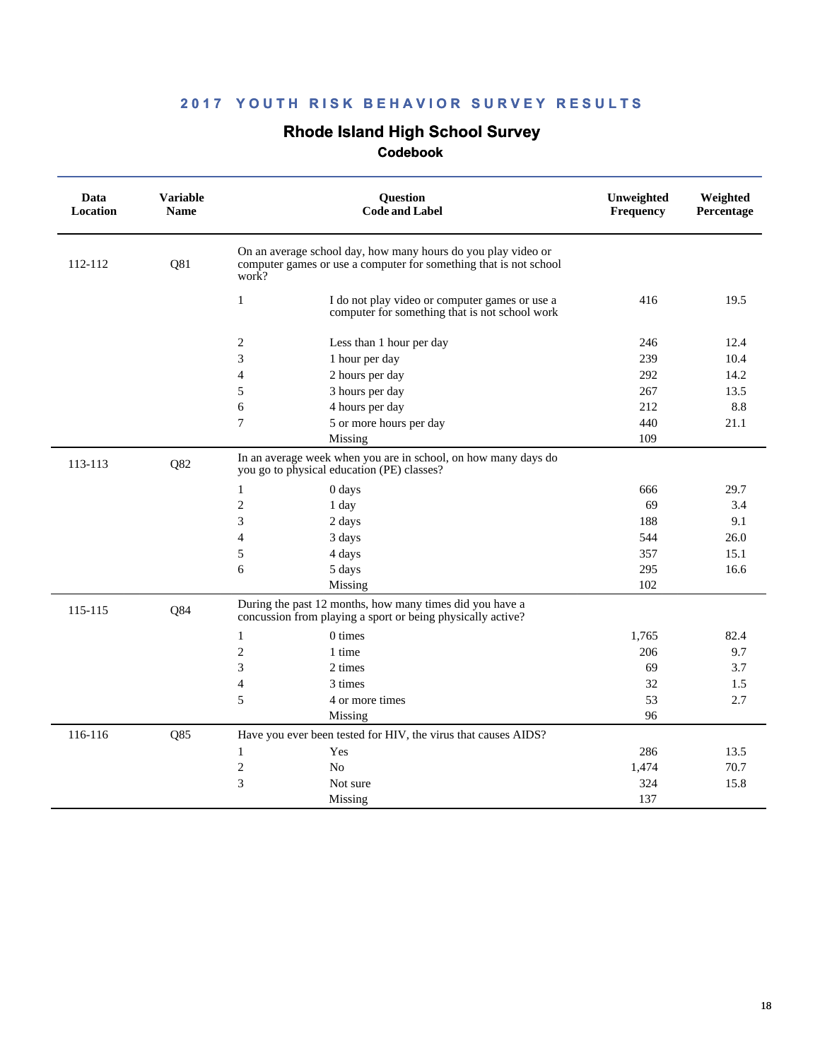# **Rhode Island High School Survey**

| Data<br>Location | <b>Variable</b><br><b>Name</b> | <b>Question</b><br><b>Code and Label</b>                                                                                                    | Unweighted<br>Frequency | Weighted<br>Percentage |
|------------------|--------------------------------|---------------------------------------------------------------------------------------------------------------------------------------------|-------------------------|------------------------|
| 112-112          | Q81                            | On an average school day, how many hours do you play video or<br>computer games or use a computer for something that is not school<br>work? |                         |                        |
|                  |                                | $\mathbf{1}$<br>I do not play video or computer games or use a<br>computer for something that is not school work                            | 416                     | 19.5                   |
|                  |                                | $\overline{2}$<br>Less than 1 hour per day                                                                                                  | 246                     | 12.4                   |
|                  |                                | 3<br>1 hour per day                                                                                                                         | 239                     | 10.4                   |
|                  |                                | $\overline{4}$<br>2 hours per day                                                                                                           | 292                     | 14.2                   |
|                  |                                | 5<br>3 hours per day                                                                                                                        | 267                     | 13.5                   |
|                  |                                | 6<br>4 hours per day                                                                                                                        | 212                     | 8.8                    |
|                  |                                | 7<br>5 or more hours per day                                                                                                                | 440                     | 21.1                   |
|                  |                                | Missing                                                                                                                                     | 109                     |                        |
| 113-113          | Q82                            | In an average week when you are in school, on how many days do<br>you go to physical education (PE) classes?                                |                         |                        |
|                  |                                | $\mathbf{1}$<br>0 days                                                                                                                      | 666                     | 29.7                   |
|                  |                                | $\overline{c}$<br>1 day                                                                                                                     | 69                      | 3.4                    |
|                  |                                | 3<br>2 days                                                                                                                                 | 188                     | 9.1                    |
|                  |                                | $\overline{4}$<br>3 days                                                                                                                    | 544                     | 26.0                   |
|                  |                                | 5<br>4 days                                                                                                                                 | 357                     | 15.1                   |
|                  |                                | 6<br>5 days                                                                                                                                 | 295                     | 16.6                   |
|                  |                                | Missing                                                                                                                                     | 102                     |                        |
| 115-115          | Q84                            | During the past 12 months, how many times did you have a<br>concussion from playing a sport or being physically active?                     |                         |                        |
|                  |                                | $0 \times$<br>1                                                                                                                             | 1,765                   | 82.4                   |
|                  |                                | $\mathbf{2}$<br>1 time                                                                                                                      | 206                     | 9.7                    |
|                  |                                | 3<br>2 times                                                                                                                                | 69                      | 3.7                    |
|                  |                                | 3 times<br>4                                                                                                                                | 32                      | 1.5                    |
|                  |                                | 5<br>4 or more times                                                                                                                        | 53                      | 2.7                    |
|                  |                                | Missing                                                                                                                                     | 96                      |                        |
| 116-116          | Q85                            | Have you ever been tested for HIV, the virus that causes AIDS?                                                                              |                         |                        |
|                  |                                | 1<br>Yes                                                                                                                                    | 286                     | 13.5                   |
|                  |                                | $\mathbf{2}$<br>No                                                                                                                          | 1,474                   | 70.7                   |
|                  |                                | 3<br>Not sure                                                                                                                               | 324                     | 15.8                   |
|                  |                                | Missing                                                                                                                                     | 137                     |                        |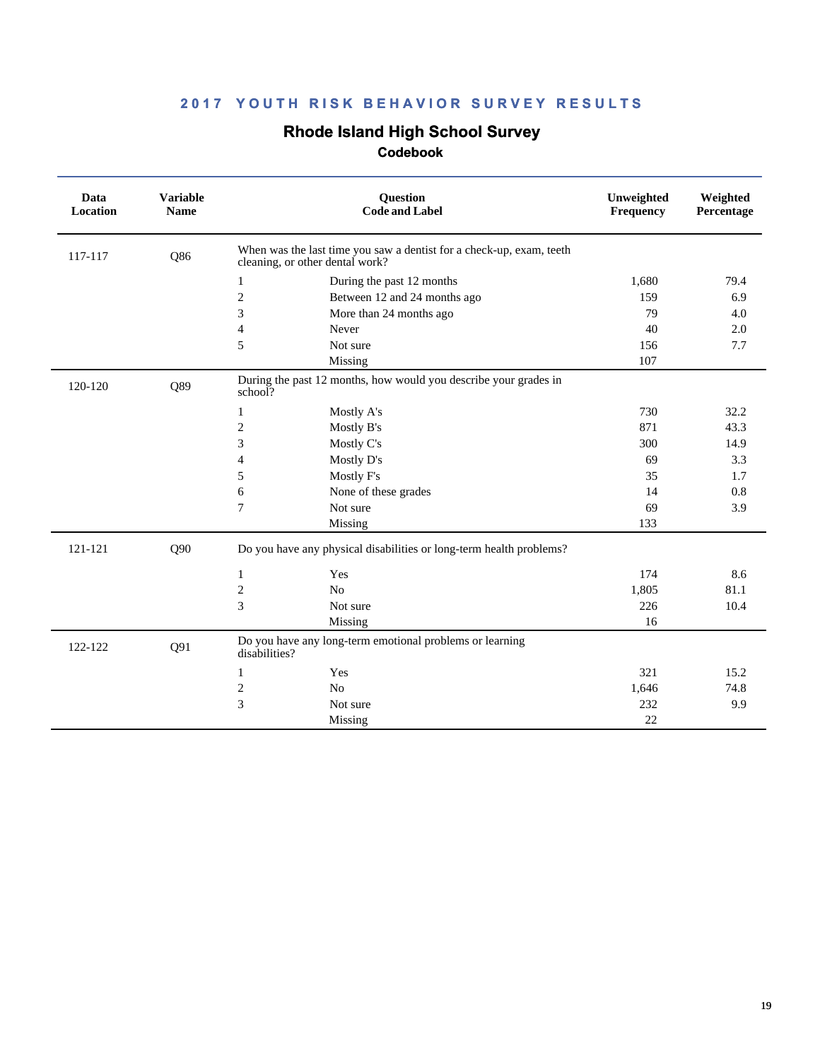# **Rhode Island High School Survey**

| Data<br>Location | <b>Variable</b><br><b>Name</b> | Question<br><b>Code and Label</b>                                                                       | Unweighted<br>Frequency | Weighted<br>Percentage |
|------------------|--------------------------------|---------------------------------------------------------------------------------------------------------|-------------------------|------------------------|
| 117-117          | Q86                            | When was the last time you saw a dentist for a check-up, exam, teeth<br>cleaning, or other dental work? |                         |                        |
|                  |                                | $\mathbf{1}$<br>During the past 12 months                                                               | 1,680                   | 79.4                   |
|                  |                                | $\overline{2}$<br>Between 12 and 24 months ago                                                          | 159                     | 6.9                    |
|                  |                                | 3<br>More than 24 months ago                                                                            | 79                      | 4.0                    |
|                  |                                | $\overline{4}$<br>Never                                                                                 | 40                      | 2.0                    |
|                  |                                | 5<br>Not sure                                                                                           | 156                     | 7.7                    |
|                  |                                | Missing                                                                                                 | 107                     |                        |
| 120-120          | Q89                            | During the past 12 months, how would you describe your grades in<br>school?                             |                         |                        |
|                  |                                | Mostly A's<br>1                                                                                         | 730                     | 32.2                   |
|                  |                                | $\sqrt{2}$<br>Mostly B's                                                                                | 871                     | 43.3                   |
|                  |                                | 3<br>Mostly C's                                                                                         | 300                     | 14.9                   |
|                  |                                | Mostly D's<br>$\overline{4}$                                                                            | 69                      | 3.3                    |
|                  |                                | 5<br>Mostly F's                                                                                         | 35                      | 1.7                    |
|                  |                                | 6<br>None of these grades                                                                               | 14                      | 0.8                    |
|                  |                                | $\overline{7}$<br>Not sure                                                                              | 69                      | 3.9                    |
|                  |                                | Missing                                                                                                 | 133                     |                        |
| 121-121          | Q90                            | Do you have any physical disabilities or long-term health problems?                                     |                         |                        |
|                  |                                | Yes<br>1                                                                                                | 174                     | 8.6                    |
|                  |                                | $\sqrt{2}$<br>N <sub>o</sub>                                                                            | 1,805                   | 81.1                   |
|                  |                                | 3<br>Not sure                                                                                           | 226                     | 10.4                   |
|                  |                                | Missing                                                                                                 | 16                      |                        |
| 122-122          | Q91                            | Do you have any long-term emotional problems or learning<br>disabilities?                               |                         |                        |
|                  |                                | Yes<br>1                                                                                                | 321                     | 15.2                   |
|                  |                                | $\overline{c}$<br>No                                                                                    | 1,646                   | 74.8                   |
|                  |                                | 3<br>Not sure                                                                                           | 232                     | 9.9                    |
|                  |                                | Missing                                                                                                 | 22                      |                        |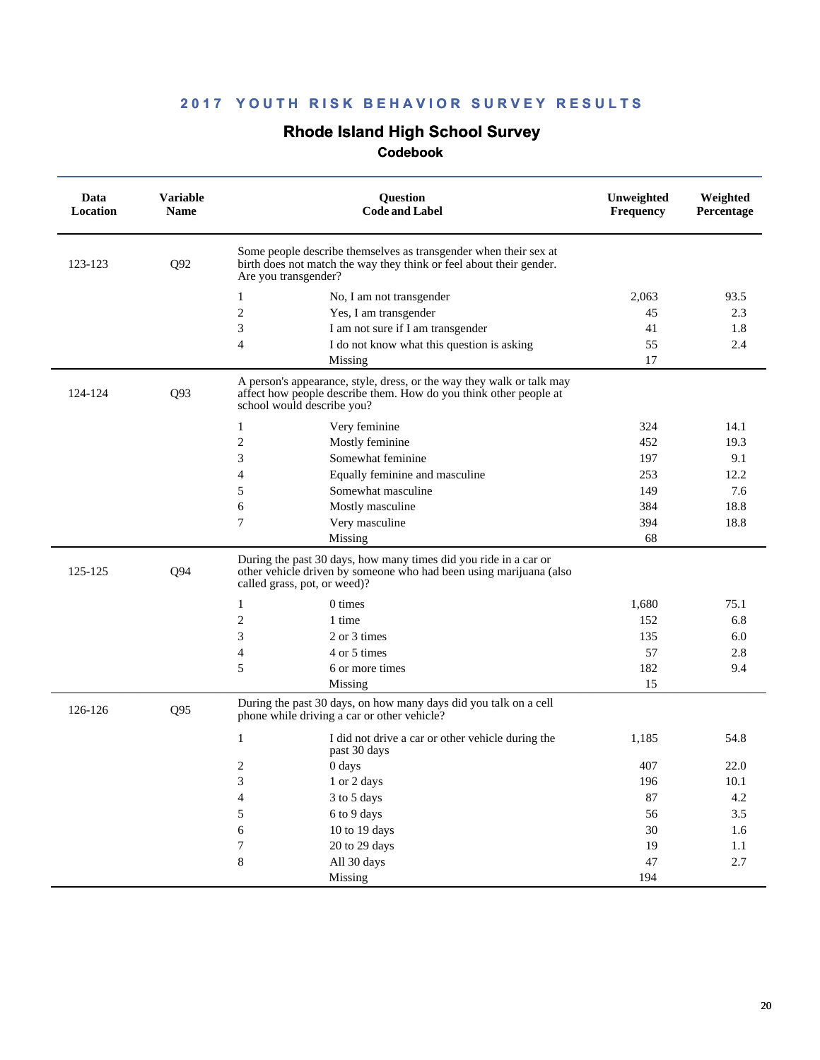### **Rhode Island High School Survey**

| Data<br>Location | <b>Variable</b><br><b>Name</b> | Question<br><b>Code and Label</b>                                                                                                                                        | Unweighted<br>Frequency | Weighted<br>Percentage |
|------------------|--------------------------------|--------------------------------------------------------------------------------------------------------------------------------------------------------------------------|-------------------------|------------------------|
| 123-123          | Q92                            | Some people describe themselves as transgender when their sex at<br>birth does not match the way they think or feel about their gender.<br>Are you transgender?          |                         |                        |
|                  |                                | 1<br>No, I am not transgender                                                                                                                                            | 2,063                   | 93.5                   |
|                  |                                | 2<br>Yes, I am transgender                                                                                                                                               | 45                      | 2.3                    |
|                  |                                | 3<br>I am not sure if I am transgender                                                                                                                                   | 41                      | 1.8                    |
|                  |                                | I do not know what this question is asking<br>4                                                                                                                          | 55                      | 2.4                    |
|                  |                                | Missing                                                                                                                                                                  | 17                      |                        |
| 124-124          | Q93                            | A person's appearance, style, dress, or the way they walk or talk may<br>affect how people describe them. How do you think other people at<br>school would describe you? |                         |                        |
|                  |                                | 1<br>Very feminine                                                                                                                                                       | 324                     | 14.1                   |
|                  |                                | $\overline{c}$<br>Mostly feminine                                                                                                                                        | 452                     | 19.3                   |
|                  |                                | 3<br>Somewhat feminine                                                                                                                                                   | 197                     | 9.1                    |
|                  |                                | $\overline{4}$<br>Equally feminine and masculine                                                                                                                         | 253                     | 12.2                   |
|                  |                                | 5<br>Somewhat masculine                                                                                                                                                  | 149                     | 7.6                    |
|                  |                                | 6<br>Mostly masculine                                                                                                                                                    | 384                     | 18.8                   |
|                  |                                | 7<br>Very masculine                                                                                                                                                      | 394                     | 18.8                   |
|                  |                                | Missing                                                                                                                                                                  | 68                      |                        |
| 125-125          | Q94                            | During the past 30 days, how many times did you ride in a car or<br>other vehicle driven by someone who had been using marijuana (also<br>called grass, pot, or weed)?   |                         |                        |
|                  |                                | 0 times<br>1                                                                                                                                                             | 1,680                   | 75.1                   |
|                  |                                | 2<br>1 time                                                                                                                                                              | 152                     | 6.8                    |
|                  |                                | 3<br>2 or 3 times                                                                                                                                                        | 135                     | 6.0                    |
|                  |                                | 4 or 5 times<br>4                                                                                                                                                        | 57                      | 2.8                    |
|                  |                                | 5<br>6 or more times                                                                                                                                                     | 182                     | 9.4                    |
|                  |                                | Missing                                                                                                                                                                  | 15                      |                        |
| 126-126          | Q95                            | During the past 30 days, on how many days did you talk on a cell<br>phone while driving a car or other vehicle?                                                          |                         |                        |
|                  |                                | 1<br>I did not drive a car or other vehicle during the<br>past 30 days                                                                                                   | 1,185                   | 54.8                   |
|                  |                                | 2<br>0 days                                                                                                                                                              | 407                     | 22.0                   |
|                  |                                | 1 or 2 days<br>3                                                                                                                                                         | 196                     | 10.1                   |
|                  |                                | 4<br>3 to 5 days                                                                                                                                                         | 87                      | $4.2\,$                |
|                  |                                | 5<br>6 to 9 days                                                                                                                                                         | 56                      | $3.5\,$                |
|                  |                                | $\sqrt{6}$<br>$10$ to $19~\rm{days}$                                                                                                                                     | 30                      | 1.6                    |
|                  |                                | $\boldsymbol{7}$<br>20 to 29 days                                                                                                                                        | 19                      | $1.1\,$                |
|                  |                                | $\,8\,$<br>All 30 days                                                                                                                                                   | 47                      | 2.7                    |
|                  |                                | Missing                                                                                                                                                                  | 194                     |                        |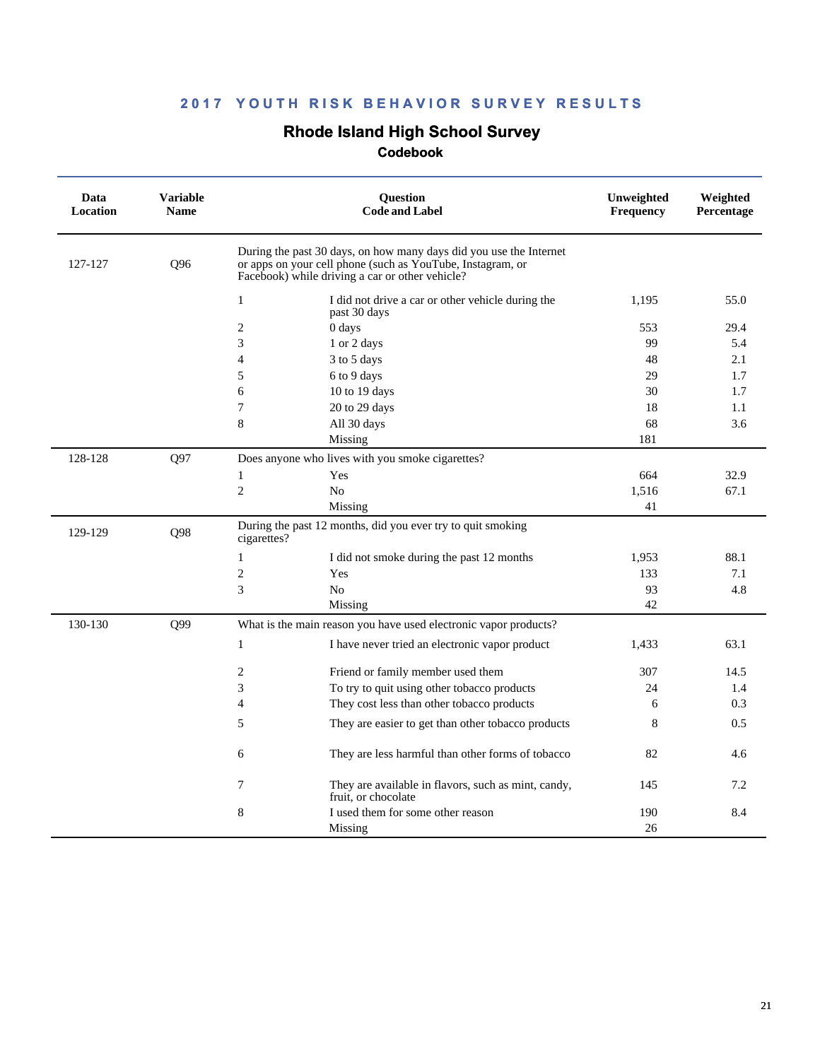# **Rhode Island High School Survey**

| Data<br>Location | <b>Variable</b><br><b>Name</b> | <b>Ouestion</b><br><b>Code and Label</b>                                                                                                                                            | Unweighted<br>Frequency | Weighted<br>Percentage |
|------------------|--------------------------------|-------------------------------------------------------------------------------------------------------------------------------------------------------------------------------------|-------------------------|------------------------|
| 127-127          | Q96                            | During the past 30 days, on how many days did you use the Internet<br>or apps on your cell phone (such as YouTube, Instagram, or<br>Facebook) while driving a car or other vehicle? |                         |                        |
|                  |                                | $\mathbf{1}$<br>I did not drive a car or other vehicle during the<br>past 30 days                                                                                                   | 1,195                   | 55.0                   |
|                  |                                | 2<br>0 days                                                                                                                                                                         | 553                     | 29.4                   |
|                  |                                | 3<br>1 or 2 days                                                                                                                                                                    | 99                      | 5.4                    |
|                  |                                | 4<br>3 to 5 days                                                                                                                                                                    | 48                      | 2.1                    |
|                  |                                | 5<br>6 to 9 days                                                                                                                                                                    | 29                      | 1.7                    |
|                  |                                | 6<br>10 to 19 days                                                                                                                                                                  | 30                      | 1.7                    |
|                  |                                | 7<br>20 to 29 days                                                                                                                                                                  | 18                      | 1.1                    |
|                  |                                | 8<br>All 30 days                                                                                                                                                                    | 68                      | 3.6                    |
|                  |                                | Missing                                                                                                                                                                             | 181                     |                        |
| 128-128          | Q97                            | Does anyone who lives with you smoke cigarettes?                                                                                                                                    |                         |                        |
|                  |                                | Yes<br>$\mathbf{1}$                                                                                                                                                                 | 664                     | 32.9                   |
|                  |                                | $\overline{2}$<br>N <sub>o</sub>                                                                                                                                                    | 1,516                   | 67.1                   |
|                  |                                | Missing                                                                                                                                                                             | 41                      |                        |
| 129-129          | Q98                            | During the past 12 months, did you ever try to quit smoking<br>cigarettes?                                                                                                          |                         |                        |
|                  |                                | 1<br>I did not smoke during the past 12 months                                                                                                                                      | 1.953                   | 88.1                   |
|                  |                                | $\mathfrak{2}$<br>Yes                                                                                                                                                               | 133                     | 7.1                    |
|                  |                                | 3<br>N <sub>0</sub>                                                                                                                                                                 | 93                      | 4.8                    |
|                  |                                | Missing                                                                                                                                                                             | 42                      |                        |
| 130-130          | Q99                            | What is the main reason you have used electronic vapor products?                                                                                                                    |                         |                        |
|                  |                                | $\mathbf{1}$<br>I have never tried an electronic vapor product                                                                                                                      | 1,433                   | 63.1                   |
|                  |                                | 2<br>Friend or family member used them                                                                                                                                              | 307                     | 14.5                   |
|                  |                                | 3<br>To try to quit using other tobacco products                                                                                                                                    | 24                      | 1.4                    |
|                  |                                | $\overline{4}$<br>They cost less than other tobacco products                                                                                                                        | 6                       | 0.3                    |
|                  |                                | 5<br>They are easier to get than other tobacco products                                                                                                                             | 8                       | 0.5                    |
|                  |                                | 6<br>They are less harmful than other forms of tobacco                                                                                                                              | 82                      | 4.6                    |
|                  |                                | 7<br>They are available in flavors, such as mint, candy,<br>fruit, or chocolate                                                                                                     | 145                     | 7.2                    |
|                  |                                | 8<br>I used them for some other reason                                                                                                                                              | 190                     | 8.4                    |
|                  |                                | Missing                                                                                                                                                                             | 26                      |                        |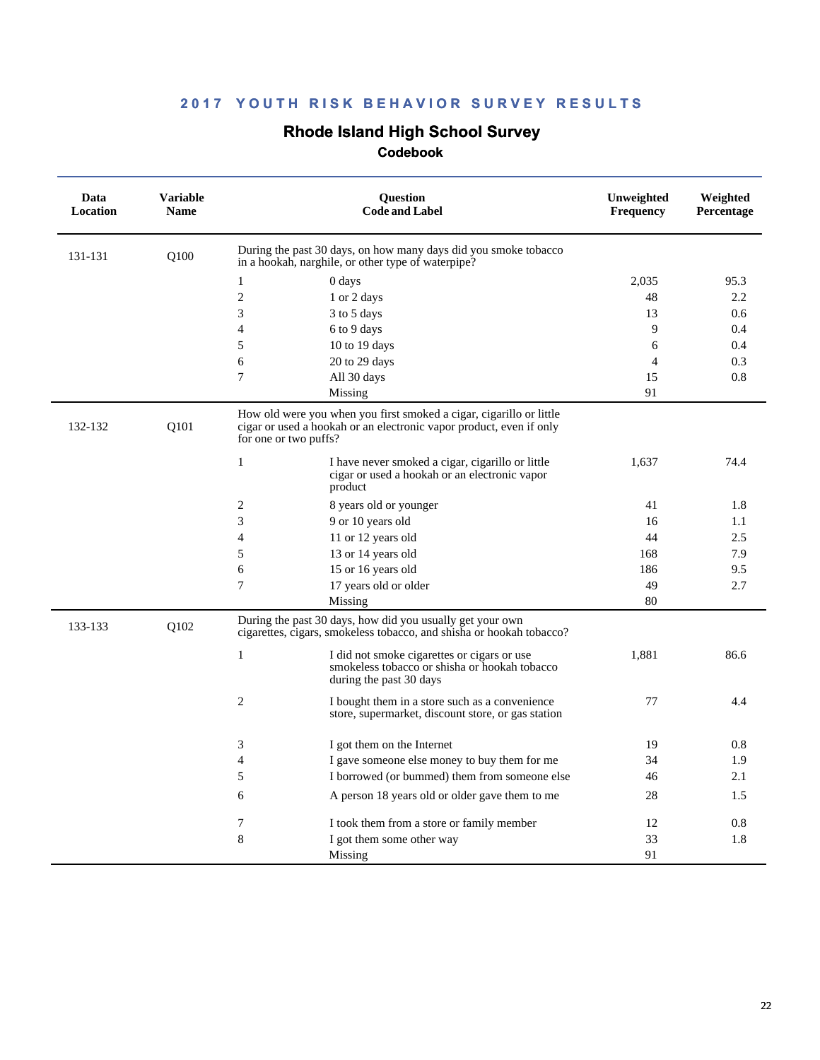# **Rhode Island High School Survey**

| Data<br>Location | <b>Variable</b><br><b>Name</b> | <b>Ouestion</b><br><b>Code and Label</b>                                                                                                                            | Unweighted<br><b>Frequency</b> | Weighted<br>Percentage |
|------------------|--------------------------------|---------------------------------------------------------------------------------------------------------------------------------------------------------------------|--------------------------------|------------------------|
| 131-131          | O100                           | During the past 30 days, on how many days did you smoke tobacco<br>in a hookah, narghile, or other type of waterpipe?                                               |                                |                        |
|                  |                                | 1<br>0 days                                                                                                                                                         | 2.035                          | 95.3                   |
|                  |                                | $\sqrt{2}$<br>1 or 2 days                                                                                                                                           | 48                             | 2.2                    |
|                  |                                | 3<br>3 to 5 days                                                                                                                                                    | 13                             | 0.6                    |
|                  |                                | 4<br>6 to 9 days                                                                                                                                                    | 9                              | 0.4                    |
|                  |                                | 5<br>10 to 19 days                                                                                                                                                  | 6                              | 0.4                    |
|                  |                                | 6<br>20 to 29 days                                                                                                                                                  | $\overline{4}$                 | 0.3                    |
|                  |                                | 7<br>All 30 days                                                                                                                                                    | 15                             | 0.8                    |
|                  |                                | Missing                                                                                                                                                             | 91                             |                        |
| 132-132          | Q101                           | How old were you when you first smoked a cigar, cigarillo or little<br>cigar or used a hookah or an electronic vapor product, even if only<br>for one or two puffs? |                                |                        |
|                  |                                | $\mathbf{1}$<br>I have never smoked a cigar, cigarillo or little<br>cigar or used a hookah or an electronic vapor<br>product                                        | 1,637                          | 74.4                   |
|                  |                                | $\overline{2}$<br>8 years old or younger                                                                                                                            | 41                             | 1.8                    |
|                  |                                | 3<br>9 or 10 years old                                                                                                                                              | 16                             | 1.1                    |
|                  |                                | $\overline{4}$<br>11 or 12 years old                                                                                                                                | 44                             | 2.5                    |
|                  |                                | 5<br>13 or 14 years old                                                                                                                                             | 168                            | 7.9                    |
|                  |                                | 6<br>15 or 16 years old                                                                                                                                             | 186                            | 9.5                    |
|                  |                                | 7<br>17 years old or older                                                                                                                                          | 49                             | 2.7                    |
|                  |                                | Missing                                                                                                                                                             | 80                             |                        |
| 133-133          | Q102                           | During the past 30 days, how did you usually get your own<br>cigarettes, cigars, smokeless tobacco, and shisha or hookah tobacco?                                   |                                |                        |
|                  |                                | $\mathbf{1}$<br>I did not smoke cigarettes or cigars or use<br>smokeless tobacco or shisha or hookah tobacco<br>during the past 30 days                             | 1,881                          | 86.6                   |
|                  |                                | 2<br>I bought them in a store such as a convenience<br>store, supermarket, discount store, or gas station                                                           | 77                             | 4.4                    |
|                  |                                | 3<br>I got them on the Internet                                                                                                                                     | 19                             | 0.8                    |
|                  |                                | 4<br>I gave someone else money to buy them for me                                                                                                                   | 34                             | 1.9                    |
|                  |                                | 5<br>I borrowed (or bummed) them from someone else                                                                                                                  | 46                             | 2.1                    |
|                  |                                | 6<br>A person 18 years old or older gave them to me                                                                                                                 | 28                             | 1.5                    |
|                  |                                | 7<br>I took them from a store or family member                                                                                                                      | 12                             | 0.8                    |
|                  |                                | 8<br>I got them some other way                                                                                                                                      | 33                             | 1.8                    |
|                  |                                | Missing                                                                                                                                                             | 91                             |                        |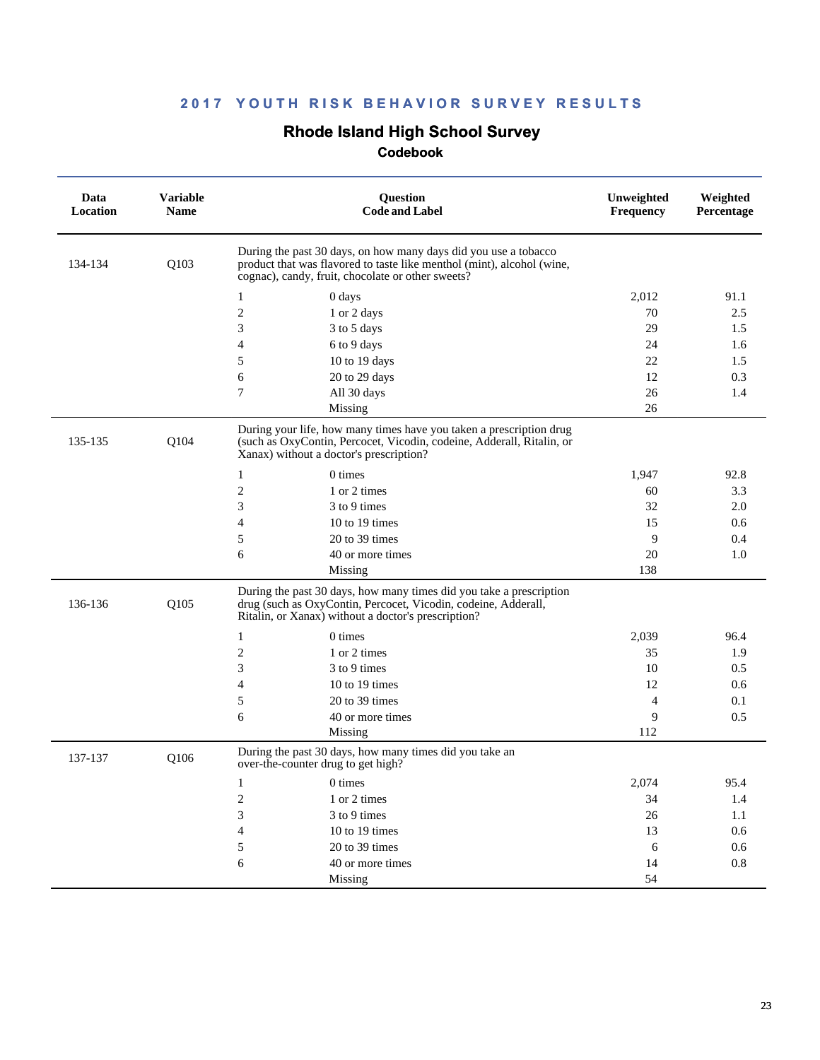# **Rhode Island High School Survey**

| Data<br><b>Location</b> | <b>Variable</b><br><b>Name</b> | Question<br><b>Code and Label</b>                                                                                                                                                              | Unweighted<br>Frequency | Weighted<br>Percentage |
|-------------------------|--------------------------------|------------------------------------------------------------------------------------------------------------------------------------------------------------------------------------------------|-------------------------|------------------------|
| 134-134                 | Q103                           | During the past 30 days, on how many days did you use a tobacco<br>product that was flavored to taste like menthol (mint), alcohol (wine,<br>cognac), candy, fruit, chocolate or other sweets? |                         |                        |
|                         |                                | 1<br>0 days                                                                                                                                                                                    | 2,012                   | 91.1                   |
|                         |                                | $\overline{2}$<br>1 or 2 days                                                                                                                                                                  | 70                      | 2.5                    |
|                         |                                | 3<br>3 to 5 days                                                                                                                                                                               | 29                      | 1.5                    |
|                         |                                | 6 to 9 days<br>4                                                                                                                                                                               | 24                      | 1.6                    |
|                         |                                | 5<br>10 to 19 days                                                                                                                                                                             | 22                      | 1.5                    |
|                         |                                | 20 to 29 days<br>6                                                                                                                                                                             | 12                      | 0.3                    |
|                         |                                | 7<br>All 30 days                                                                                                                                                                               | 26                      | 1.4                    |
|                         |                                | Missing                                                                                                                                                                                        | 26                      |                        |
| 135-135                 | Q104                           | During your life, how many times have you taken a prescription drug<br>(such as OxyContin, Percocet, Vicodin, codeine, Adderall, Ritalin, or<br>Xanax) without a doctor's prescription?        |                         |                        |
|                         |                                | 1<br>0 times                                                                                                                                                                                   | 1,947                   | 92.8                   |
|                         |                                | $\overline{\mathbf{c}}$<br>1 or 2 times                                                                                                                                                        | 60                      | 3.3                    |
|                         |                                | 3<br>3 to 9 times                                                                                                                                                                              | 32                      | 2.0                    |
|                         |                                | 4<br>10 to 19 times                                                                                                                                                                            | 15                      | 0.6                    |
|                         |                                | 5<br>20 to 39 times                                                                                                                                                                            | 9                       | 0.4                    |
|                         |                                | 6<br>40 or more times                                                                                                                                                                          | 20                      | 1.0                    |
|                         |                                | Missing                                                                                                                                                                                        | 138                     |                        |
| 136-136                 | Q105                           | During the past 30 days, how many times did you take a prescription<br>drug (such as OxyContin, Percocet, Vicodin, codeine, Adderall,<br>Ritalin, or Xanax) without a doctor's prescription?   |                         |                        |
|                         |                                | 0 times<br>1                                                                                                                                                                                   | 2,039                   | 96.4                   |
|                         |                                | 2<br>1 or 2 times                                                                                                                                                                              | 35                      | 1.9                    |
|                         |                                | 3 to 9 times<br>3                                                                                                                                                                              | 10                      | 0.5                    |
|                         |                                | 4<br>10 to 19 times                                                                                                                                                                            | 12                      | 0.6                    |
|                         |                                | 5<br>20 to 39 times                                                                                                                                                                            | $\overline{4}$          | 0.1                    |
|                         |                                | 6<br>40 or more times                                                                                                                                                                          | 9                       | 0.5                    |
|                         |                                | Missing                                                                                                                                                                                        | 112                     |                        |
| 137-137                 | Q106                           | During the past 30 days, how many times did you take an<br>over-the-counter drug to get high?                                                                                                  |                         |                        |
|                         |                                | $\mathbf{1}$<br>0 times                                                                                                                                                                        | 2,074                   | 95.4                   |
|                         |                                | $\boldsymbol{2}$<br>1 or 2 times                                                                                                                                                               | 34                      | 1.4                    |
|                         |                                | 3<br>3 to 9 times                                                                                                                                                                              | 26                      | 1.1                    |
|                         |                                | 10 to 19 times<br>4                                                                                                                                                                            | 13                      | 0.6                    |
|                         |                                | 20 to 39 times<br>5                                                                                                                                                                            | 6                       | 0.6                    |
|                         |                                | 40 or more times<br>6                                                                                                                                                                          | 14                      | $0.8\,$                |
|                         |                                | Missing                                                                                                                                                                                        | 54                      |                        |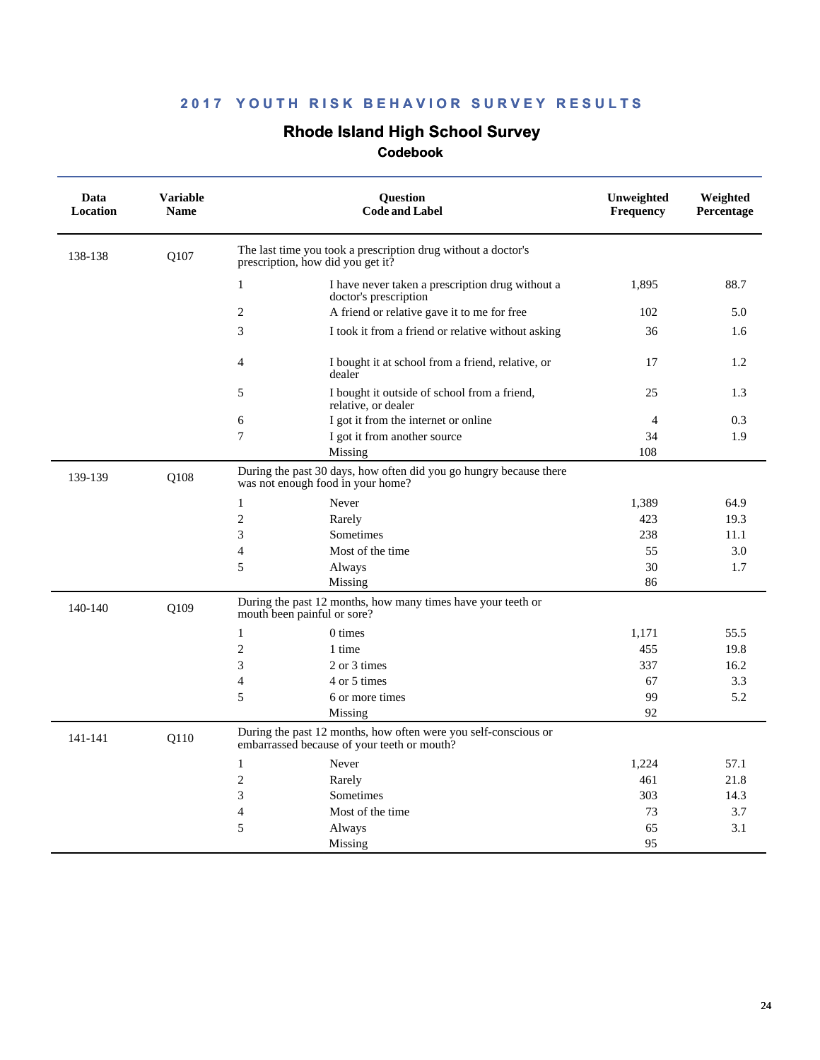### **Rhode Island High School Survey**

| Data<br>Location | <b>Variable</b><br><b>Name</b> |                                   | <b>Ouestion</b><br><b>Code and Label</b>                                                                       | Unweighted<br>Frequency | Weighted<br>Percentage |
|------------------|--------------------------------|-----------------------------------|----------------------------------------------------------------------------------------------------------------|-------------------------|------------------------|
| 138-138          | Q107                           | prescription, how did you get it? | The last time you took a prescription drug without a doctor's                                                  |                         |                        |
|                  |                                | 1                                 | I have never taken a prescription drug without a<br>doctor's prescription                                      | 1,895                   | 88.7                   |
|                  |                                | 2                                 | A friend or relative gave it to me for free                                                                    | 102                     | 5.0                    |
|                  |                                | 3                                 | I took it from a friend or relative without asking                                                             | 36                      | 1.6                    |
|                  |                                | $\overline{4}$                    | I bought it at school from a friend, relative, or<br>dealer                                                    | 17                      | 1.2                    |
|                  |                                | 5                                 | I bought it outside of school from a friend,<br>relative, or dealer                                            | 25                      | 1.3                    |
|                  |                                | 6                                 | I got it from the internet or online                                                                           | $\overline{4}$          | 0.3                    |
|                  |                                | $\overline{7}$                    | I got it from another source                                                                                   | 34                      | 1.9                    |
|                  |                                |                                   | Missing                                                                                                        | 108                     |                        |
| 139-139          | Q108                           | was not enough food in your home? | During the past 30 days, how often did you go hungry because there                                             |                         |                        |
|                  |                                | $\mathbf{1}$                      | Never                                                                                                          | 1.389                   | 64.9                   |
|                  |                                | $\overline{2}$                    | Rarely                                                                                                         | 423                     | 19.3                   |
|                  |                                | 3                                 | Sometimes                                                                                                      | 238                     | 11.1                   |
|                  |                                | $\overline{4}$                    | Most of the time                                                                                               | 55                      | 3.0                    |
|                  |                                | 5                                 | Always                                                                                                         | 30                      | 1.7                    |
|                  |                                |                                   | Missing                                                                                                        | 86                      |                        |
| 140-140          | O109                           | mouth been painful or sore?       | During the past 12 months, how many times have your teeth or                                                   |                         |                        |
|                  |                                | $\mathbf{1}$                      | 0 times                                                                                                        | 1,171                   | 55.5                   |
|                  |                                | $\overline{2}$                    | 1 time                                                                                                         | 455                     | 19.8                   |
|                  |                                | 3                                 | 2 or 3 times                                                                                                   | 337                     | 16.2                   |
|                  |                                | $\overline{4}$                    | 4 or 5 times                                                                                                   | 67                      | 3.3                    |
|                  |                                | 5                                 | 6 or more times                                                                                                | 99                      | 5.2                    |
|                  |                                |                                   | Missing                                                                                                        | 92                      |                        |
| 141-141          | Q110                           |                                   | During the past 12 months, how often were you self-conscious or<br>embarrassed because of your teeth or mouth? |                         |                        |
|                  |                                | $\mathbf{1}$                      | Never                                                                                                          | 1,224                   | 57.1                   |
|                  |                                | $\overline{2}$                    | Rarely                                                                                                         | 461                     | 21.8                   |
|                  |                                | 3                                 | Sometimes                                                                                                      | 303                     | 14.3                   |
|                  |                                | 4                                 | Most of the time                                                                                               | 73                      | 3.7                    |
|                  |                                | 5                                 | Always                                                                                                         | 65                      | 3.1                    |
|                  |                                |                                   | Missing                                                                                                        | 95                      |                        |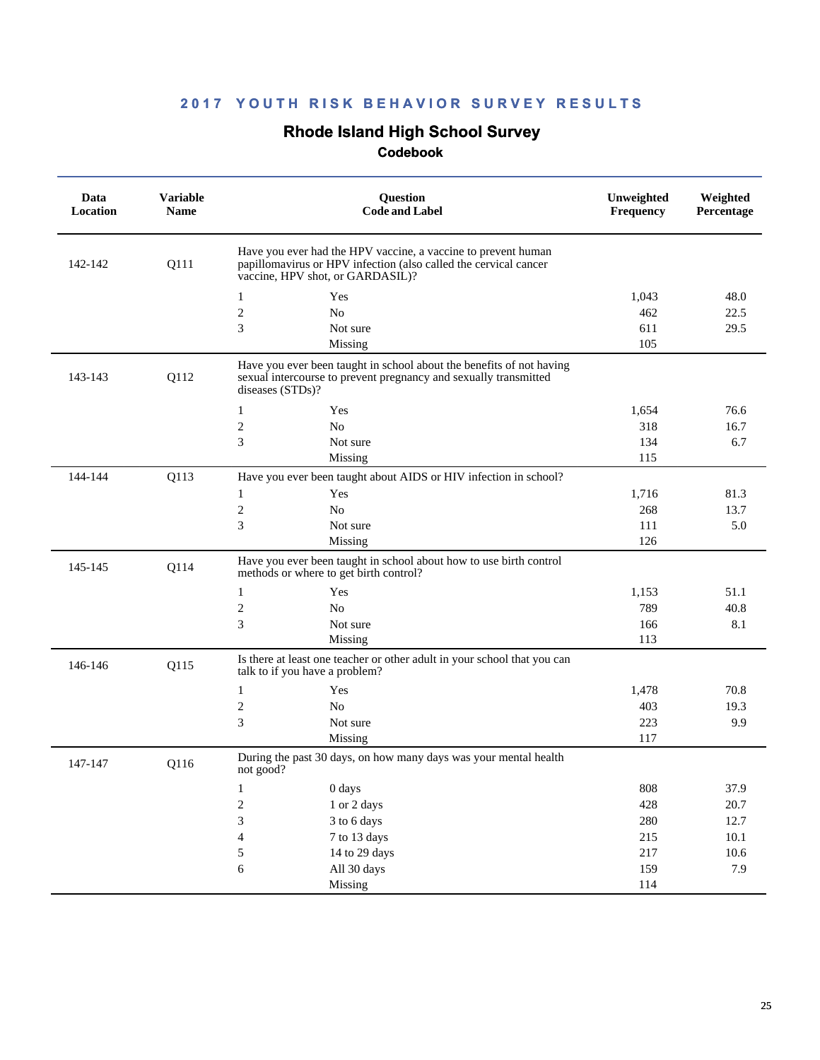### **Rhode Island High School Survey**

| Data<br>Location | <b>Variable</b><br><b>Name</b> | Question<br><b>Code and Label</b>                                                                                                                                     | Unweighted<br>Frequency | Weighted<br>Percentage |
|------------------|--------------------------------|-----------------------------------------------------------------------------------------------------------------------------------------------------------------------|-------------------------|------------------------|
| 142-142          | Q111                           | Have you ever had the HPV vaccine, a vaccine to prevent human<br>papillomavirus or HPV infection (also called the cervical cancer<br>vaccine, HPV shot, or GARDASIL)? |                         |                        |
|                  |                                | $\mathbf{1}$<br>Yes                                                                                                                                                   | 1,043                   | 48.0                   |
|                  |                                | $\overline{c}$<br>No                                                                                                                                                  | 462                     | 22.5                   |
|                  |                                | 3<br>Not sure                                                                                                                                                         | 611                     | 29.5                   |
|                  |                                | Missing                                                                                                                                                               | 105                     |                        |
| 143-143          | Q112                           | Have you ever been taught in school about the benefits of not having<br>sexual intercourse to prevent pregnancy and sexually transmitted<br>diseases (STDs)?          |                         |                        |
|                  |                                | $\mathbf{1}$<br>Yes                                                                                                                                                   | 1,654                   | 76.6                   |
|                  |                                | $\sqrt{2}$<br>No                                                                                                                                                      | 318                     | 16.7                   |
|                  |                                | 3<br>Not sure                                                                                                                                                         | 134                     | 6.7                    |
|                  |                                | Missing                                                                                                                                                               | 115                     |                        |
| 144-144          | Q113                           | Have you ever been taught about AIDS or HIV infection in school?                                                                                                      |                         |                        |
|                  |                                | Yes<br>1                                                                                                                                                              | 1,716                   | 81.3                   |
|                  |                                | $\overline{c}$<br>No                                                                                                                                                  | 268                     | 13.7                   |
|                  |                                | 3<br>Not sure                                                                                                                                                         | 111                     | 5.0                    |
|                  |                                | Missing                                                                                                                                                               | 126                     |                        |
| 145-145          | Q114                           | Have you ever been taught in school about how to use birth control<br>methods or where to get birth control?                                                          |                         |                        |
|                  |                                | $\mathbf{1}$<br>Yes                                                                                                                                                   | 1,153                   | 51.1                   |
|                  |                                | $\overline{c}$<br>N <sub>o</sub>                                                                                                                                      | 789                     | 40.8                   |
|                  |                                | 3<br>Not sure                                                                                                                                                         | 166                     | 8.1                    |
|                  |                                | Missing                                                                                                                                                               | 113                     |                        |
| 146-146          | Q115                           | Is there at least one teacher or other adult in your school that you can<br>talk to if you have a problem?                                                            |                         |                        |
|                  |                                | $\mathbf{1}$<br>Yes                                                                                                                                                   | 1,478                   | 70.8                   |
|                  |                                | $\overline{c}$<br>No                                                                                                                                                  | 403                     | 19.3                   |
|                  |                                | 3<br>Not sure                                                                                                                                                         | 223                     | 9.9                    |
|                  |                                | Missing                                                                                                                                                               | 117                     |                        |
| 147-147          | Q116                           | During the past 30 days, on how many days was your mental health<br>not good?                                                                                         |                         |                        |
|                  |                                | 0 days<br>$\mathbf{1}$                                                                                                                                                | 808                     | 37.9                   |
|                  |                                | $\sqrt{2}$<br>1 or 2 days                                                                                                                                             | 428                     | 20.7                   |
|                  |                                | 3<br>3 to 6 days                                                                                                                                                      | 280                     | 12.7                   |
|                  |                                | $\overline{4}$<br>7 to 13 days                                                                                                                                        | 215                     | 10.1                   |
|                  |                                | 5<br>14 to 29 days                                                                                                                                                    | 217                     | $10.6\,$               |
|                  |                                | $\sqrt{6}$<br>All 30 days                                                                                                                                             | 159                     | 7.9                    |
|                  |                                | Missing                                                                                                                                                               | 114                     |                        |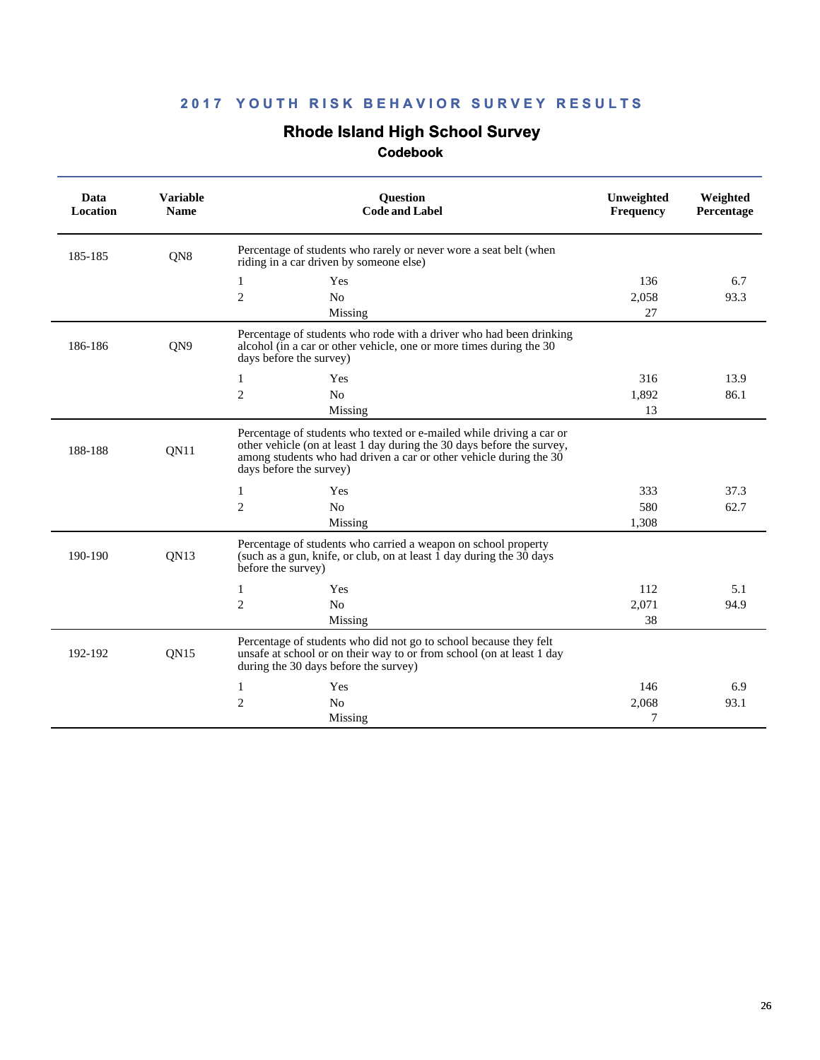### **Rhode Island High School Survey**

| Data<br><b>Location</b> | <b>Variable</b><br><b>Name</b> | Question<br><b>Code and Label</b>                                                                                                                                                                                                               | Unweighted<br><b>Frequency</b> | Weighted<br>Percentage |
|-------------------------|--------------------------------|-------------------------------------------------------------------------------------------------------------------------------------------------------------------------------------------------------------------------------------------------|--------------------------------|------------------------|
| 185-185                 | QN8                            | Percentage of students who rarely or never wore a seat belt (when<br>riding in a car driven by someone else)                                                                                                                                    |                                |                        |
|                         |                                | 1<br>Yes                                                                                                                                                                                                                                        | 136                            | 6.7                    |
|                         |                                | $\overline{2}$<br>No                                                                                                                                                                                                                            | 2.058                          | 93.3                   |
|                         |                                | Missing                                                                                                                                                                                                                                         | 27                             |                        |
| 186-186                 | QN9                            | Percentage of students who rode with a driver who had been drinking<br>alcohol (in a car or other vehicle, one or more times during the 30<br>days before the survey)                                                                           |                                |                        |
|                         |                                | Yes<br>1                                                                                                                                                                                                                                        | 316                            | 13.9                   |
|                         |                                | $\overline{2}$<br>N <sub>0</sub>                                                                                                                                                                                                                | 1,892                          | 86.1                   |
|                         |                                | Missing                                                                                                                                                                                                                                         | 13                             |                        |
| 188-188                 | QN11                           | Percentage of students who texted or e-mailed while driving a car or<br>other vehicle (on at least 1 day during the 30 days before the survey,<br>among students who had driven a car or other vehicle during the 30<br>days before the survey) |                                |                        |
|                         |                                | Yes<br>1                                                                                                                                                                                                                                        | 333                            | 37.3                   |
|                         |                                | $\mathbf{2}$<br>N <sub>o</sub>                                                                                                                                                                                                                  | 580                            | 62.7                   |
|                         |                                | Missing                                                                                                                                                                                                                                         | 1,308                          |                        |
| 190-190                 | <b>ON13</b>                    | Percentage of students who carried a weapon on school property<br>(such as a gun, knife, or club, on at least 1 day during the 30 days<br>before the survey)                                                                                    |                                |                        |
|                         |                                | Yes<br>1                                                                                                                                                                                                                                        | 112                            | 5.1                    |
|                         |                                | $\overline{c}$<br>N <sub>0</sub>                                                                                                                                                                                                                | 2,071                          | 94.9                   |
|                         |                                | Missing                                                                                                                                                                                                                                         | 38                             |                        |
| 192-192                 | <b>ON15</b>                    | Percentage of students who did not go to school because they felt<br>unsafe at school or on their way to or from school (on at least 1 day<br>during the 30 days before the survey)                                                             |                                |                        |
|                         |                                | Yes<br>1                                                                                                                                                                                                                                        | 146                            | 6.9                    |
|                         |                                | $\mathfrak{2}$<br>N <sub>0</sub>                                                                                                                                                                                                                | 2,068                          | 93.1                   |
|                         |                                | Missing                                                                                                                                                                                                                                         | 7                              |                        |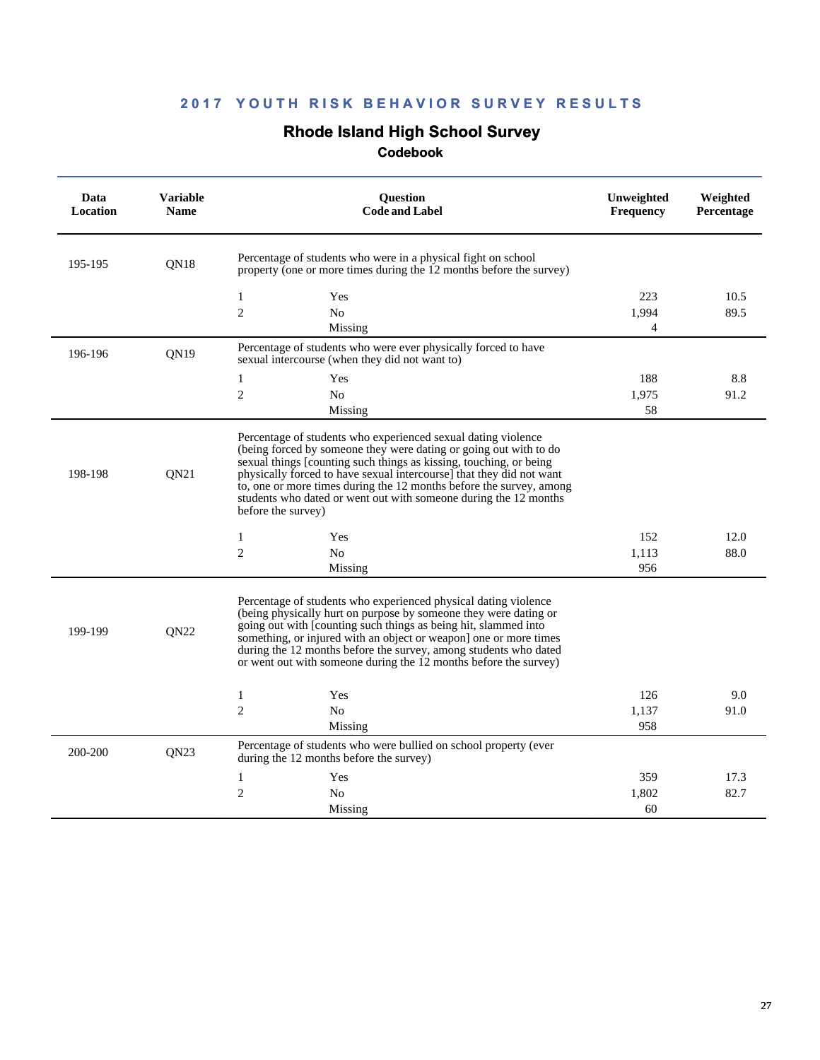### **Rhode Island High School Survey**

| Data<br>Location | <b>Variable</b><br><b>Name</b> | Question<br><b>Code and Label</b>                                                                                                                                                                                                                                                                                                                                                                                                                 | Unweighted<br><b>Frequency</b> | Weighted<br>Percentage |
|------------------|--------------------------------|---------------------------------------------------------------------------------------------------------------------------------------------------------------------------------------------------------------------------------------------------------------------------------------------------------------------------------------------------------------------------------------------------------------------------------------------------|--------------------------------|------------------------|
| 195-195          | QN <sub>18</sub>               | Percentage of students who were in a physical fight on school<br>property (one or more times during the 12 months before the survey)                                                                                                                                                                                                                                                                                                              |                                |                        |
|                  |                                | 1<br>Yes                                                                                                                                                                                                                                                                                                                                                                                                                                          | 223                            | 10.5                   |
|                  |                                | $\overline{2}$<br>N <sub>0</sub>                                                                                                                                                                                                                                                                                                                                                                                                                  | 1.994                          | 89.5                   |
|                  |                                | Missing                                                                                                                                                                                                                                                                                                                                                                                                                                           | 4                              |                        |
| 196-196          | ON19                           | Percentage of students who were ever physically forced to have<br>sexual intercourse (when they did not want to)                                                                                                                                                                                                                                                                                                                                  |                                |                        |
|                  |                                | 1<br>Yes                                                                                                                                                                                                                                                                                                                                                                                                                                          | 188                            | 8.8                    |
|                  |                                | $\overline{2}$<br>N <sub>0</sub>                                                                                                                                                                                                                                                                                                                                                                                                                  | 1,975                          | 91.2                   |
|                  |                                | Missing                                                                                                                                                                                                                                                                                                                                                                                                                                           | 58                             |                        |
| 198-198          | <b>ON21</b>                    | Percentage of students who experienced sexual dating violence<br>(being forced by someone they were dating or going out with to do<br>sexual things [counting such things as kissing, touching, or being<br>physically forced to have sexual intercourse] that they did not want<br>to, one or more times during the 12 months before the survey, among<br>students who dated or went out with someone during the 12 months<br>before the survey) |                                |                        |
|                  |                                | 1<br>Yes                                                                                                                                                                                                                                                                                                                                                                                                                                          | 152                            | 12.0                   |
|                  |                                | $\mathfrak{2}$<br>N <sub>o</sub>                                                                                                                                                                                                                                                                                                                                                                                                                  | 1,113                          | 88.0                   |
|                  |                                | Missing                                                                                                                                                                                                                                                                                                                                                                                                                                           | 956                            |                        |
| 199-199          | QN22                           | Percentage of students who experienced physical dating violence<br>(being physically hurt on purpose by someone they were dating or<br>going out with [counting such things as being hit, slammed into<br>something, or injured with an object or weapon one or more times<br>during the 12 months before the survey, among students who dated<br>or went out with someone during the 12 months before the survey)                                |                                |                        |
|                  |                                | $\mathbf{1}$<br>Yes                                                                                                                                                                                                                                                                                                                                                                                                                               | 126                            | 9.0                    |
|                  |                                | $\overline{2}$<br>No                                                                                                                                                                                                                                                                                                                                                                                                                              | 1,137                          | 91.0                   |
|                  |                                | Missing                                                                                                                                                                                                                                                                                                                                                                                                                                           | 958                            |                        |
| 200-200          | <b>ON23</b>                    | Percentage of students who were bullied on school property (ever<br>during the 12 months before the survey)                                                                                                                                                                                                                                                                                                                                       |                                |                        |
|                  |                                | 1<br>Yes                                                                                                                                                                                                                                                                                                                                                                                                                                          | 359                            | 17.3                   |
|                  |                                | $\mathbf{2}$<br>No                                                                                                                                                                                                                                                                                                                                                                                                                                | 1,802                          | 82.7                   |
|                  |                                | Missing                                                                                                                                                                                                                                                                                                                                                                                                                                           | 60                             |                        |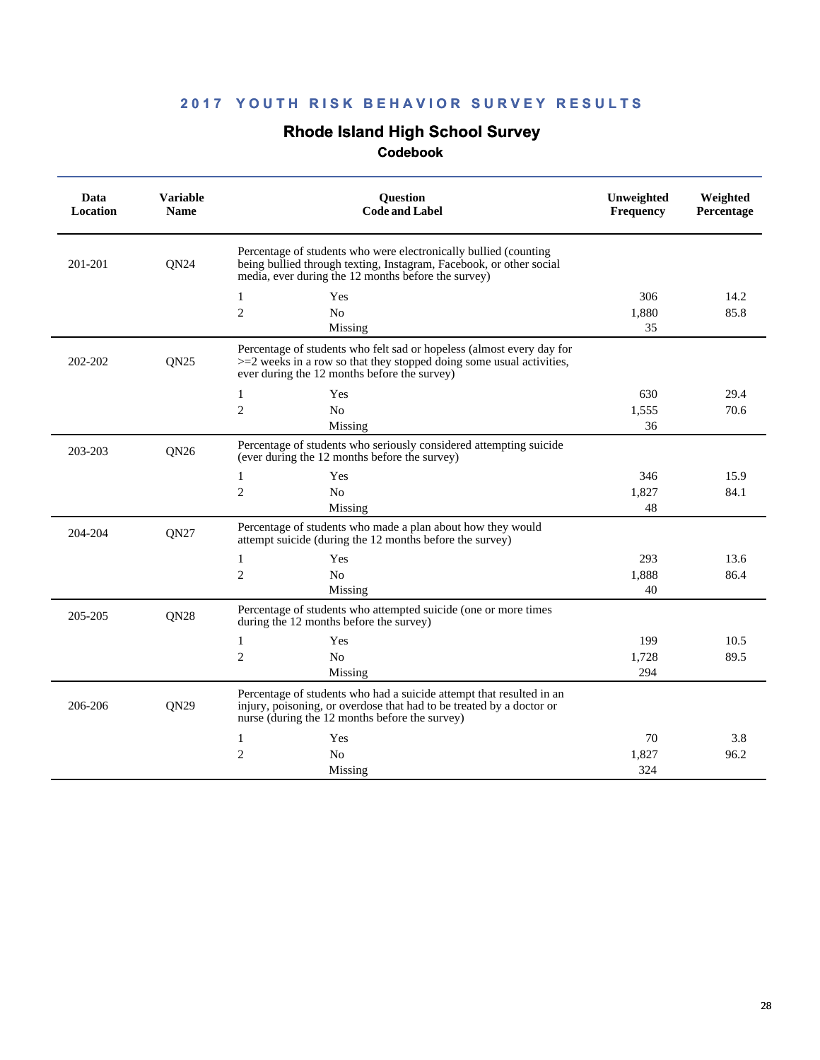### **Rhode Island High School Survey**

| Data<br>Location | <b>Variable</b><br><b>Name</b> | Question<br><b>Code and Label</b>                                                                                                                                                                | Unweighted<br><b>Frequency</b> | Weighted<br>Percentage |
|------------------|--------------------------------|--------------------------------------------------------------------------------------------------------------------------------------------------------------------------------------------------|--------------------------------|------------------------|
| 201-201          | QN <sub>24</sub>               | Percentage of students who were electronically bullied (counting)<br>being bullied through texting, Instagram, Facebook, or other social<br>media, ever during the 12 months before the survey)  |                                |                        |
|                  |                                | Yes<br>1                                                                                                                                                                                         | 306                            | 14.2                   |
|                  |                                | $\overline{c}$<br>N <sub>0</sub>                                                                                                                                                                 | 1,880                          | 85.8                   |
|                  |                                | Missing                                                                                                                                                                                          | 35                             |                        |
| 202-202          | <b>ON25</b>                    | Percentage of students who felt sad or hopeless (almost every day for<br>$>=$ 2 weeks in a row so that they stopped doing some usual activities,<br>ever during the 12 months before the survey) |                                |                        |
|                  |                                | $\mathbf{1}$<br>Yes                                                                                                                                                                              | 630                            | 29.4                   |
|                  |                                | $\overline{c}$<br>N <sub>0</sub>                                                                                                                                                                 | 1,555                          | 70.6                   |
|                  |                                | Missing                                                                                                                                                                                          | 36                             |                        |
| 203-203          | QN26                           | Percentage of students who seriously considered attempting suicide<br>(ever during the 12 months before the survey)                                                                              |                                |                        |
|                  |                                | 1<br>Yes                                                                                                                                                                                         | 346                            | 15.9                   |
|                  |                                | $\overline{2}$<br>N <sub>0</sub>                                                                                                                                                                 | 1.827                          | 84.1                   |
|                  |                                | Missing                                                                                                                                                                                          | 48                             |                        |
| 204-204          | QN27                           | Percentage of students who made a plan about how they would<br>attempt suicide (during the 12 months before the survey)                                                                          |                                |                        |
|                  |                                | Yes<br>1                                                                                                                                                                                         | 293                            | 13.6                   |
|                  |                                | $\overline{c}$<br>N <sub>0</sub>                                                                                                                                                                 | 1,888                          | 86.4                   |
|                  |                                | Missing                                                                                                                                                                                          | 40                             |                        |
| 205-205          | <b>ON28</b>                    | Percentage of students who attempted suicide (one or more times<br>during the 12 months before the survey)                                                                                       |                                |                        |
|                  |                                | Yes<br>1                                                                                                                                                                                         | 199                            | 10.5                   |
|                  |                                | $\mathfrak{2}$<br>No                                                                                                                                                                             | 1,728                          | 89.5                   |
|                  |                                | Missing                                                                                                                                                                                          | 294                            |                        |
| 206-206          | <b>ON29</b>                    | Percentage of students who had a suicide attempt that resulted in an<br>injury, poisoning, or overdose that had to be treated by a doctor or<br>nurse (during the 12 months before the survey)   |                                |                        |
|                  |                                | 1<br>Yes                                                                                                                                                                                         | 70                             | 3.8                    |
|                  |                                | $\overline{c}$<br>N <sub>0</sub>                                                                                                                                                                 | 1.827                          | 96.2                   |
|                  |                                | Missing                                                                                                                                                                                          | 324                            |                        |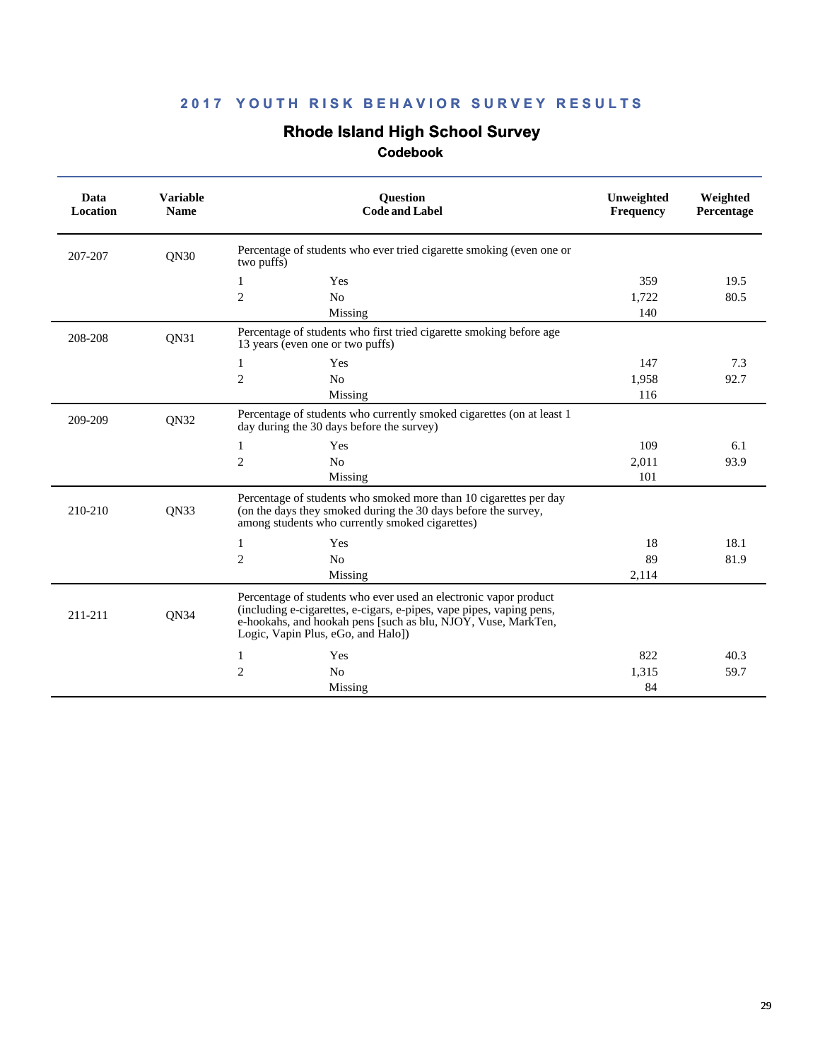# **Rhode Island High School Survey**

| Data<br>Location | <b>Variable</b><br><b>Name</b> | <b>Question</b><br><b>Code and Label</b>                                                                                                                                                                                                        | Unweighted<br>Frequency | Weighted<br>Percentage |
|------------------|--------------------------------|-------------------------------------------------------------------------------------------------------------------------------------------------------------------------------------------------------------------------------------------------|-------------------------|------------------------|
| 207-207          | <b>ON30</b>                    | Percentage of students who ever tried cigarette smoking (even one or<br>two puffs)                                                                                                                                                              |                         |                        |
|                  |                                | Yes<br>1                                                                                                                                                                                                                                        | 359                     | 19.5                   |
|                  |                                | 2<br>N <sub>o</sub>                                                                                                                                                                                                                             | 1,722                   | 80.5                   |
|                  |                                | Missing                                                                                                                                                                                                                                         | 140                     |                        |
| 208-208          | QN31                           | Percentage of students who first tried cigarette smoking before age<br>13 years (even one or two puffs)                                                                                                                                         |                         |                        |
|                  |                                | 1<br>Yes                                                                                                                                                                                                                                        | 147                     | 7.3                    |
|                  |                                | 2<br>N <sub>o</sub>                                                                                                                                                                                                                             | 1,958                   | 92.7                   |
|                  |                                | Missing                                                                                                                                                                                                                                         | 116                     |                        |
| 209-209          | QN32                           | Percentage of students who currently smoked cigarettes (on at least 1<br>day during the 30 days before the survey)                                                                                                                              |                         |                        |
|                  |                                | Yes<br>1                                                                                                                                                                                                                                        | 109                     | 6.1                    |
|                  |                                | $\overline{2}$<br>N <sub>o</sub>                                                                                                                                                                                                                | 2,011                   | 93.9                   |
|                  |                                | Missing                                                                                                                                                                                                                                         | 101                     |                        |
| 210-210          | QN33                           | Percentage of students who smoked more than 10 cigarettes per day<br>(on the days they smoked during the 30 days before the survey,<br>among students who currently smoked cigarettes)                                                          |                         |                        |
|                  |                                | Yes<br>1                                                                                                                                                                                                                                        | 18                      | 18.1                   |
|                  |                                | $\overline{2}$<br>N <sub>o</sub>                                                                                                                                                                                                                | 89                      | 81.9                   |
|                  |                                | Missing                                                                                                                                                                                                                                         | 2,114                   |                        |
| 211-211          | QN34                           | Percentage of students who ever used an electronic vapor product<br>(including e-cigarettes, e-cigars, e-pipes, vape pipes, vaping pens,<br>e-hookahs, and hookah pens [such as blu, NJOY, Vuse, MarkTen,<br>Logic, Vapin Plus, eGo, and Halo]) |                         |                        |
|                  |                                | 1<br>Yes                                                                                                                                                                                                                                        | 822                     | 40.3                   |
|                  |                                | $\overline{2}$<br>N <sub>0</sub>                                                                                                                                                                                                                | 1,315                   | 59.7                   |
|                  |                                | Missing                                                                                                                                                                                                                                         | 84                      |                        |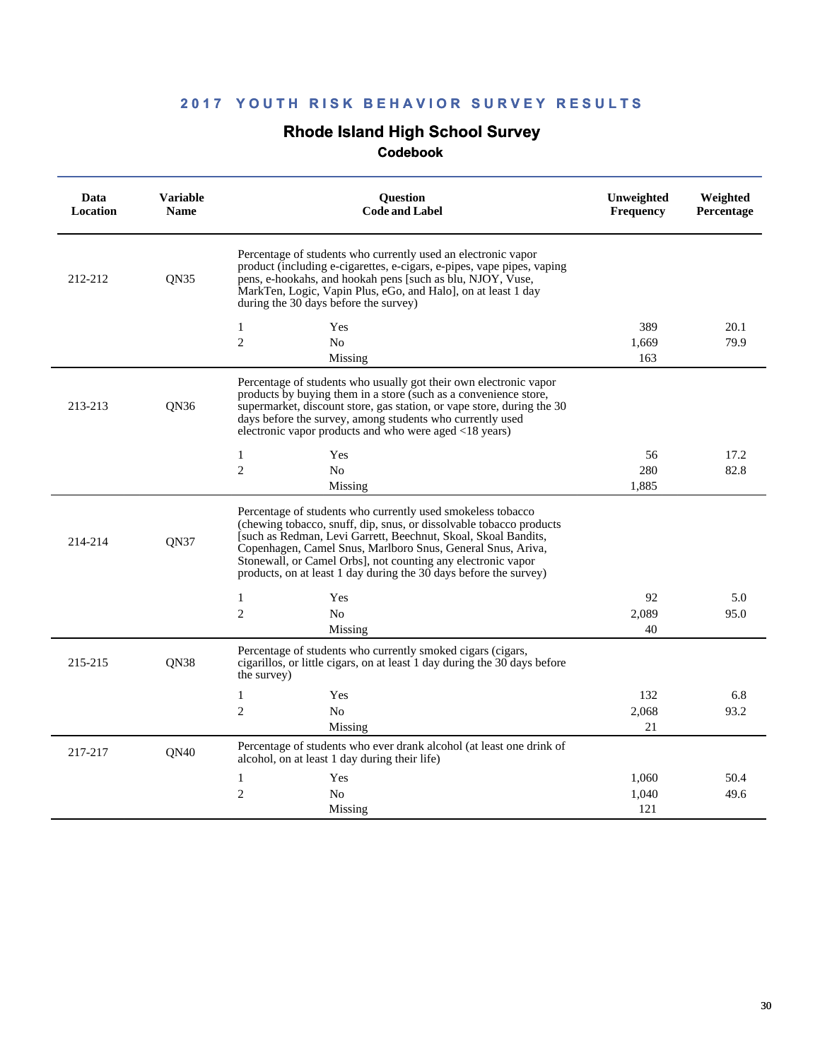# **Rhode Island High School Survey**

| Data<br><b>Location</b> | <b>Variable</b><br><b>Name</b> | <b>Question</b><br><b>Code and Label</b>                                                                                                                                                                                                                                                                                                                                                                 | Unweighted<br><b>Frequency</b> | Weighted<br>Percentage |
|-------------------------|--------------------------------|----------------------------------------------------------------------------------------------------------------------------------------------------------------------------------------------------------------------------------------------------------------------------------------------------------------------------------------------------------------------------------------------------------|--------------------------------|------------------------|
| 212-212                 | <b>ON35</b>                    | Percentage of students who currently used an electronic vapor<br>product (including e-cigarettes, e-cigars, e-pipes, vape pipes, vaping<br>pens, e-hookahs, and hookah pens [such as blu, NJOY, Vuse,<br>MarkTen, Logic, Vapin Plus, eGo, and Halo, on at least 1 day<br>during the 30 days before the survey)                                                                                           |                                |                        |
|                         |                                | $\mathbf{1}$<br>Yes                                                                                                                                                                                                                                                                                                                                                                                      | 389                            | 20.1                   |
|                         |                                | $\overline{2}$<br>N <sub>0</sub>                                                                                                                                                                                                                                                                                                                                                                         | 1,669                          | 79.9                   |
|                         |                                | Missing                                                                                                                                                                                                                                                                                                                                                                                                  | 163                            |                        |
| 213-213                 | ON36                           | Percentage of students who usually got their own electronic vapor<br>products by buying them in a store (such as a convenience store,<br>supermarket, discount store, gas station, or vape store, during the 30<br>days before the survey, among students who currently used<br>electronic vapor products and who were aged <18 years)                                                                   |                                |                        |
|                         |                                | $\mathbf{1}$<br>Yes                                                                                                                                                                                                                                                                                                                                                                                      | 56                             | 17.2                   |
|                         |                                | $\overline{2}$<br>N <sub>0</sub>                                                                                                                                                                                                                                                                                                                                                                         | 280                            | 82.8                   |
|                         |                                | Missing                                                                                                                                                                                                                                                                                                                                                                                                  | 1,885                          |                        |
| 214-214                 | <b>ON37</b>                    | Percentage of students who currently used smokeless tobacco<br>(chewing tobacco, snuff, dip, snus, or dissolvable tobacco products<br>[such as Redman, Levi Garrett, Beechnut, Skoal, Skoal Bandits,<br>Copenhagen, Camel Snus, Marlboro Snus, General Snus, Ariva,<br>Stonewall, or Camel Orbs], not counting any electronic vapor<br>products, on at least 1 day during the 30 days before the survey) |                                |                        |
|                         |                                | 1<br>Yes                                                                                                                                                                                                                                                                                                                                                                                                 | 92                             | 5.0                    |
|                         |                                | $\overline{2}$<br>N <sub>o</sub>                                                                                                                                                                                                                                                                                                                                                                         | 2,089                          | 95.0                   |
|                         |                                | Missing                                                                                                                                                                                                                                                                                                                                                                                                  | 40                             |                        |
| 215-215                 | <b>ON38</b>                    | Percentage of students who currently smoked cigars (cigars,<br>cigarillos, or little cigars, on at least 1 day during the 30 days before<br>the survey)                                                                                                                                                                                                                                                  |                                |                        |
|                         |                                | 1<br>Yes                                                                                                                                                                                                                                                                                                                                                                                                 | 132                            | 6.8                    |
|                         |                                | $\mathfrak{2}$<br>N <sub>0</sub>                                                                                                                                                                                                                                                                                                                                                                         | 2,068                          | 93.2                   |
|                         |                                | Missing                                                                                                                                                                                                                                                                                                                                                                                                  | 21                             |                        |
| 217-217                 | <b>ON40</b>                    | Percentage of students who ever drank alcohol (at least one drink of<br>alcohol, on at least 1 day during their life)                                                                                                                                                                                                                                                                                    |                                |                        |
|                         |                                | 1<br>Yes                                                                                                                                                                                                                                                                                                                                                                                                 | 1,060                          | 50.4                   |
|                         |                                | $\overline{2}$<br>N <sub>0</sub>                                                                                                                                                                                                                                                                                                                                                                         | 1.040                          | 49.6                   |
|                         |                                | Missing                                                                                                                                                                                                                                                                                                                                                                                                  | 121                            |                        |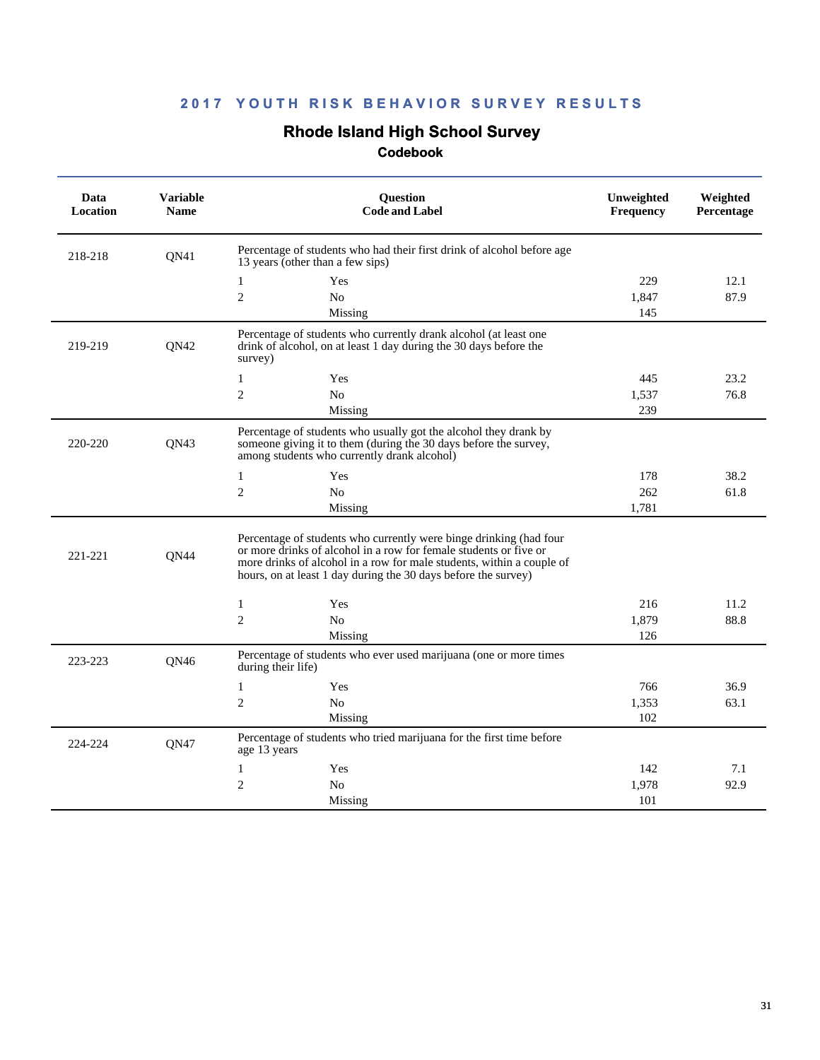### **Rhode Island High School Survey**

| Data<br>Location | <b>Variable</b><br><b>Name</b> | <b>Ouestion</b><br><b>Code and Label</b>                                                                                                                                                                                                                                           | Unweighted<br><b>Frequency</b> | Weighted<br><b>Percentage</b> |
|------------------|--------------------------------|------------------------------------------------------------------------------------------------------------------------------------------------------------------------------------------------------------------------------------------------------------------------------------|--------------------------------|-------------------------------|
| 218-218          | QN41                           | Percentage of students who had their first drink of alcohol before age<br>13 years (other than a few sips)                                                                                                                                                                         |                                |                               |
|                  |                                | Yes<br>1                                                                                                                                                                                                                                                                           | 229                            | 12.1                          |
|                  |                                | $\sqrt{2}$<br>No                                                                                                                                                                                                                                                                   | 1,847                          | 87.9                          |
|                  |                                | Missing                                                                                                                                                                                                                                                                            | 145                            |                               |
| 219-219          | QN42                           | Percentage of students who currently drank alcohol (at least one<br>drink of alcohol, on at least 1 day during the 30 days before the<br>survey)                                                                                                                                   |                                |                               |
|                  |                                | $\mathbf{1}$<br>Yes                                                                                                                                                                                                                                                                | 445                            | 23.2                          |
|                  |                                | $\mathfrak{2}$<br>No                                                                                                                                                                                                                                                               | 1,537                          | 76.8                          |
|                  |                                | Missing                                                                                                                                                                                                                                                                            | 239                            |                               |
| 220-220          | <b>ON43</b>                    | Percentage of students who usually got the alcohol they drank by<br>someone giving it to them (during the 30 days before the survey,<br>among students who currently drank alcohol)                                                                                                |                                |                               |
|                  |                                | $\mathbf{1}$<br>Yes                                                                                                                                                                                                                                                                | 178                            | 38.2                          |
|                  |                                | $\overline{c}$<br>N <sub>o</sub>                                                                                                                                                                                                                                                   | 262                            | 61.8                          |
|                  |                                | Missing                                                                                                                                                                                                                                                                            | 1,781                          |                               |
| 221-221          | <b>ON44</b>                    | Percentage of students who currently were binge drinking (had four<br>or more drinks of alcohol in a row for female students or five or<br>more drinks of alcohol in a row for male students, within a couple of<br>hours, on at least 1 day during the 30 days before the survey) |                                |                               |
|                  |                                | $\mathbf{1}$<br>Yes                                                                                                                                                                                                                                                                | 216                            | 11.2                          |
|                  |                                | $\overline{2}$<br>N <sub>0</sub>                                                                                                                                                                                                                                                   | 1,879                          | 88.8                          |
|                  |                                | Missing                                                                                                                                                                                                                                                                            | 126                            |                               |
| 223-223          | QN46                           | Percentage of students who ever used marijuana (one or more times<br>during their life)                                                                                                                                                                                            |                                |                               |
|                  |                                | $\mathbf{1}$<br>Yes                                                                                                                                                                                                                                                                | 766                            | 36.9                          |
|                  |                                | $\mathbf{2}$<br>N <sub>o</sub>                                                                                                                                                                                                                                                     | 1,353                          | 63.1                          |
|                  |                                | Missing                                                                                                                                                                                                                                                                            | 102                            |                               |
| 224-224          | QN47                           | Percentage of students who tried marijuana for the first time before<br>age 13 years                                                                                                                                                                                               |                                |                               |
|                  |                                | 1<br>Yes                                                                                                                                                                                                                                                                           | 142                            | 7.1                           |
|                  |                                | $\mathfrak{2}$<br>No                                                                                                                                                                                                                                                               | 1,978                          | 92.9                          |
|                  |                                | Missing                                                                                                                                                                                                                                                                            | 101                            |                               |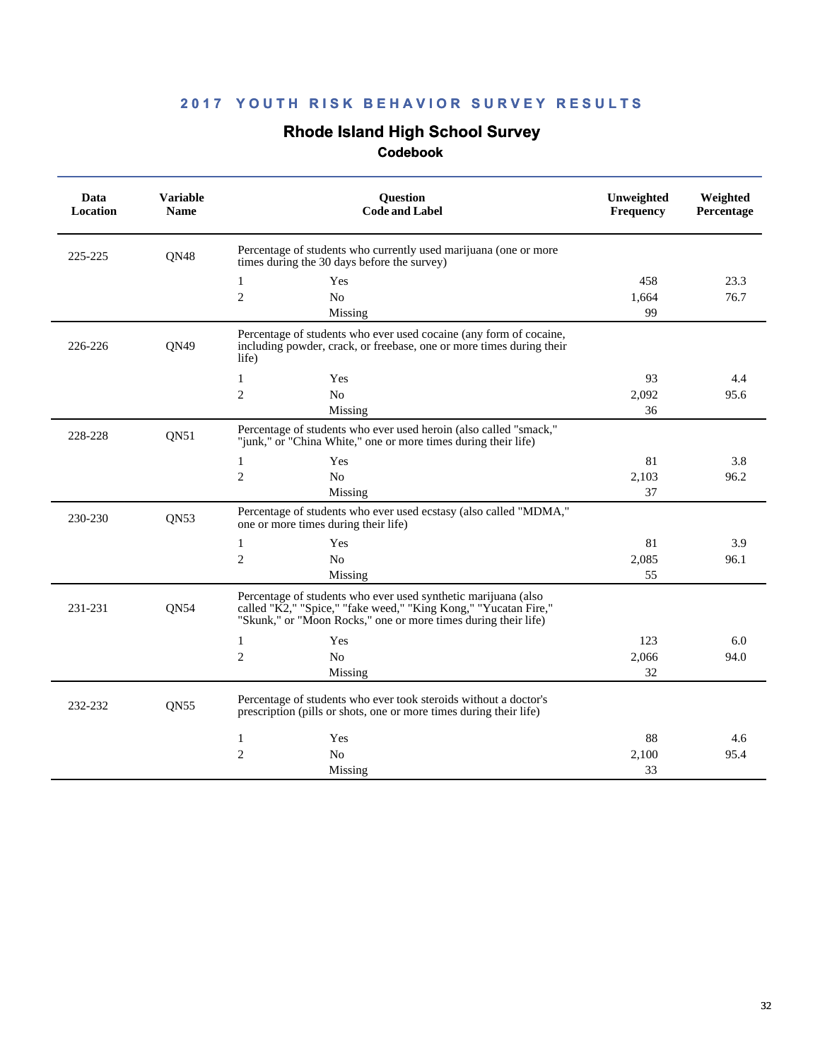### **Rhode Island High School Survey**

| Data<br>Location | <b>Variable</b><br><b>Name</b> | <b>Question</b><br><b>Code and Label</b>                                                                                                                                                            | Unweighted<br>Frequency | Weighted<br>Percentage |
|------------------|--------------------------------|-----------------------------------------------------------------------------------------------------------------------------------------------------------------------------------------------------|-------------------------|------------------------|
| 225-225          | QN48                           | Percentage of students who currently used marijuana (one or more<br>times during the 30 days before the survey)                                                                                     |                         |                        |
|                  |                                | $\mathbf{1}$<br>Yes                                                                                                                                                                                 | 458                     | 23.3                   |
|                  |                                | $\overline{2}$<br>N <sub>0</sub>                                                                                                                                                                    | 1,664                   | 76.7                   |
|                  |                                | Missing                                                                                                                                                                                             | 99                      |                        |
| 226-226          | <b>ON49</b>                    | Percentage of students who ever used cocaine (any form of cocaine,<br>including powder, crack, or freebase, one or more times during their<br>life)                                                 |                         |                        |
|                  |                                | $\mathbf{1}$<br>Yes                                                                                                                                                                                 | 93                      | 4.4                    |
|                  |                                | $\overline{2}$<br>N <sub>o</sub>                                                                                                                                                                    | 2,092                   | 95.6                   |
|                  |                                | Missing                                                                                                                                                                                             | 36                      |                        |
| 228-228          | QN51                           | Percentage of students who ever used heroin (also called "smack,"<br>"junk," or "China White," one or more times during their life)                                                                 |                         |                        |
|                  |                                | $\mathbf{1}$<br>Yes                                                                                                                                                                                 | 81                      | 3.8                    |
|                  |                                | $\overline{c}$<br>No                                                                                                                                                                                | 2,103                   | 96.2                   |
|                  |                                | Missing                                                                                                                                                                                             | 37                      |                        |
| 230-230          | QN53                           | Percentage of students who ever used ecstasy (also called "MDMA,"<br>one or more times during their life)                                                                                           |                         |                        |
|                  |                                | 1<br>Yes                                                                                                                                                                                            | 81                      | 3.9                    |
|                  |                                | $\mathfrak{2}$<br>No                                                                                                                                                                                | 2,085                   | 96.1                   |
|                  |                                | Missing                                                                                                                                                                                             | 55                      |                        |
| 231-231          | QN54                           | Percentage of students who ever used synthetic marijuana (also<br>called "K2," "Spice," "fake weed," "King Kong," "Yucatan Fire,"<br>"Skunk," or "Moon Rocks," one or more times during their life) |                         |                        |
|                  |                                | Yes<br>1                                                                                                                                                                                            | 123                     | 6.0                    |
|                  |                                | $\overline{2}$<br>N <sub>o</sub>                                                                                                                                                                    | 2,066                   | 94.0                   |
|                  |                                | Missing                                                                                                                                                                                             | 32                      |                        |
| 232-232          | <b>ON55</b>                    | Percentage of students who ever took steroids without a doctor's<br>prescription (pills or shots, one or more times during their life)                                                              |                         |                        |
|                  |                                | 1<br>Yes                                                                                                                                                                                            | 88                      | 4.6                    |
|                  |                                | $\overline{2}$<br>N <sub>0</sub>                                                                                                                                                                    | 2,100                   | 95.4                   |
|                  |                                | Missing                                                                                                                                                                                             | 33                      |                        |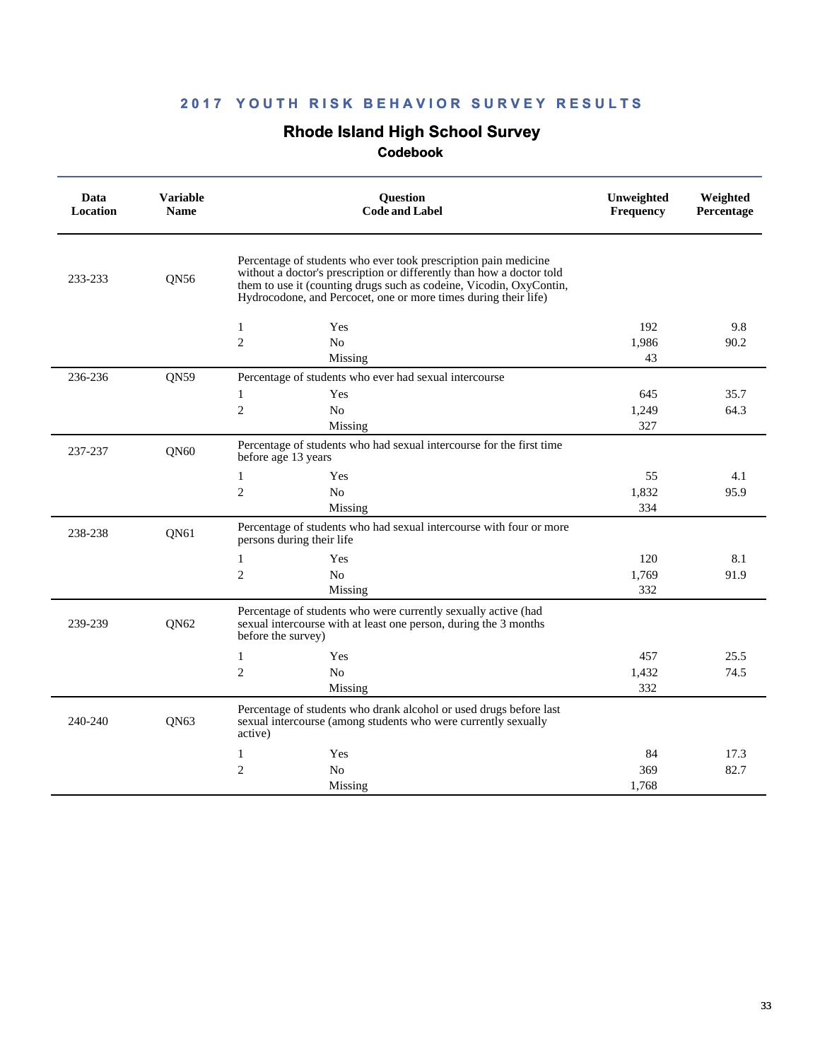# **Rhode Island High School Survey**

| Data<br><b>Location</b> | <b>Variable</b><br><b>Name</b> | Question<br><b>Code and Label</b>                                                                                                                                                                                                                                                  | Unweighted<br><b>Frequency</b> | Weighted<br>Percentage |
|-------------------------|--------------------------------|------------------------------------------------------------------------------------------------------------------------------------------------------------------------------------------------------------------------------------------------------------------------------------|--------------------------------|------------------------|
| 233-233                 | QN56                           | Percentage of students who ever took prescription pain medicine<br>without a doctor's prescription or differently than how a doctor told<br>them to use it (counting drugs such as codeine, Vicodin, OxyContin,<br>Hydrocodone, and Percocet, one or more times during their life) |                                |                        |
|                         |                                | $\mathbf{1}$<br>Yes                                                                                                                                                                                                                                                                | 192                            | 9.8                    |
|                         |                                | $\mathfrak{2}$<br>N <sub>o</sub>                                                                                                                                                                                                                                                   | 1.986                          | 90.2                   |
|                         |                                | Missing                                                                                                                                                                                                                                                                            | 43                             |                        |
| 236-236                 | <b>ON59</b>                    | Percentage of students who ever had sexual intercourse                                                                                                                                                                                                                             |                                |                        |
|                         |                                | Yes<br>1                                                                                                                                                                                                                                                                           | 645                            | 35.7                   |
|                         |                                | $\overline{2}$<br>N <sub>0</sub>                                                                                                                                                                                                                                                   | 1,249                          | 64.3                   |
|                         |                                | Missing                                                                                                                                                                                                                                                                            | 327                            |                        |
| 237-237                 | QN60                           | Percentage of students who had sexual intercourse for the first time<br>before age 13 years                                                                                                                                                                                        |                                |                        |
|                         |                                | 1<br>Yes                                                                                                                                                                                                                                                                           | 55                             | 4.1                    |
|                         |                                | $\overline{2}$<br>N <sub>0</sub>                                                                                                                                                                                                                                                   | 1,832                          | 95.9                   |
|                         |                                | Missing                                                                                                                                                                                                                                                                            | 334                            |                        |
| 238-238                 | QN61                           | Percentage of students who had sexual intercourse with four or more<br>persons during their life                                                                                                                                                                                   |                                |                        |
|                         |                                | $\mathbf{1}$<br>Yes                                                                                                                                                                                                                                                                | 120                            | 8.1                    |
|                         |                                | $\overline{2}$<br>N <sub>0</sub>                                                                                                                                                                                                                                                   | 1,769                          | 91.9                   |
|                         |                                | Missing                                                                                                                                                                                                                                                                            | 332                            |                        |
| 239-239                 | QN <sub>62</sub>               | Percentage of students who were currently sexually active (had<br>sexual intercourse with at least one person, during the 3 months<br>before the survey)                                                                                                                           |                                |                        |
|                         |                                | $\mathbf{1}$<br>Yes                                                                                                                                                                                                                                                                | 457                            | 25.5                   |
|                         |                                | $\overline{c}$<br>N <sub>0</sub>                                                                                                                                                                                                                                                   | 1,432                          | 74.5                   |
|                         |                                | Missing                                                                                                                                                                                                                                                                            | 332                            |                        |
| 240-240                 | <b>ON63</b>                    | Percentage of students who drank alcohol or used drugs before last<br>sexual intercourse (among students who were currently sexually<br>active)                                                                                                                                    |                                |                        |
|                         |                                | Yes<br>1                                                                                                                                                                                                                                                                           | 84                             | 17.3                   |
|                         |                                | $\overline{2}$<br>N <sub>0</sub>                                                                                                                                                                                                                                                   | 369                            | 82.7                   |
|                         |                                | Missing                                                                                                                                                                                                                                                                            | 1,768                          |                        |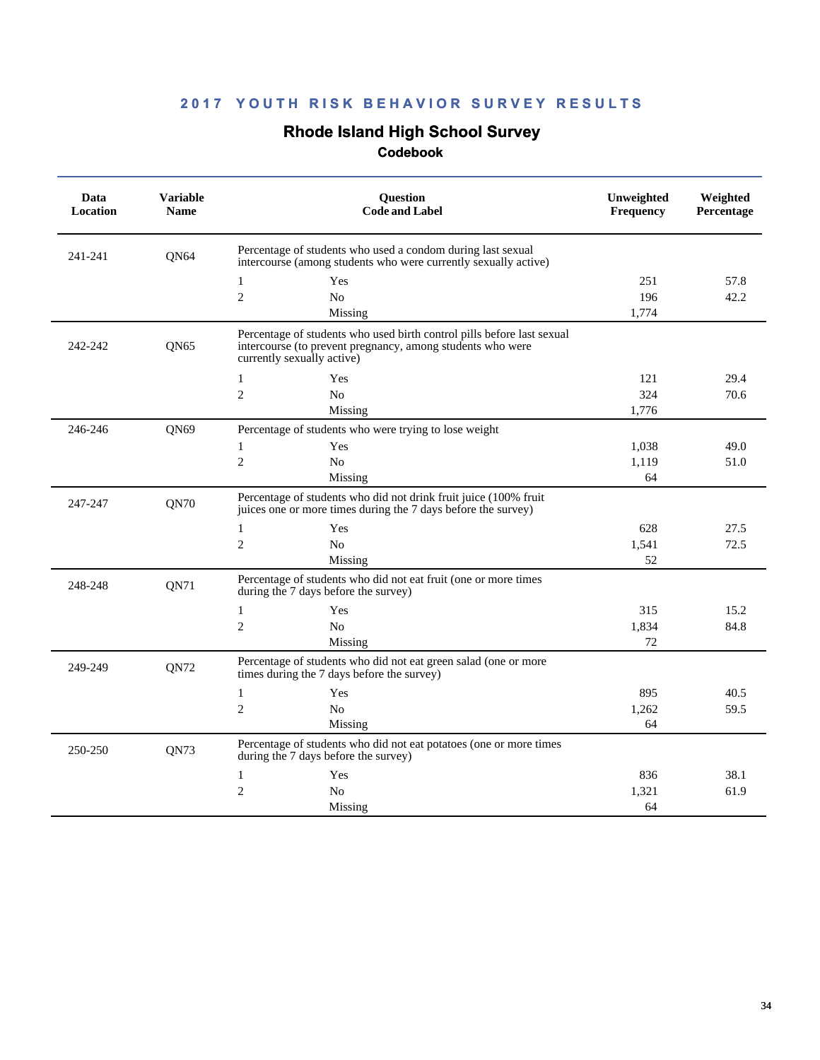# **Rhode Island High School Survey**

| Data<br>Location | <b>Variable</b><br><b>Name</b> | <b>Question</b><br><b>Code and Label</b>                                                                                                                           | Unweighted<br><b>Frequency</b> | Weighted<br>Percentage |
|------------------|--------------------------------|--------------------------------------------------------------------------------------------------------------------------------------------------------------------|--------------------------------|------------------------|
| 241-241          | <b>ON64</b>                    | Percentage of students who used a condom during last sexual<br>intercourse (among students who were currently sexually active)                                     |                                |                        |
|                  |                                | $\mathbf{1}$<br>Yes                                                                                                                                                | 251                            | 57.8                   |
|                  |                                | $\mathbf{2}$<br>N <sub>o</sub>                                                                                                                                     | 196                            | 42.2                   |
|                  |                                | Missing                                                                                                                                                            | 1,774                          |                        |
| 242-242          | ON65                           | Percentage of students who used birth control pills before last sexual<br>intercourse (to prevent pregnancy, among students who were<br>currently sexually active) |                                |                        |
|                  |                                | 1<br>Yes                                                                                                                                                           | 121                            | 29.4                   |
|                  |                                | 2<br>N <sub>0</sub>                                                                                                                                                | 324                            | 70.6                   |
|                  |                                | Missing                                                                                                                                                            | 1,776                          |                        |
| 246-246          | QN69                           | Percentage of students who were trying to lose weight                                                                                                              |                                |                        |
|                  |                                | 1<br>Yes                                                                                                                                                           | 1,038                          | 49.0                   |
|                  |                                | $\mathbf{2}$<br>No                                                                                                                                                 | 1,119                          | 51.0                   |
|                  |                                | Missing                                                                                                                                                            | 64                             |                        |
| 247-247          | QN70                           | Percentage of students who did not drink fruit juice (100% fruit<br>juices one or more times during the 7 days before the survey)                                  |                                |                        |
|                  |                                | 1<br>Yes                                                                                                                                                           | 628                            | 27.5                   |
|                  |                                | $\overline{c}$<br>No                                                                                                                                               | 1,541                          | 72.5                   |
|                  |                                | Missing                                                                                                                                                            | 52                             |                        |
| 248-248          | QN71                           | Percentage of students who did not eat fruit (one or more times<br>during the 7 days before the survey)                                                            |                                |                        |
|                  |                                | $\mathbf{1}$<br>Yes                                                                                                                                                | 315                            | 15.2                   |
|                  |                                | $\overline{2}$<br>N <sub>o</sub>                                                                                                                                   | 1,834                          | 84.8                   |
|                  |                                | Missing                                                                                                                                                            | 72                             |                        |
| 249-249          | <b>ON72</b>                    | Percentage of students who did not eat green salad (one or more<br>times during the 7 days before the survey)                                                      |                                |                        |
|                  |                                | $\mathbf{1}$<br>Yes                                                                                                                                                | 895                            | 40.5                   |
|                  |                                | $\overline{2}$<br>N <sub>o</sub>                                                                                                                                   | 1,262                          | 59.5                   |
|                  |                                | Missing                                                                                                                                                            | 64                             |                        |
| 250-250          | QN73                           | Percentage of students who did not eat potatoes (one or more times<br>during the 7 days before the survey)                                                         |                                |                        |
|                  |                                | $\mathbf{1}$<br>Yes                                                                                                                                                | 836                            | 38.1                   |
|                  |                                | $\mathbf{2}$<br>No                                                                                                                                                 | 1,321                          | 61.9                   |
|                  |                                | Missing                                                                                                                                                            | 64                             |                        |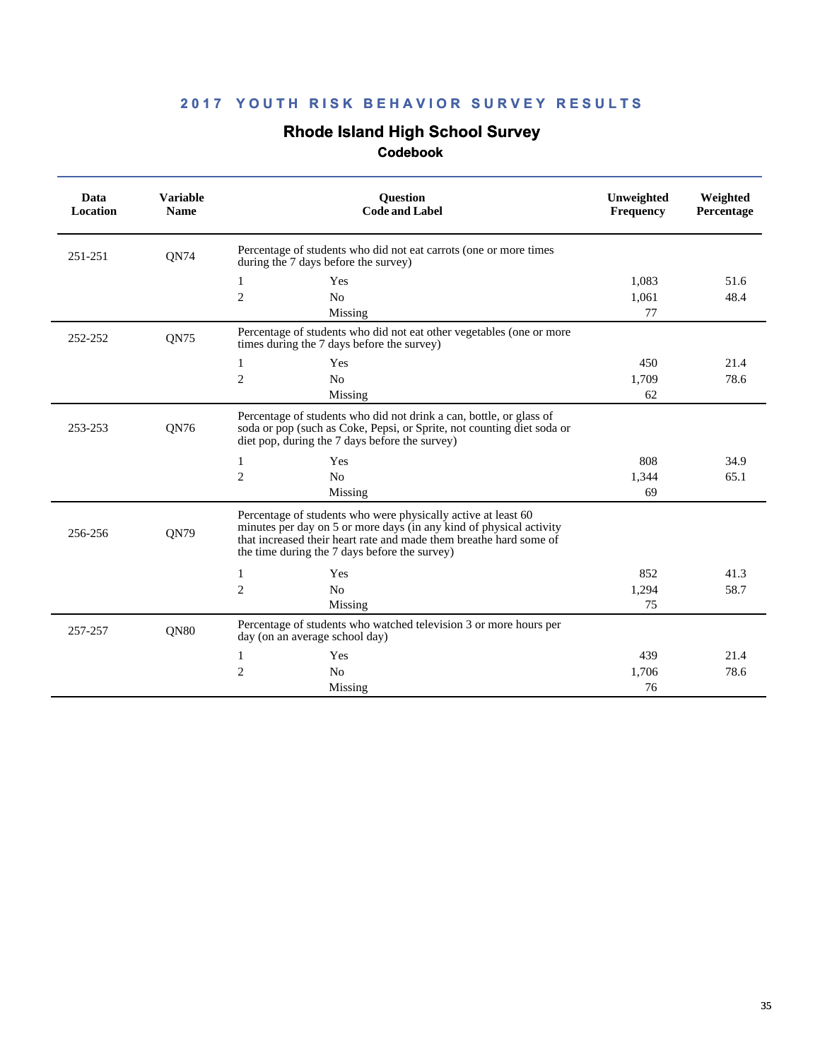# **Rhode Island High School Survey**

| Data<br>Location | <b>Variable</b><br><b>Name</b> | <b>Question</b><br><b>Code and Label</b>                                                                                                                                                                                                                    | Unweighted<br>Frequency | Weighted<br>Percentage |
|------------------|--------------------------------|-------------------------------------------------------------------------------------------------------------------------------------------------------------------------------------------------------------------------------------------------------------|-------------------------|------------------------|
| 251-251          | <b>ON74</b>                    | Percentage of students who did not eat carrots (one or more times<br>during the 7 days before the survey)                                                                                                                                                   |                         |                        |
|                  |                                | Yes<br>1                                                                                                                                                                                                                                                    | 1.083                   | 51.6                   |
|                  |                                | 2<br>N <sub>o</sub>                                                                                                                                                                                                                                         | 1,061                   | 48.4                   |
|                  |                                | Missing                                                                                                                                                                                                                                                     | 77                      |                        |
| 252-252          | QN75                           | Percentage of students who did not eat other vegetables (one or more<br>times during the 7 days before the survey)                                                                                                                                          |                         |                        |
|                  |                                | 1<br>Yes                                                                                                                                                                                                                                                    | 450                     | 21.4                   |
|                  |                                | 2<br>N <sub>o</sub>                                                                                                                                                                                                                                         | 1.709                   | 78.6                   |
|                  |                                | Missing                                                                                                                                                                                                                                                     | 62                      |                        |
| 253-253          | QN76                           | Percentage of students who did not drink a can, bottle, or glass of<br>soda or pop (such as Coke, Pepsi, or Sprite, not counting diet soda or<br>diet pop, during the 7 days before the survey)                                                             |                         |                        |
|                  |                                | 1<br>Yes                                                                                                                                                                                                                                                    | 808                     | 34.9                   |
|                  |                                | $\overline{2}$<br>N <sub>o</sub>                                                                                                                                                                                                                            | 1,344                   | 65.1                   |
|                  |                                | Missing                                                                                                                                                                                                                                                     | 69                      |                        |
| 256-256          | <b>ON79</b>                    | Percentage of students who were physically active at least 60<br>minutes per day on 5 or more days (in any kind of physical activity<br>that increased their heart rate and made them breathe hard some of<br>the time during the 7 days before the survey) |                         |                        |
|                  |                                | 1<br>Yes                                                                                                                                                                                                                                                    | 852                     | 41.3                   |
|                  |                                | $\overline{2}$<br>N <sub>o</sub>                                                                                                                                                                                                                            | 1,294                   | 58.7                   |
|                  |                                | Missing                                                                                                                                                                                                                                                     | 75                      |                        |
| 257-257          | <b>ON80</b>                    | Percentage of students who watched television 3 or more hours per<br>day (on an average school day)                                                                                                                                                         |                         |                        |
|                  |                                | Yes<br>1                                                                                                                                                                                                                                                    | 439                     | 21.4                   |
|                  |                                | $\overline{2}$<br>N <sub>0</sub>                                                                                                                                                                                                                            | 1.706                   | 78.6                   |
|                  |                                | Missing                                                                                                                                                                                                                                                     | 76                      |                        |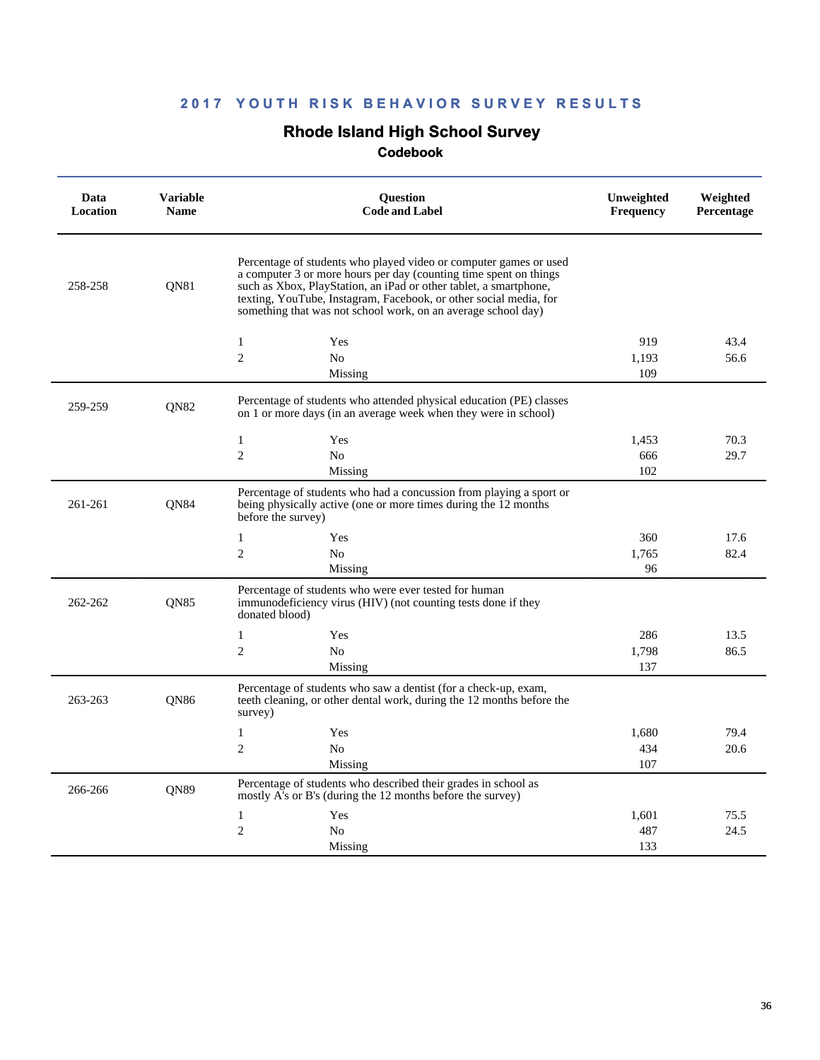### **Rhode Island High School Survey**

| Data<br>Location | <b>Variable</b><br><b>Name</b> | <b>Ouestion</b><br><b>Code and Label</b>                                                                                                                                                                                                                                                                                                          | Unweighted<br><b>Frequency</b> | Weighted<br>Percentage |
|------------------|--------------------------------|---------------------------------------------------------------------------------------------------------------------------------------------------------------------------------------------------------------------------------------------------------------------------------------------------------------------------------------------------|--------------------------------|------------------------|
| 258-258          | QN81                           | Percentage of students who played video or computer games or used<br>a computer 3 or more hours per day (counting time spent on things<br>such as Xbox, PlayStation, an iPad or other tablet, a smartphone,<br>texting, YouTube, Instagram, Facebook, or other social media, for<br>something that was not school work, on an average school day) |                                |                        |
|                  |                                | 1<br>Yes                                                                                                                                                                                                                                                                                                                                          | 919                            | 43.4                   |
|                  |                                | $\overline{2}$<br>N <sub>o</sub>                                                                                                                                                                                                                                                                                                                  | 1,193                          | 56.6                   |
|                  |                                | Missing                                                                                                                                                                                                                                                                                                                                           | 109                            |                        |
| 259-259          | <b>ON82</b>                    | Percentage of students who attended physical education (PE) classes<br>on 1 or more days (in an average week when they were in school)                                                                                                                                                                                                            |                                |                        |
|                  |                                | $\mathbf{1}$<br>Yes                                                                                                                                                                                                                                                                                                                               | 1,453                          | 70.3                   |
|                  |                                | $\overline{2}$<br>N <sub>o</sub>                                                                                                                                                                                                                                                                                                                  | 666                            | 29.7                   |
|                  |                                | Missing                                                                                                                                                                                                                                                                                                                                           | 102                            |                        |
| 261-261          | QN84                           | Percentage of students who had a concussion from playing a sport or<br>being physically active (one or more times during the 12 months<br>before the survey)                                                                                                                                                                                      |                                |                        |
|                  |                                | $\mathbf{1}$<br>Yes                                                                                                                                                                                                                                                                                                                               | 360                            | 17.6                   |
|                  |                                | $\overline{2}$<br>N <sub>o</sub>                                                                                                                                                                                                                                                                                                                  | 1,765                          | 82.4                   |
|                  |                                | Missing                                                                                                                                                                                                                                                                                                                                           | 96                             |                        |
| 262-262          | <b>ON85</b>                    | Percentage of students who were ever tested for human<br>immunodeficiency virus (HIV) (not counting tests done if they<br>donated blood)                                                                                                                                                                                                          |                                |                        |
|                  |                                | $\mathbf{1}$<br>Yes                                                                                                                                                                                                                                                                                                                               | 286                            | 13.5                   |
|                  |                                | $\overline{2}$<br>N <sub>0</sub>                                                                                                                                                                                                                                                                                                                  | 1,798                          | 86.5                   |
|                  |                                | Missing                                                                                                                                                                                                                                                                                                                                           | 137                            |                        |
| 263-263          | <b>ON86</b>                    | Percentage of students who saw a dentist (for a check-up, exam,<br>teeth cleaning, or other dental work, during the 12 months before the<br>survey)                                                                                                                                                                                               |                                |                        |
|                  |                                | $\mathbf{1}$<br>Yes                                                                                                                                                                                                                                                                                                                               | 1,680                          | 79.4                   |
|                  |                                | $\overline{2}$<br>No                                                                                                                                                                                                                                                                                                                              | 434                            | 20.6                   |
|                  |                                | Missing                                                                                                                                                                                                                                                                                                                                           | 107                            |                        |
| 266-266          | <b>ON89</b>                    | Percentage of students who described their grades in school as<br>mostly A's or B's (during the 12 months before the survey)                                                                                                                                                                                                                      |                                |                        |
|                  |                                | $\mathbf{1}$<br>Yes                                                                                                                                                                                                                                                                                                                               | 1,601                          | 75.5                   |
|                  |                                | $\overline{2}$<br>No                                                                                                                                                                                                                                                                                                                              | 487                            | 24.5                   |
|                  |                                | Missing                                                                                                                                                                                                                                                                                                                                           | 133                            |                        |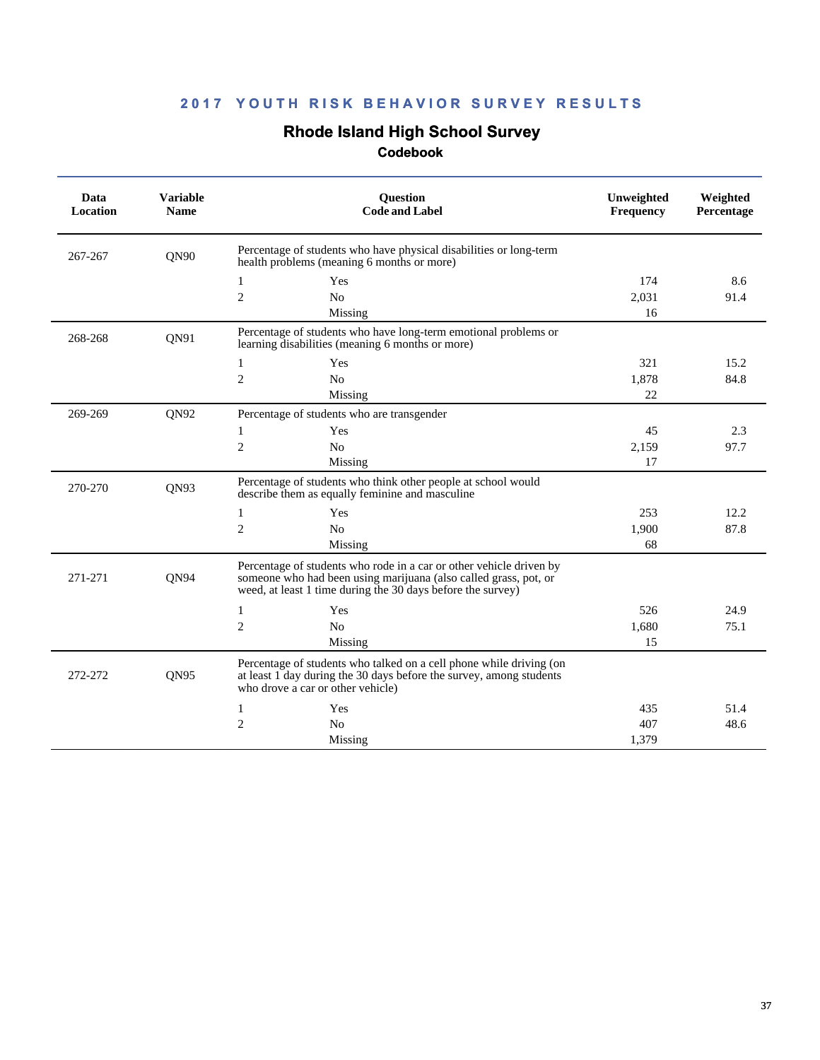# **Rhode Island High School Survey**

| Data<br>Location | <b>Variable</b><br><b>Name</b> | Question<br><b>Code and Label</b>                                                                                                                                                                      | Unweighted<br><b>Frequency</b> | Weighted<br>Percentage |
|------------------|--------------------------------|--------------------------------------------------------------------------------------------------------------------------------------------------------------------------------------------------------|--------------------------------|------------------------|
| 267-267          | QN90                           | Percentage of students who have physical disabilities or long-term<br>health problems (meaning 6 months or more)                                                                                       |                                |                        |
|                  |                                | Yes<br>1                                                                                                                                                                                               | 174                            | 8.6                    |
|                  |                                | $\overline{c}$<br>N <sub>o</sub>                                                                                                                                                                       | 2,031                          | 91.4                   |
|                  |                                | Missing                                                                                                                                                                                                | 16                             |                        |
| 268-268          | QN91                           | Percentage of students who have long-term emotional problems or<br>learning disabilities (meaning 6 months or more)                                                                                    |                                |                        |
|                  |                                | Yes<br>1                                                                                                                                                                                               | 321                            | 15.2                   |
|                  |                                | $\overline{2}$<br>N <sub>0</sub>                                                                                                                                                                       | 1,878                          | 84.8                   |
|                  |                                | Missing                                                                                                                                                                                                | 22                             |                        |
| 269-269          | QN92                           | Percentage of students who are transgender                                                                                                                                                             |                                |                        |
|                  |                                | Yes<br>1                                                                                                                                                                                               | 45                             | 2.3                    |
|                  |                                | $\overline{c}$<br>N <sub>0</sub>                                                                                                                                                                       | 2,159                          | 97.7                   |
|                  |                                | Missing                                                                                                                                                                                                | 17                             |                        |
| 270-270          | QN93                           | Percentage of students who think other people at school would<br>describe them as equally feminine and masculine                                                                                       |                                |                        |
|                  |                                | 1<br>Yes                                                                                                                                                                                               | 253                            | 12.2                   |
|                  |                                | $\mathfrak{2}$<br>N <sub>0</sub>                                                                                                                                                                       | 1,900                          | 87.8                   |
|                  |                                | Missing                                                                                                                                                                                                | 68                             |                        |
| 271-271          | ON94                           | Percentage of students who rode in a car or other vehicle driven by<br>someone who had been using marijuana (also called grass, pot, or<br>weed, at least 1 time during the 30 days before the survey) |                                |                        |
|                  |                                | Yes<br>1                                                                                                                                                                                               | 526                            | 24.9                   |
|                  |                                | $\overline{c}$<br>N <sub>o</sub>                                                                                                                                                                       | 1,680                          | 75.1                   |
|                  |                                | Missing                                                                                                                                                                                                | 15                             |                        |
| 272-272          | QN95                           | Percentage of students who talked on a cell phone while driving (on<br>at least 1 day during the 30 days before the survey, among students<br>who drove a car or other vehicle)                        |                                |                        |
|                  |                                | Yes<br>1                                                                                                                                                                                               | 435                            | 51.4                   |
|                  |                                | $\overline{c}$<br>N <sub>o</sub>                                                                                                                                                                       | 407                            | 48.6                   |
|                  |                                | Missing                                                                                                                                                                                                | 1,379                          |                        |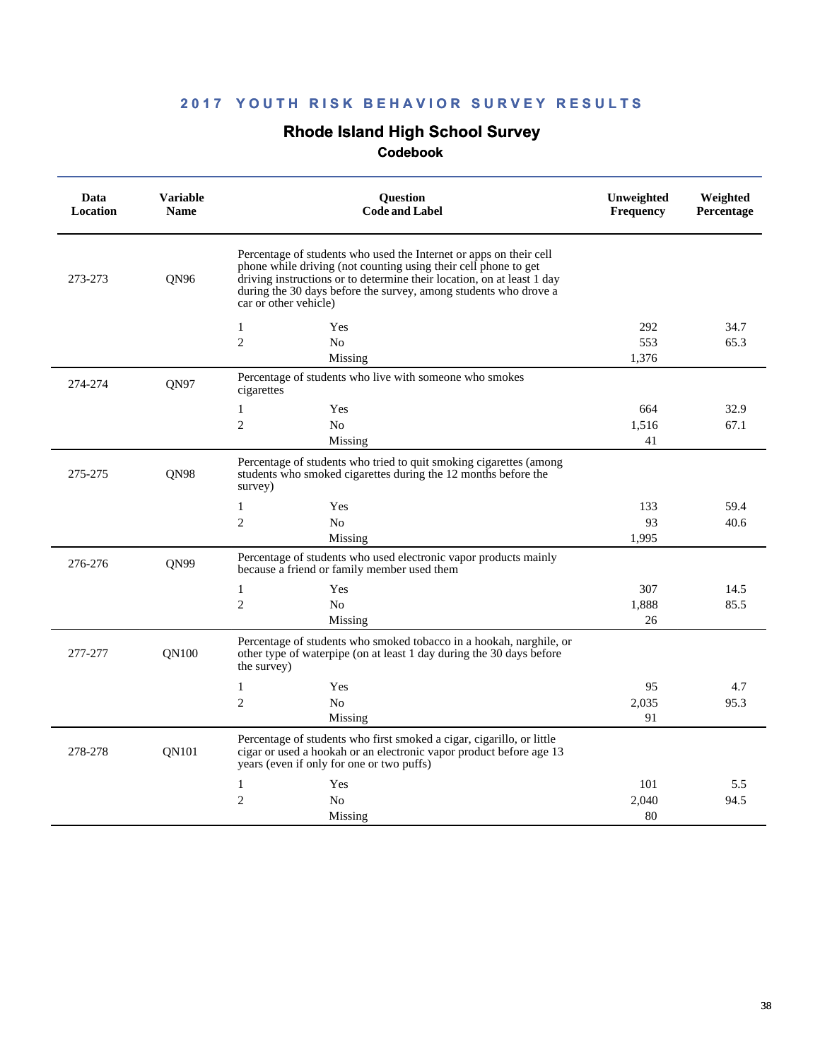# **Rhode Island High School Survey**

| Data<br>Location | <b>Variable</b><br><b>Name</b> | Question<br><b>Code and Label</b>                                                                                                                                                                                                                                                                            | Unweighted<br>Frequency | Weighted<br>Percentage |
|------------------|--------------------------------|--------------------------------------------------------------------------------------------------------------------------------------------------------------------------------------------------------------------------------------------------------------------------------------------------------------|-------------------------|------------------------|
| 273-273          | <b>ON96</b>                    | Percentage of students who used the Internet or apps on their cell<br>phone while driving (not counting using their cell phone to get<br>driving instructions or to determine their location, on at least 1 day<br>during the 30 days before the survey, among students who drove a<br>car or other vehicle) |                         |                        |
|                  |                                | 1<br>Yes                                                                                                                                                                                                                                                                                                     | 292                     | 34.7                   |
|                  |                                | $\overline{2}$<br>N <sub>o</sub>                                                                                                                                                                                                                                                                             | 553                     | 65.3                   |
|                  |                                | Missing                                                                                                                                                                                                                                                                                                      | 1,376                   |                        |
| 274-274          | QN97                           | Percentage of students who live with someone who smokes<br>cigarettes                                                                                                                                                                                                                                        |                         |                        |
|                  |                                | $\mathbf{1}$<br>Yes                                                                                                                                                                                                                                                                                          | 664                     | 32.9                   |
|                  |                                | $\overline{c}$<br>N <sub>0</sub>                                                                                                                                                                                                                                                                             | 1.516                   | 67.1                   |
|                  |                                | Missing                                                                                                                                                                                                                                                                                                      | 41                      |                        |
| 275-275          | QN98                           | Percentage of students who tried to quit smoking cigarettes (among<br>students who smoked cigarettes during the 12 months before the<br>survey)                                                                                                                                                              |                         |                        |
|                  |                                | Yes<br>1                                                                                                                                                                                                                                                                                                     | 133                     | 59.4                   |
|                  |                                | $\mathbf{2}$<br>N <sub>o</sub>                                                                                                                                                                                                                                                                               | 93                      | 40.6                   |
|                  |                                | Missing                                                                                                                                                                                                                                                                                                      | 1.995                   |                        |
| 276-276          | ON99                           | Percentage of students who used electronic vapor products mainly<br>because a friend or family member used them                                                                                                                                                                                              |                         |                        |
|                  |                                | 1<br>Yes                                                                                                                                                                                                                                                                                                     | 307                     | 14.5                   |
|                  |                                | $\mathfrak{2}$<br>No                                                                                                                                                                                                                                                                                         | 1,888                   | 85.5                   |
|                  |                                | Missing                                                                                                                                                                                                                                                                                                      | 26                      |                        |
| 277-277          | <b>ON100</b>                   | Percentage of students who smoked tobacco in a hookah, narghile, or<br>other type of waterpipe (on at least 1 day during the 30 days before<br>the survey)                                                                                                                                                   |                         |                        |
|                  |                                | $\mathbf{1}$<br>Yes                                                                                                                                                                                                                                                                                          | 95                      | 4.7                    |
|                  |                                | $\overline{2}$<br>N <sub>0</sub>                                                                                                                                                                                                                                                                             | 2,035                   | 95.3                   |
|                  |                                | Missing                                                                                                                                                                                                                                                                                                      | 91                      |                        |
| 278-278          | <b>ON101</b>                   | Percentage of students who first smoked a cigar, cigarillo, or little<br>cigar or used a hookah or an electronic vapor product before age 13<br>years (even if only for one or two puffs)                                                                                                                    |                         |                        |
|                  |                                | 1<br>Yes                                                                                                                                                                                                                                                                                                     | 101                     | 5.5                    |
|                  |                                | $\overline{2}$<br>N <sub>0</sub>                                                                                                                                                                                                                                                                             | 2.040                   | 94.5                   |
|                  |                                | Missing                                                                                                                                                                                                                                                                                                      | 80                      |                        |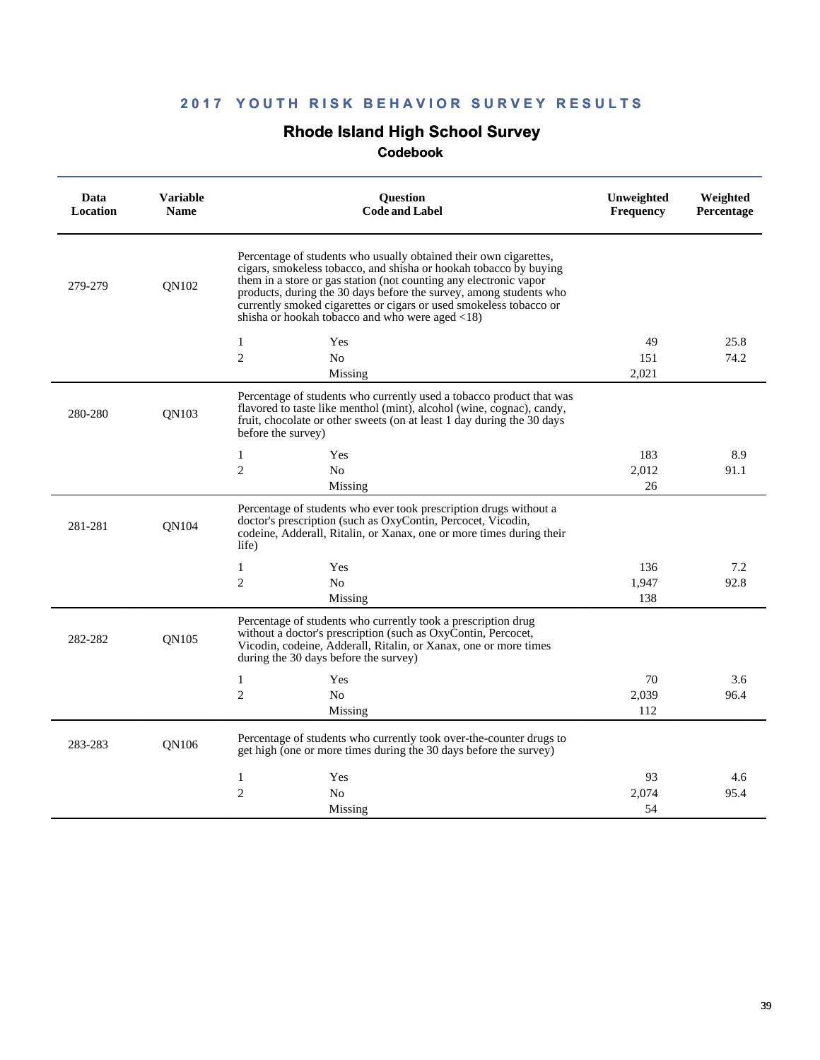# **Rhode Island High School Survey**

| Data<br>Location | <b>Variable</b><br><b>Name</b> | Question<br><b>Code and Label</b>                                                                                                                                                                                                                                                                                                                                                                                          | Unweighted<br><b>Frequency</b> | Weighted<br><b>Percentage</b> |
|------------------|--------------------------------|----------------------------------------------------------------------------------------------------------------------------------------------------------------------------------------------------------------------------------------------------------------------------------------------------------------------------------------------------------------------------------------------------------------------------|--------------------------------|-------------------------------|
| 279-279          | <b>ON102</b>                   | Percentage of students who usually obtained their own cigarettes,<br>cigars, smokeless tobacco, and shisha or hookah tobacco by buying<br>them in a store or gas station (not counting any electronic vapor<br>products, during the 30 days before the survey, among students who<br>currently smoked cigarettes or cigars or used smokeless tobacco or<br>shisha or hookah tobacco and who were aged $\langle 18 \rangle$ |                                |                               |
|                  |                                | 1<br>Yes                                                                                                                                                                                                                                                                                                                                                                                                                   | 49                             | 25.8                          |
|                  |                                | $\overline{2}$<br>N <sub>o</sub>                                                                                                                                                                                                                                                                                                                                                                                           | 151                            | 74.2                          |
|                  |                                | Missing                                                                                                                                                                                                                                                                                                                                                                                                                    | 2.021                          |                               |
| 280-280          | <b>ON103</b>                   | Percentage of students who currently used a tobacco product that was<br>flavored to taste like menthol (mint), alcohol (wine, cognac), candy,<br>fruit, chocolate or other sweets (on at least 1 day during the 30 days<br>before the survey)                                                                                                                                                                              |                                |                               |
|                  |                                | 1<br>Yes                                                                                                                                                                                                                                                                                                                                                                                                                   | 183                            | 8.9                           |
|                  |                                | $\overline{2}$<br>N <sub>0</sub>                                                                                                                                                                                                                                                                                                                                                                                           | 2.012                          | 91.1                          |
|                  |                                | Missing                                                                                                                                                                                                                                                                                                                                                                                                                    | 26                             |                               |
| 281-281          | <b>ON104</b>                   | Percentage of students who ever took prescription drugs without a<br>doctor's prescription (such as OxyContin, Percocet, Vicodin,<br>codeine, Adderall, Ritalin, or Xanax, one or more times during their<br>life)                                                                                                                                                                                                         |                                |                               |
|                  |                                | 1<br>Yes                                                                                                                                                                                                                                                                                                                                                                                                                   | 136                            | 7.2                           |
|                  |                                | $\overline{2}$<br>N <sub>0</sub>                                                                                                                                                                                                                                                                                                                                                                                           | 1,947                          | 92.8                          |
|                  |                                | Missing                                                                                                                                                                                                                                                                                                                                                                                                                    | 138                            |                               |
| 282-282          | <b>ON105</b>                   | Percentage of students who currently took a prescription drug<br>without a doctor's prescription (such as OxyContin, Percocet,<br>Vicodin, codeine, Adderall, Ritalin, or Xanax, one or more times<br>during the 30 days before the survey)                                                                                                                                                                                |                                |                               |
|                  |                                | 1<br>Yes                                                                                                                                                                                                                                                                                                                                                                                                                   | 70                             | 3.6                           |
|                  |                                | $\overline{2}$<br>N <sub>0</sub>                                                                                                                                                                                                                                                                                                                                                                                           | 2,039                          | 96.4                          |
|                  |                                | Missing                                                                                                                                                                                                                                                                                                                                                                                                                    | 112                            |                               |
| 283-283          | QN106                          | Percentage of students who currently took over-the-counter drugs to<br>get high (one or more times during the 30 days before the survey)                                                                                                                                                                                                                                                                                   |                                |                               |
|                  |                                | 1<br>Yes                                                                                                                                                                                                                                                                                                                                                                                                                   | 93                             | 4.6                           |
|                  |                                | $\overline{2}$<br>N <sub>0</sub>                                                                                                                                                                                                                                                                                                                                                                                           | 2.074                          | 95.4                          |
|                  |                                | Missing                                                                                                                                                                                                                                                                                                                                                                                                                    | 54                             |                               |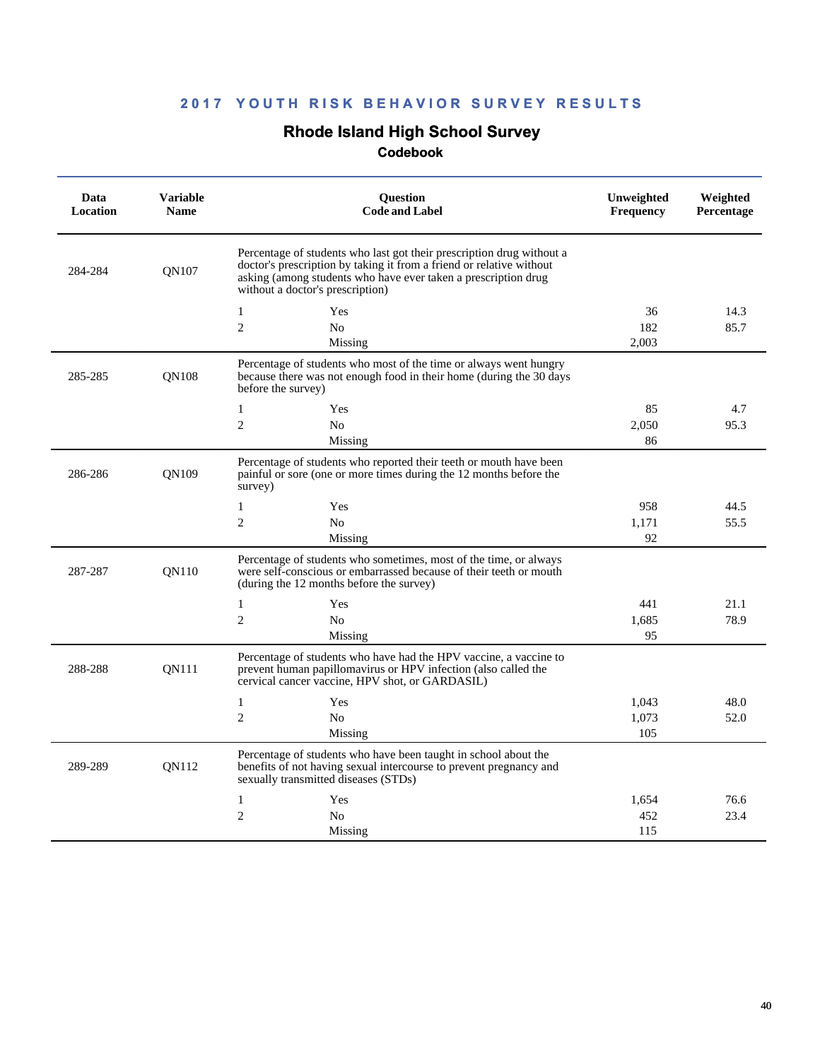# **Rhode Island High School Survey**

| Data<br><b>Location</b> | <b>Variable</b><br><b>Name</b> | <b>Question</b><br><b>Code and Label</b>                                                                                                                                                                                                            | Unweighted<br><b>Frequency</b> | Weighted<br>Percentage |
|-------------------------|--------------------------------|-----------------------------------------------------------------------------------------------------------------------------------------------------------------------------------------------------------------------------------------------------|--------------------------------|------------------------|
| 284-284<br><b>ON107</b> |                                | Percentage of students who last got their prescription drug without a<br>doctor's prescription by taking it from a friend or relative without<br>asking (among students who have ever taken a prescription drug<br>without a doctor's prescription) |                                |                        |
|                         |                                | $\mathbf{1}$<br>Yes                                                                                                                                                                                                                                 | 36                             | 14.3                   |
|                         |                                | $\overline{2}$<br>N <sub>o</sub>                                                                                                                                                                                                                    | 182                            | 85.7                   |
|                         |                                | Missing                                                                                                                                                                                                                                             | 2.003                          |                        |
| 285-285                 | <b>ON108</b>                   | Percentage of students who most of the time or always went hungry<br>because there was not enough food in their home (during the 30 days<br>before the survey)                                                                                      |                                |                        |
|                         |                                | 1<br>Yes                                                                                                                                                                                                                                            | 85                             | 4.7                    |
|                         |                                | $\overline{2}$<br>N <sub>0</sub>                                                                                                                                                                                                                    | 2,050                          | 95.3                   |
|                         |                                | Missing                                                                                                                                                                                                                                             | 86                             |                        |
| 286-286                 | ON109                          | Percentage of students who reported their teeth or mouth have been<br>painful or sore (one or more times during the 12 months before the<br>survey)                                                                                                 |                                |                        |
|                         |                                | $\mathbf{1}$<br>Yes                                                                                                                                                                                                                                 | 958                            | 44.5                   |
|                         |                                | $\overline{2}$<br>No                                                                                                                                                                                                                                | 1,171                          | 55.5                   |
|                         |                                | Missing                                                                                                                                                                                                                                             | 92                             |                        |
| 287-287                 | QN110                          | Percentage of students who sometimes, most of the time, or always<br>were self-conscious or embarrassed because of their teeth or mouth<br>(during the 12 months before the survey)                                                                 |                                |                        |
|                         |                                | $\mathbf{1}$<br>Yes                                                                                                                                                                                                                                 | 441                            | 21.1                   |
|                         |                                | $\overline{c}$<br>N <sub>0</sub>                                                                                                                                                                                                                    | 1,685                          | 78.9                   |
|                         |                                | Missing                                                                                                                                                                                                                                             | 95                             |                        |
| 288-288                 | <b>ON111</b>                   | Percentage of students who have had the HPV vaccine, a vaccine to<br>prevent human papillomavirus or HPV infection (also called the<br>cervical cancer vaccine, HPV shot, or GARDASIL)                                                              |                                |                        |
|                         |                                | $\mathbf{1}$<br>Yes                                                                                                                                                                                                                                 | 1,043                          | 48.0                   |
|                         |                                | $\overline{c}$<br>N <sub>0</sub>                                                                                                                                                                                                                    | 1.073                          | 52.0                   |
|                         |                                | Missing                                                                                                                                                                                                                                             | 105                            |                        |
| 289-289                 | <b>ON112</b>                   | Percentage of students who have been taught in school about the<br>benefits of not having sexual intercourse to prevent pregnancy and<br>sexually transmitted diseases (STDs)                                                                       |                                |                        |
|                         |                                | 1<br>Yes                                                                                                                                                                                                                                            | 1,654                          | 76.6                   |
|                         |                                | $\overline{c}$<br>N <sub>o</sub>                                                                                                                                                                                                                    | 452                            | 23.4                   |
|                         |                                | Missing                                                                                                                                                                                                                                             | 115                            |                        |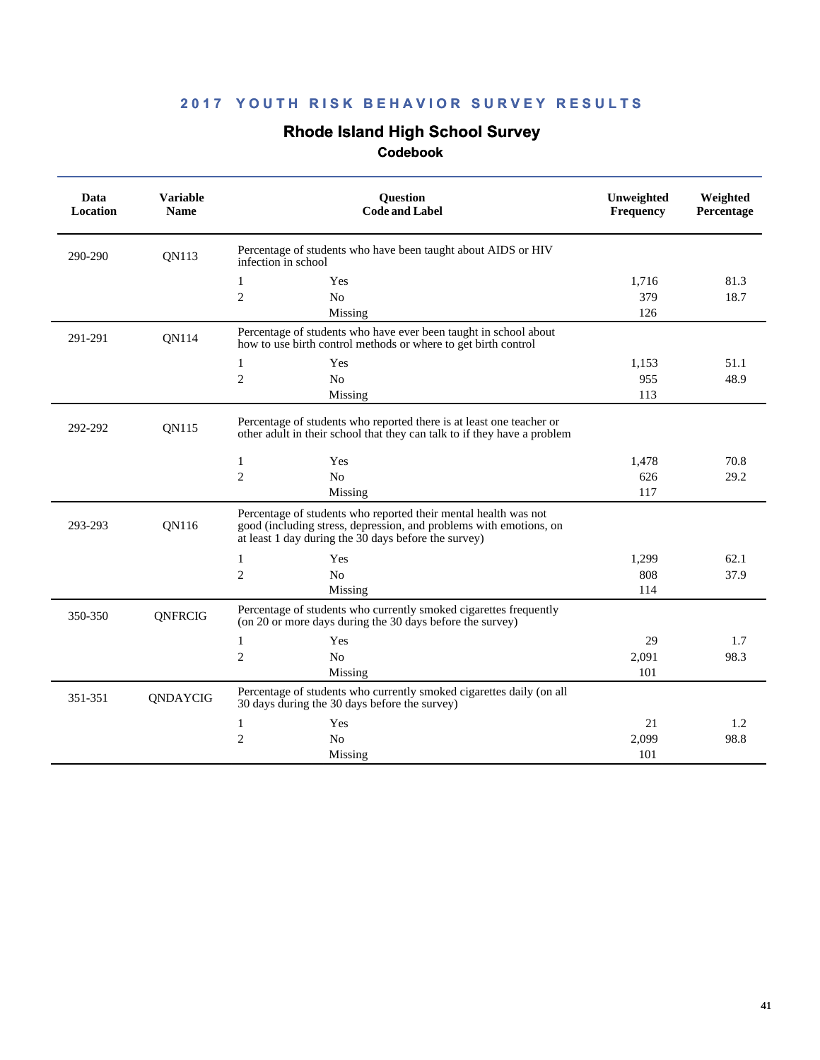# **Rhode Island High School Survey**

| Data<br>Location | <b>Variable</b><br><b>Name</b> | <b>Ouestion</b><br><b>Code and Label</b>                                                                                                                                                      | Unweighted<br><b>Frequency</b> | Weighted<br>Percentage |
|------------------|--------------------------------|-----------------------------------------------------------------------------------------------------------------------------------------------------------------------------------------------|--------------------------------|------------------------|
| 290-290          | QN113                          | Percentage of students who have been taught about AIDS or HIV<br>infection in school                                                                                                          |                                |                        |
|                  |                                | Yes<br>1                                                                                                                                                                                      | 1,716                          | 81.3                   |
|                  |                                | $\overline{c}$<br>No                                                                                                                                                                          | 379                            | 18.7                   |
|                  |                                | Missing                                                                                                                                                                                       | 126                            |                        |
| 291-291          | QN114                          | Percentage of students who have ever been taught in school about<br>how to use birth control methods or where to get birth control                                                            |                                |                        |
|                  |                                | Yes<br>1                                                                                                                                                                                      | 1,153                          | 51.1                   |
|                  |                                | $\mathfrak{2}$<br>N <sub>0</sub>                                                                                                                                                              | 955                            | 48.9                   |
|                  |                                | Missing                                                                                                                                                                                       | 113                            |                        |
| 292-292          | QN115                          | Percentage of students who reported there is at least one teacher or<br>other adult in their school that they can talk to if they have a problem                                              |                                |                        |
|                  |                                | $\mathbf{1}$<br>Yes                                                                                                                                                                           | 1,478                          | 70.8                   |
|                  |                                | $\mathfrak{2}$<br>N <sub>o</sub>                                                                                                                                                              | 626                            | 29.2                   |
|                  |                                | Missing                                                                                                                                                                                       | 117                            |                        |
| 293-293          | <b>ON116</b>                   | Percentage of students who reported their mental health was not<br>good (including stress, depression, and problems with emotions, on<br>at least 1 day during the 30 days before the survey) |                                |                        |
|                  |                                | 1<br>Yes                                                                                                                                                                                      | 1,299                          | 62.1                   |
|                  |                                | $\overline{c}$<br>No                                                                                                                                                                          | 808                            | 37.9                   |
|                  |                                | Missing                                                                                                                                                                                       | 114                            |                        |
| 350-350          | QNFRCIG                        | Percentage of students who currently smoked cigarettes frequently<br>(on 20 or more days during the 30 days before the survey)                                                                |                                |                        |
|                  |                                | Yes<br>1                                                                                                                                                                                      | 29                             | 1.7                    |
|                  |                                | $\overline{c}$<br>N <sub>0</sub>                                                                                                                                                              | 2,091                          | 98.3                   |
|                  |                                | Missing                                                                                                                                                                                       | 101                            |                        |
| 351-351          | QNDAYCIG                       | Percentage of students who currently smoked cigarettes daily (on all<br>30 days during the 30 days before the survey)                                                                         |                                |                        |
|                  |                                | Yes<br>1                                                                                                                                                                                      | 21                             | 1.2                    |
|                  |                                | $\mathfrak{2}$<br>N <sub>0</sub>                                                                                                                                                              | 2,099                          | 98.8                   |
|                  |                                | Missing                                                                                                                                                                                       | 101                            |                        |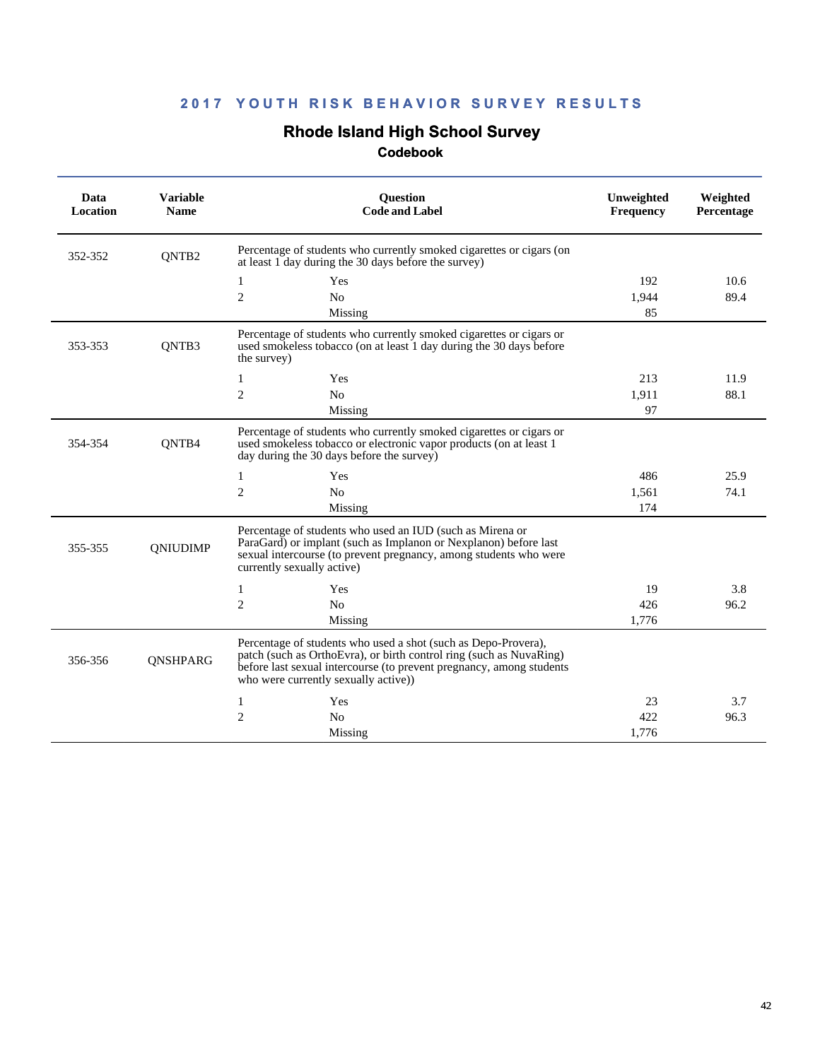# **Rhode Island High School Survey**

| Data<br>Location | <b>Variable</b><br><b>Ouestion</b><br><b>Code and Label</b><br><b>Name</b> |                                                                                                                                                                                                                                                       | Unweighted<br><b>Frequency</b> | Weighted<br>Percentage |
|------------------|----------------------------------------------------------------------------|-------------------------------------------------------------------------------------------------------------------------------------------------------------------------------------------------------------------------------------------------------|--------------------------------|------------------------|
| 352-352          | QNTB <sub>2</sub>                                                          | Percentage of students who currently smoked cigarettes or cigars (on<br>at least 1 day during the 30 days before the survey)                                                                                                                          |                                |                        |
|                  |                                                                            | 1<br>Yes                                                                                                                                                                                                                                              | 192                            | 10.6                   |
|                  |                                                                            | $\mathfrak{2}$<br>N <sub>o</sub>                                                                                                                                                                                                                      | 1.944                          | 89.4                   |
|                  |                                                                            | Missing                                                                                                                                                                                                                                               | 85                             |                        |
| 353-353          | QNTB3                                                                      | Percentage of students who currently smoked cigarettes or cigars or<br>used smokeless tobacco (on at least 1 day during the 30 days before<br>the survey)                                                                                             |                                |                        |
|                  |                                                                            | Yes<br>1                                                                                                                                                                                                                                              | 213                            | 11.9                   |
|                  |                                                                            | $\mathbf{2}$<br>N <sub>o</sub>                                                                                                                                                                                                                        | 1,911                          | 88.1                   |
|                  |                                                                            | Missing                                                                                                                                                                                                                                               | 97                             |                        |
| 354-354          | QNTB4                                                                      | Percentage of students who currently smoked cigarettes or cigars or<br>used smokeless tobacco or electronic vapor products (on at least 1<br>day during the 30 days before the survey)                                                                |                                |                        |
|                  |                                                                            | Yes<br>1                                                                                                                                                                                                                                              | 486                            | 25.9                   |
|                  |                                                                            | $\mathbf{2}$<br>N <sub>0</sub>                                                                                                                                                                                                                        | 1,561                          | 74.1                   |
|                  |                                                                            | Missing                                                                                                                                                                                                                                               | 174                            |                        |
| 355-355          | QNIUDIMP                                                                   | Percentage of students who used an IUD (such as Mirena or<br>ParaGard) or implant (such as Implanon or Nexplanon) before last<br>sexual intercourse (to prevent pregnancy, among students who were<br>currently sexually active)                      |                                |                        |
|                  |                                                                            | Yes<br>1                                                                                                                                                                                                                                              | 19                             | 3.8                    |
|                  |                                                                            | $\overline{2}$<br>No                                                                                                                                                                                                                                  | 426                            | 96.2                   |
|                  |                                                                            | Missing                                                                                                                                                                                                                                               | 1,776                          |                        |
| 356-356          | QNSHPARG                                                                   | Percentage of students who used a shot (such as Depo-Provera),<br>patch (such as OrthoEvra), or birth control ring (such as NuvaRing)<br>before last sexual intercourse (to prevent pregnancy, among students<br>who were currently sexually active)) |                                |                        |
|                  |                                                                            | Yes<br>1                                                                                                                                                                                                                                              | 23                             | 3.7                    |
|                  |                                                                            | $\overline{2}$<br>No                                                                                                                                                                                                                                  | 422                            | 96.3                   |
|                  |                                                                            | Missing                                                                                                                                                                                                                                               | 1,776                          |                        |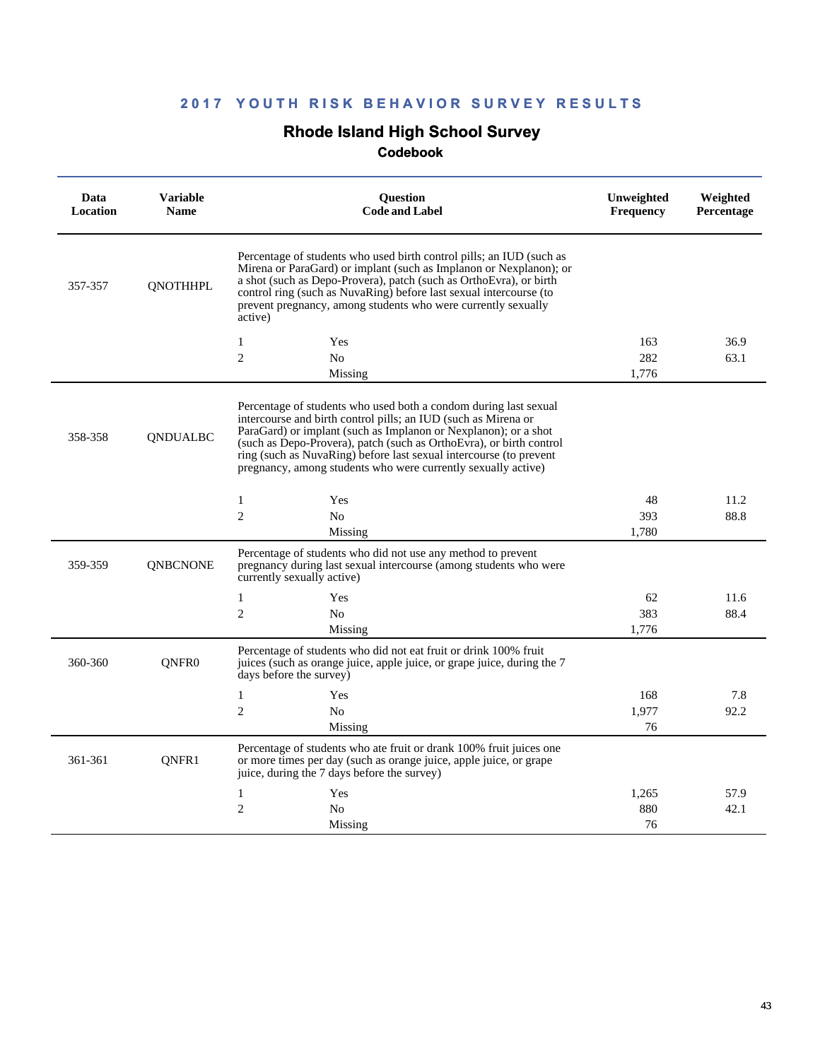# **Rhode Island High School Survey**

| Data<br>Location | <b>Variable</b><br><b>Name</b> | <b>Ouestion</b><br><b>Code and Label</b>                                                                                                                                                                                                                                                                                                                                                                            | Unweighted<br><b>Frequency</b> | Weighted<br>Percentage |
|------------------|--------------------------------|---------------------------------------------------------------------------------------------------------------------------------------------------------------------------------------------------------------------------------------------------------------------------------------------------------------------------------------------------------------------------------------------------------------------|--------------------------------|------------------------|
| 357-357          | <b>QNOTHHPL</b>                | Percentage of students who used birth control pills; an IUD (such as<br>Mirena or ParaGard) or implant (such as Implanon or Nexplanon); or<br>a shot (such as Depo-Provera), patch (such as OrthoEvra), or birth<br>control ring (such as NuvaRing) before last sexual intercourse (to<br>prevent pregnancy, among students who were currently sexually<br>active)                                                  |                                |                        |
|                  |                                | $\mathbf{1}$<br>Yes                                                                                                                                                                                                                                                                                                                                                                                                 | 163                            | 36.9                   |
|                  |                                | $\overline{2}$<br>N <sub>o</sub>                                                                                                                                                                                                                                                                                                                                                                                    | 282                            | 63.1                   |
|                  |                                | Missing                                                                                                                                                                                                                                                                                                                                                                                                             | 1,776                          |                        |
| 358-358          | <b>ONDUALBC</b>                | Percentage of students who used both a condom during last sexual<br>intercourse and birth control pills; an IUD (such as Mirena or<br>ParaGard) or implant (such as Implanon or Nexplanon); or a shot<br>(such as Depo-Provera), patch (such as OrthoEvra), or birth control<br>ring (such as NuvaRing) before last sexual intercourse (to prevent<br>pregnancy, among students who were currently sexually active) |                                |                        |
|                  |                                | $\mathbf{1}$<br>Yes                                                                                                                                                                                                                                                                                                                                                                                                 | 48                             | 11.2                   |
|                  |                                | $\overline{2}$<br>N <sub>o</sub>                                                                                                                                                                                                                                                                                                                                                                                    | 393                            | 88.8                   |
|                  |                                | Missing                                                                                                                                                                                                                                                                                                                                                                                                             | 1,780                          |                        |
| 359-359          | <b>QNBCNONE</b>                | Percentage of students who did not use any method to prevent<br>pregnancy during last sexual intercourse (among students who were<br>currently sexually active)                                                                                                                                                                                                                                                     |                                |                        |
|                  |                                | $\mathbf{1}$<br>Yes                                                                                                                                                                                                                                                                                                                                                                                                 | 62                             | 11.6                   |
|                  |                                | $\overline{2}$<br>N <sub>0</sub>                                                                                                                                                                                                                                                                                                                                                                                    | 383                            | 88.4                   |
|                  |                                | Missing                                                                                                                                                                                                                                                                                                                                                                                                             | 1,776                          |                        |
| 360-360          | QNFR <sub>0</sub>              | Percentage of students who did not eat fruit or drink 100% fruit<br>juices (such as orange juice, apple juice, or grape juice, during the 7<br>days before the survey)                                                                                                                                                                                                                                              |                                |                        |
|                  |                                | $\mathbf{1}$<br>Yes                                                                                                                                                                                                                                                                                                                                                                                                 | 168                            | 7.8                    |
|                  |                                | $\overline{2}$<br>N <sub>0</sub>                                                                                                                                                                                                                                                                                                                                                                                    | 1,977                          | 92.2                   |
|                  |                                | Missing                                                                                                                                                                                                                                                                                                                                                                                                             | 76                             |                        |
| 361-361          | QNFR1                          | Percentage of students who ate fruit or drank 100% fruit juices one<br>or more times per day (such as orange juice, apple juice, or grape<br>juice, during the 7 days before the survey)                                                                                                                                                                                                                            |                                |                        |
|                  |                                | 1<br>Yes                                                                                                                                                                                                                                                                                                                                                                                                            | 1,265                          | 57.9                   |
|                  |                                | $\overline{2}$<br>No                                                                                                                                                                                                                                                                                                                                                                                                | 880                            | 42.1                   |
|                  |                                | Missing                                                                                                                                                                                                                                                                                                                                                                                                             | 76                             |                        |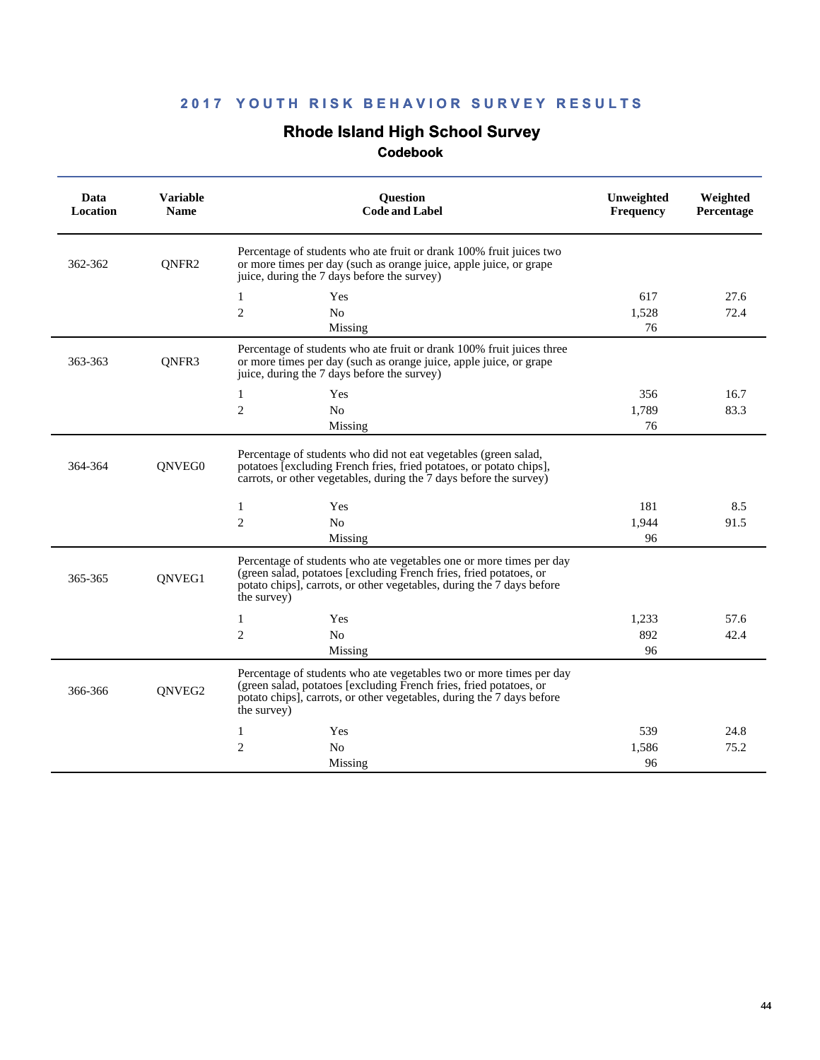# **Rhode Island High School Survey**

| Data<br>Location | <b>Variable</b><br><b>Name</b> | <b>Ouestion</b><br><b>Code and Label</b>                                                                                                                                                                                          | Unweighted<br><b>Frequency</b> | Weighted<br>Percentage |
|------------------|--------------------------------|-----------------------------------------------------------------------------------------------------------------------------------------------------------------------------------------------------------------------------------|--------------------------------|------------------------|
| 362-362          | QNFR2                          | Percentage of students who ate fruit or drank 100% fruit juices two<br>or more times per day (such as orange juice, apple juice, or grape<br>juice, during the 7 days before the survey)                                          |                                |                        |
|                  |                                | 1<br>Yes                                                                                                                                                                                                                          | 617                            | 27.6                   |
|                  |                                | 2<br>N <sub>0</sub>                                                                                                                                                                                                               | 1,528                          | 72.4                   |
|                  |                                | Missing                                                                                                                                                                                                                           | 76                             |                        |
| 363-363          | ONFR3                          | Percentage of students who ate fruit or drank 100% fruit juices three<br>or more times per day (such as orange juice, apple juice, or grape<br>juice, during the 7 days before the survey)                                        |                                |                        |
|                  |                                | 1<br>Yes                                                                                                                                                                                                                          | 356                            | 16.7                   |
|                  |                                | $\overline{c}$<br>N <sub>0</sub>                                                                                                                                                                                                  | 1,789                          | 83.3                   |
|                  |                                | Missing                                                                                                                                                                                                                           | 76                             |                        |
| 364-364          | QNVEG0                         | Percentage of students who did not eat vegetables (green salad,<br>potatoes [excluding French fries, fried potatoes, or potato chips],<br>carrots, or other vegetables, during the 7 days before the survey)                      |                                |                        |
|                  |                                | Yes<br>1                                                                                                                                                                                                                          | 181                            | 8.5                    |
|                  |                                | $\overline{2}$<br>N <sub>o</sub>                                                                                                                                                                                                  | 1.944                          | 91.5                   |
|                  |                                | Missing                                                                                                                                                                                                                           | 96                             |                        |
| 365-365          | QNVEG1                         | Percentage of students who ate vegetables one or more times per day<br>(green salad, potatoes [excluding French fries, fried potatoes, or<br>potato chips], carrots, or other vegetables, during the 7 days before<br>the survey) |                                |                        |
|                  |                                | Yes<br>1                                                                                                                                                                                                                          | 1,233                          | 57.6                   |
|                  |                                | $\overline{2}$<br>N <sub>o</sub>                                                                                                                                                                                                  | 892                            | 42.4                   |
|                  |                                | Missing                                                                                                                                                                                                                           | 96                             |                        |
| 366-366          | ONVEG2                         | Percentage of students who ate vegetables two or more times per day<br>(green salad, potatoes [excluding French fries, fried potatoes, or<br>potato chips], carrots, or other vegetables, during the 7 days before<br>the survey) |                                |                        |
|                  |                                | Yes<br>1                                                                                                                                                                                                                          | 539                            | 24.8                   |
|                  |                                | $\overline{2}$<br>N <sub>o</sub>                                                                                                                                                                                                  | 1,586                          | 75.2                   |
|                  |                                | Missing                                                                                                                                                                                                                           | 96                             |                        |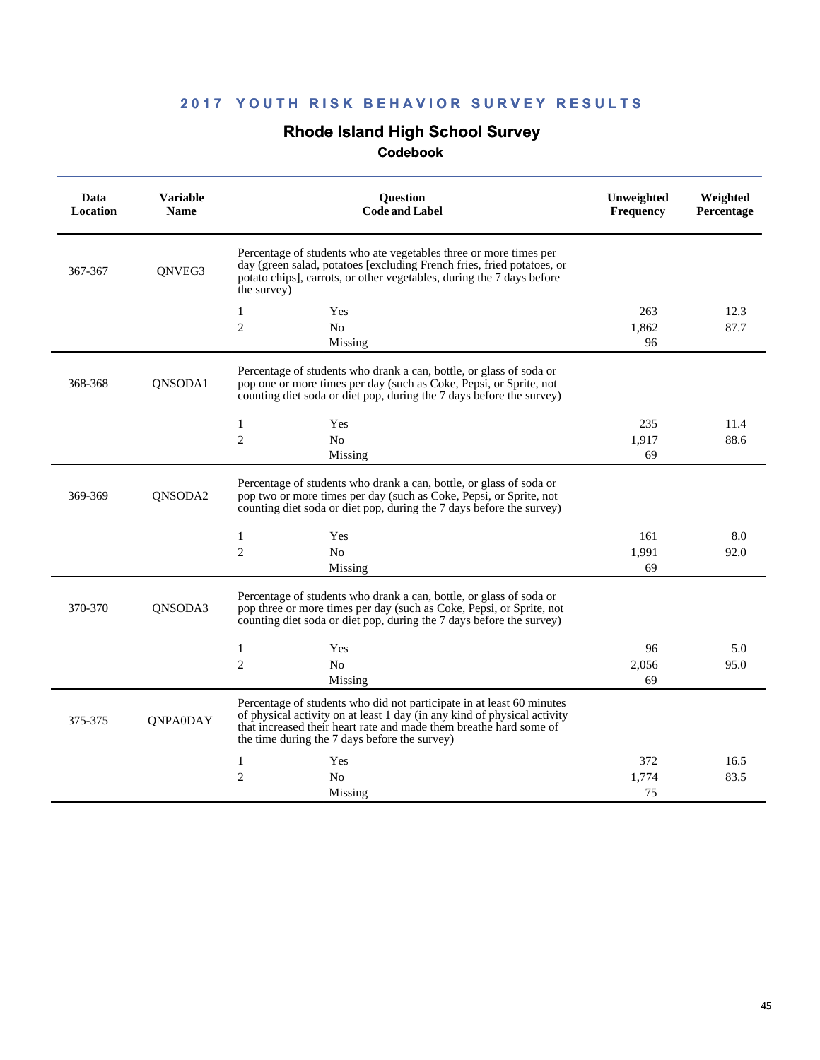# **Rhode Island High School Survey**

| Data<br>Location | <b>Variable</b><br><b>Name</b> | Question<br><b>Code and Label</b>                                                                                                                                                                                                                                        | Unweighted<br><b>Frequency</b> | Weighted<br>Percentage |
|------------------|--------------------------------|--------------------------------------------------------------------------------------------------------------------------------------------------------------------------------------------------------------------------------------------------------------------------|--------------------------------|------------------------|
| 367-367          | QNVEG3                         | Percentage of students who ate vegetables three or more times per<br>day (green salad, potatoes [excluding French fries, fried potatoes, or<br>potato chips], carrots, or other vegetables, during the 7 days before<br>the survey)                                      |                                |                        |
|                  |                                | 1<br>Yes                                                                                                                                                                                                                                                                 | 263                            | 12.3                   |
|                  |                                | $\overline{c}$<br>N <sub>o</sub>                                                                                                                                                                                                                                         | 1,862                          | 87.7                   |
|                  |                                | Missing                                                                                                                                                                                                                                                                  | 96                             |                        |
| 368-368          | QNSODA1                        | Percentage of students who drank a can, bottle, or glass of soda or<br>pop one or more times per day (such as Coke, Pepsi, or Sprite, not<br>counting diet soda or diet pop, during the 7 days before the survey)                                                        |                                |                        |
|                  |                                | $\mathbf{1}$<br>Yes                                                                                                                                                                                                                                                      | 235                            | 11.4                   |
|                  |                                | $\overline{c}$<br>N <sub>0</sub>                                                                                                                                                                                                                                         | 1.917                          | 88.6                   |
|                  |                                | Missing                                                                                                                                                                                                                                                                  | 69                             |                        |
| 369-369          | ONSODA2                        | Percentage of students who drank a can, bottle, or glass of soda or<br>pop two or more times per day (such as Coke, Pepsi, or Sprite, not<br>counting diet soda or diet pop, during the 7 days before the survey)                                                        |                                |                        |
|                  |                                | $\mathbf{1}$<br>Yes                                                                                                                                                                                                                                                      | 161                            | 8.0                    |
|                  |                                | $\overline{2}$<br>N <sub>o</sub>                                                                                                                                                                                                                                         | 1,991                          | 92.0                   |
|                  |                                | Missing                                                                                                                                                                                                                                                                  | 69                             |                        |
| 370-370          | QNSODA3                        | Percentage of students who drank a can, bottle, or glass of soda or<br>pop three or more times per day (such as Coke, Pepsi, or Sprite, not<br>counting diet soda or diet pop, during the 7 days before the survey)                                                      |                                |                        |
|                  |                                | Yes<br>1                                                                                                                                                                                                                                                                 | 96                             | 5.0                    |
|                  |                                | $\overline{2}$<br>N <sub>0</sub>                                                                                                                                                                                                                                         | 2,056                          | 95.0                   |
|                  |                                | Missing                                                                                                                                                                                                                                                                  | 69                             |                        |
| 375-375          | <b>QNPA0DAY</b>                | Percentage of students who did not participate in at least 60 minutes<br>of physical activity on at least 1 day (in any kind of physical activity<br>that increased their heart rate and made them breathe hard some of<br>the time during the 7 days before the survey) |                                |                        |
|                  |                                | Yes<br>1                                                                                                                                                                                                                                                                 | 372                            | 16.5                   |
|                  |                                | $\overline{2}$<br>N <sub>0</sub>                                                                                                                                                                                                                                         | 1.774                          | 83.5                   |
|                  |                                | Missing                                                                                                                                                                                                                                                                  | 75                             |                        |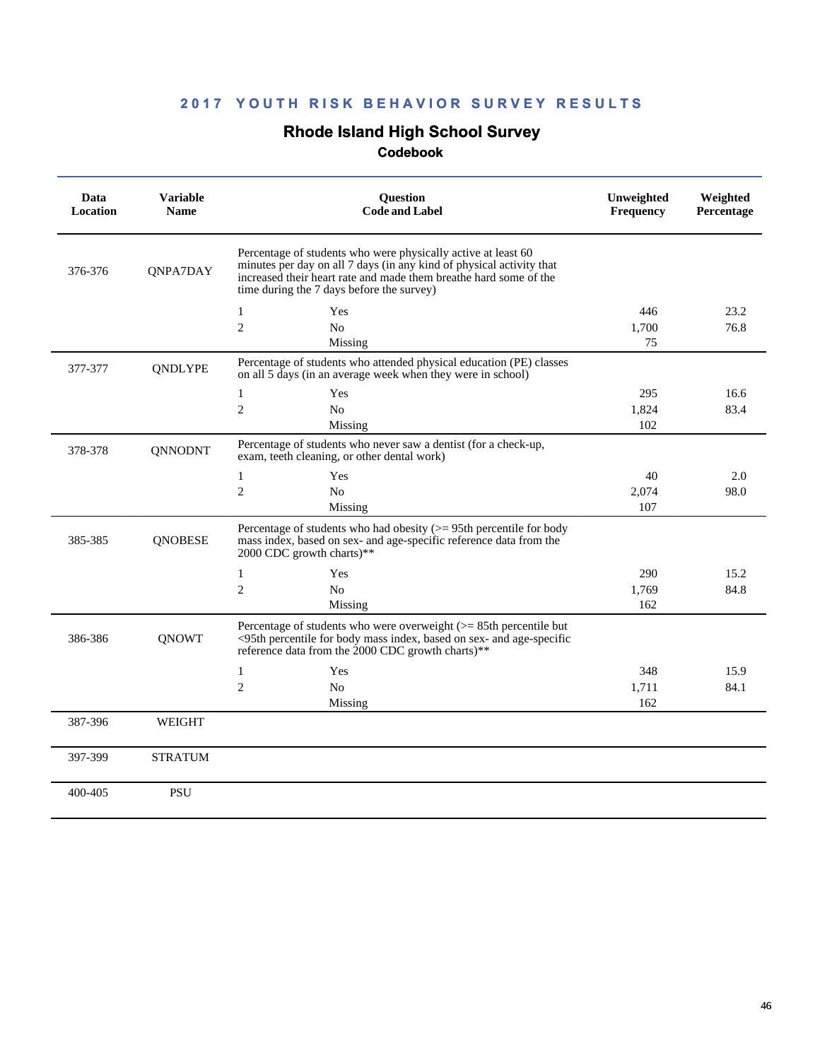# **Rhode Island High School Survey**

| Data<br><b>Location</b> | <b>Variable</b><br><b>Name</b> | <b>Ouestion</b><br><b>Code and Label</b>                                                                                                                                                                                                                | Unweighted<br><b>Frequency</b> | Weighted<br>Percentage |
|-------------------------|--------------------------------|---------------------------------------------------------------------------------------------------------------------------------------------------------------------------------------------------------------------------------------------------------|--------------------------------|------------------------|
| 376-376                 | QNPA7DAY                       | Percentage of students who were physically active at least 60<br>minutes per day on all 7 days (in any kind of physical activity that<br>increased their heart rate and made them breathe hard some of the<br>time during the 7 days before the survey) |                                |                        |
|                         |                                | 1<br>Yes                                                                                                                                                                                                                                                | 446                            | 23.2                   |
|                         |                                | $\overline{2}$<br>N <sub>0</sub>                                                                                                                                                                                                                        | 1,700                          | 76.8                   |
|                         |                                | Missing                                                                                                                                                                                                                                                 | 75                             |                        |
| 377-377                 | <b>ONDLYPE</b>                 | Percentage of students who attended physical education (PE) classes<br>on all 5 days (in an average week when they were in school)                                                                                                                      |                                |                        |
|                         |                                | 1<br>Yes                                                                                                                                                                                                                                                | 295                            | 16.6                   |
|                         |                                | $\overline{2}$<br>N <sub>o</sub>                                                                                                                                                                                                                        | 1,824                          | 83.4                   |
|                         |                                | Missing                                                                                                                                                                                                                                                 | 102                            |                        |
| 378-378                 | <b>QNNODNT</b>                 | Percentage of students who never saw a dentist (for a check-up,<br>exam, teeth cleaning, or other dental work)                                                                                                                                          |                                |                        |
|                         |                                | Yes<br>1                                                                                                                                                                                                                                                | 40                             | 2.0                    |
|                         |                                | $\overline{2}$<br>N <sub>0</sub>                                                                                                                                                                                                                        | 2,074                          | 98.0                   |
|                         |                                | Missing                                                                                                                                                                                                                                                 | 107                            |                        |
| 385-385                 | <b>QNOBESE</b>                 | Percentage of students who had obesity $(>= 95$ th percentile for body<br>mass index, based on sex- and age-specific reference data from the<br>2000 CDC growth charts)**                                                                               |                                |                        |
|                         |                                | $\mathbf{1}$<br>Yes                                                                                                                                                                                                                                     | 290                            | 15.2                   |
|                         |                                | $\overline{2}$<br>N <sub>0</sub>                                                                                                                                                                                                                        | 1,769                          | 84.8                   |
|                         |                                | Missing                                                                                                                                                                                                                                                 | 162                            |                        |
| 386-386                 | <b>ONOWT</b>                   | Percentage of students who were overweight $(>= 85$ th percentile but<br><95th percentile for body mass index, based on sex- and age-specific<br>reference data from the 2000 CDC growth charts)**                                                      |                                |                        |
|                         |                                | Yes<br>1                                                                                                                                                                                                                                                | 348                            | 15.9                   |
|                         |                                | $\overline{c}$<br>No                                                                                                                                                                                                                                    | 1,711                          | 84.1                   |
|                         |                                | Missing                                                                                                                                                                                                                                                 | 162                            |                        |
| 387-396                 | WEIGHT                         |                                                                                                                                                                                                                                                         |                                |                        |
| 397-399                 | <b>STRATUM</b>                 |                                                                                                                                                                                                                                                         |                                |                        |
| 400-405                 | <b>PSU</b>                     |                                                                                                                                                                                                                                                         |                                |                        |